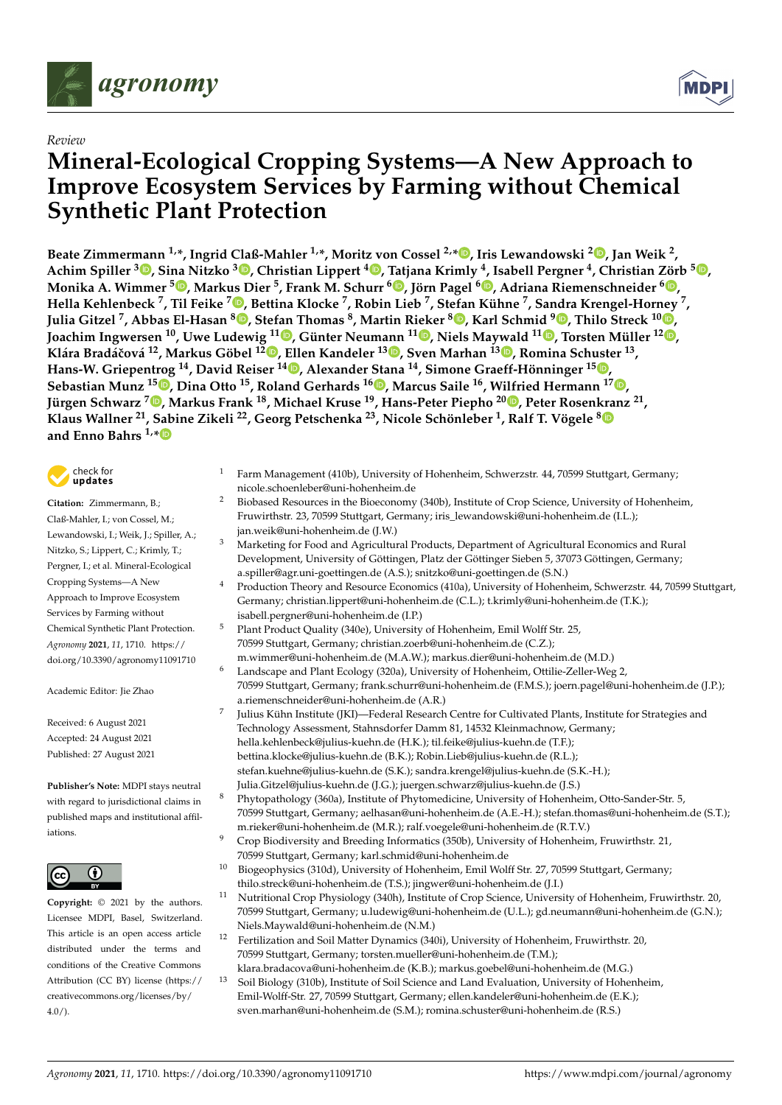

## *Review*

# **Mineral-Ecological Cropping Systems—A New Approach to Improve Ecosystem Services by Farming without Chemical Synthetic Plant Protection**

**Beate Zimmermann 1,\*, Ingrid Claß-Mahler 1,\*, Moritz von Cossel 2,[\\*](https://orcid.org/0000-0002-1132-3281) , Iris Lewandowski <sup>2</sup> [,](https://orcid.org/0000-0002-0388-4521) Jan Weik <sup>2</sup> ,** Achim Spiller <sup>3</sup>®[,](https://orcid.org/0000-0003-0000-5138) Sina Nitzko <sup>3</sup>®, Christian Lippert <sup>4</sup>®, Tatjana Krimly <sup>4</sup>, Isabell Pergner <sup>4</sup>, Christian Zörb <sup>5</sup>®, **Monika A. Wimmer <sup>5</sup> [,](https://orcid.org/0000-0002-7456-5667) Markus Dier <sup>5</sup> , Frank M. Schurr <sup>6</sup> [,](https://orcid.org/0000-0002-4518-0602) Jörn Pagel <sup>6</sup> [,](https://orcid.org/0000-0002-4817-1920) Adriana Riemenschneider <sup>6</sup> [,](https://orcid.org/0000-0002-0005-2359)** Hella Kehlenbeck <sup>7</sup>[,](https://orcid.org/0000-0002-1978-9473) Til Feike <sup>7</sup>®, Bettina Klocke <sup>7</sup>, Robin Lieb <sup>7</sup>, St[efa](https://orcid.org/0000-0002-0180-3505)n Kühne <sup>7</sup>, Sandra Krengel-Hor[ney](https://orcid.org/0000-0001-7822-7588) <sup>7</sup>, **Julia Gitzel <sup>7</sup> , Abbas El-Hasan <sup>8</sup> [,](https://orcid.org/0000-0002-3078-1747) Stefan Thomas <sup>8</sup> , Martin Rieker <sup>8</sup> , Karl Schmid <sup>9</sup> [,](https://orcid.org/0000-0001-5129-895X) Thilo Streck <sup>10</sup> , Joachim Ingwersen <sup>10</sup>, Uwe Ludewig <sup>11</sup> [,](https://orcid.org/0000-0001-5456-1055) Günter Neumann <sup>11</sup> [,](https://orcid.org/0000-0002-1539-2815) Niels Maywald <sup>11</sup> [,](https://orcid.org/0000-0002-7165-1500) Torsten Müller <sup>12</sup> [,](https://orcid.org/0000-0002-0175-9436)** Klára Bradáčová <sup>12</sup>[,](https://orcid.org/0000-0002-2854-0012) Markus Göbel <sup>12</sup>®, Ellen Kandeler <sup>1[3](https://orcid.org/0000-0002-8954-5968)</sup>®, Sven Marhan <sup>13</sup>®, Romina Schuster <sup>13</sup>, **Hans-W. Griepentrog <sup>14</sup>, David Reiser <sup>14</sup> [,](https://orcid.org/0000-0003-0158-6456) Alexander Stana <sup>14</sup>, Simone Graeff-Hönninger <sup>15</sup> [,](https://orcid.org/0000-0001-9996-961X) Sebastian Munz <sup>15</sup> [,](https://orcid.org/0000-0001-6713-1863) Dina Otto <sup>15</sup>, Roland Gerhards <sup>16</sup> [,](https://orcid.org/0000-0002-6720-5938) Marcus Saile <sup>16</sup>, Wilfried Hermann <sup>17</sup> [,](https://orcid.org/0000-0002-9165-379X) Jürgen Schwarz <sup>7</sup> [,](https://orcid.org/0000-0002-8678-367X) Markus Frank <sup>18</sup>, Michael Kruse <sup>19</sup>, Hans-Peter Piepho <sup>20</sup> [,](https://orcid.org/0000-0001-7813-2992) Peter Rosenkranz <sup>21</sup> , Klaus Wallner <sup>21</sup>, [Sab](https://orcid.org/0000-0002-5687-0772)ine Zikeli <sup>22</sup>, Georg Petschenka <sup>23</sup>, Nicole Schönleber <sup>1</sup> , Ralf T. Vögele [8](https://orcid.org/0000-0002-6068-8244) and Enno Bahrs 1,\***



**Citation:** Zimmermann, B.; Claß-Mahler, I.; von Cossel, M.; Lewandowski, I.; Weik, J.; Spiller, A.; Nitzko, S.; Lippert, C.; Krimly, T.; Pergner, I.; et al. Mineral-Ecological Cropping Systems—A New Approach to Improve Ecosystem Services by Farming without Chemical Synthetic Plant Protection. *Agronomy* **2021**, *11*, 1710. [https://](https://doi.org/10.3390/agronomy11091710) [doi.org/10.3390/agronomy11091710](https://doi.org/10.3390/agronomy11091710)

Academic Editor: Jie Zhao

Received: 6 August 2021 Accepted: 24 August 2021 Published: 27 August 2021

**Publisher's Note:** MDPI stays neutral with regard to jurisdictional claims in published maps and institutional affiliations.



**Copyright:** © 2021 by the authors. Licensee MDPI, Basel, Switzerland. This article is an open access article distributed under the terms and conditions of the Creative Commons Attribution (CC BY) license (https:/[/](https://creativecommons.org/licenses/by/4.0/) [creativecommons.org/licenses/by/](https://creativecommons.org/licenses/by/4.0/)  $4.0/$ ).

- <sup>1</sup> Farm Management (410b), University of Hohenheim, Schwerzstr. 44, 70599 Stuttgart, Germany; nicole.schoenleber@uni-hohenheim.de
- <sup>2</sup> Biobased Resources in the Bioeconomy (340b), Institute of Crop Science, University of Hohenheim, Fruwirthstr. 23, 70599 Stuttgart, Germany; iris\_lewandowski@uni-hohenheim.de (I.L.); jan.weik@uni-hohenheim.de (J.W.)
- <sup>3</sup> Marketing for Food and Agricultural Products, Department of Agricultural Economics and Rural Development, University of Göttingen, Platz der Göttinger Sieben 5, 37073 Göttingen, Germany; a.spiller@agr.uni-goettingen.de (A.S.); snitzko@uni-goettingen.de (S.N.)
- <sup>4</sup> Production Theory and Resource Economics (410a), University of Hohenheim, Schwerzstr. 44, 70599 Stuttgart, Germany; christian.lippert@uni-hohenheim.de (C.L.); t.krimly@uni-hohenheim.de (T.K.); isabell.pergner@uni-hohenheim.de (I.P.)
- <sup>5</sup> Plant Product Quality (340e), University of Hohenheim, Emil Wolff Str. 25, 70599 Stuttgart, Germany; christian.zoerb@uni-hohenheim.de (C.Z.);
- m.wimmer@uni-hohenheim.de (M.A.W.); markus.dier@uni-hohenheim.de (M.D.) Landscape and Plant Ecology (320a), University of Hohenheim, Ottilie-Zeller-Weg 2, 70599 Stuttgart, Germany; frank.schurr@uni-hohenheim.de (F.M.S.); joern.pagel@uni-hohenheim.de (J.P.); a.riemenschneider@uni-hohenheim.de (A.R.)
- Julius Kühn Institute (JKI)—Federal Research Centre for Cultivated Plants, Institute for Strategies and Technology Assessment, Stahnsdorfer Damm 81, 14532 Kleinmachnow, Germany; hella.kehlenbeck@julius-kuehn.de (H.K.); til.feike@julius-kuehn.de (T.F.); bettina.klocke@julius-kuehn.de (B.K.); Robin.Lieb@julius-kuehn.de (R.L.); stefan.kuehne@julius-kuehn.de (S.K.); sandra.krengel@julius-kuehn.de (S.K.-H.);
- Julia.Gitzel@julius-kuehn.de (J.G.); juergen.schwarz@julius-kuehn.de (J.S.)
- <sup>8</sup> Phytopathology (360a), Institute of Phytomedicine, University of Hohenheim, Otto-Sander-Str. 5, 70599 Stuttgart, Germany; aelhasan@uni-hohenheim.de (A.E.-H.); stefan.thomas@uni-hohenheim.de (S.T.); m.rieker@uni-hohenheim.de (M.R.); ralf.voegele@uni-hohenheim.de (R.T.V.)
- <sup>9</sup> Crop Biodiversity and Breeding Informatics (350b), University of Hohenheim, Fruwirthstr. 21, 70599 Stuttgart, Germany; karl.schmid@uni-hohenheim.de
- <sup>10</sup> Biogeophysics (310d), University of Hohenheim, Emil Wolff Str. 27, 70599 Stuttgart, Germany; thilo.streck@uni-hohenheim.de (T.S.); jingwer@uni-hohenheim.de (J.I.)
- <sup>11</sup> Nutritional Crop Physiology (340h), Institute of Crop Science, University of Hohenheim, Fruwirthstr. 20, 70599 Stuttgart, Germany; u.ludewig@uni-hohenheim.de (U.L.); gd.neumann@uni-hohenheim.de (G.N.); Niels.Maywald@uni-hohenheim.de (N.M.)
- <sup>12</sup> Fertilization and Soil Matter Dynamics (340i), University of Hohenheim, Fruwirthstr. 20, 70599 Stuttgart, Germany; torsten.mueller@uni-hohenheim.de (T.M.);
- klara.bradacova@uni-hohenheim.de (K.B.); markus.goebel@uni-hohenheim.de (M.G.)
- <sup>13</sup> Soil Biology (310b), Institute of Soil Science and Land Evaluation, University of Hohenheim, Emil-Wolff-Str. 27, 70599 Stuttgart, Germany; ellen.kandeler@uni-hohenheim.de (E.K.); sven.marhan@uni-hohenheim.de (S.M.); romina.schuster@uni-hohenheim.de (R.S.)

7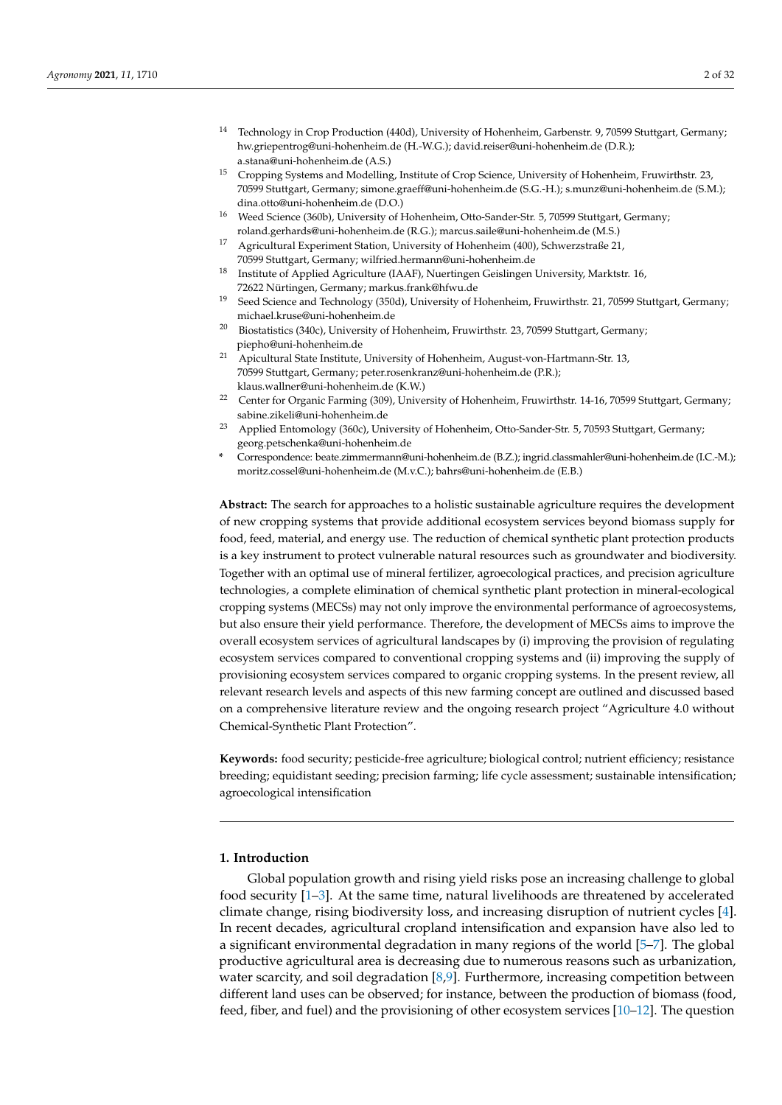- <sup>14</sup> Technology in Crop Production (440d), University of Hohenheim, Garbenstr. 9, 70599 Stuttgart, Germany; hw.griepentrog@uni-hohenheim.de (H.-W.G.); david.reiser@uni-hohenheim.de (D.R.); a.stana@uni-hohenheim.de (A.S.)
- <sup>15</sup> Cropping Systems and Modelling, Institute of Crop Science, University of Hohenheim, Fruwirthstr. 23, 70599 Stuttgart, Germany; simone.graeff@uni-hohenheim.de (S.G.-H.); s.munz@uni-hohenheim.de (S.M.); dina.otto@uni-hohenheim.de (D.O.)
- <sup>16</sup> Weed Science (360b), University of Hohenheim, Otto-Sander-Str. 5, 70599 Stuttgart, Germany; roland.gerhards@uni-hohenheim.de (R.G.); marcus.saile@uni-hohenheim.de (M.S.)
- <sup>17</sup> Agricultural Experiment Station, University of Hohenheim (400), Schwerzstraße 21, 70599 Stuttgart, Germany; wilfried.hermann@uni-hohenheim.de
- <sup>18</sup> Institute of Applied Agriculture (IAAF), Nuertingen Geislingen University, Marktstr. 16, 72622 Nürtingen, Germany; markus.frank@hfwu.de
- <sup>19</sup> Seed Science and Technology (350d), University of Hohenheim, Fruwirthstr. 21, 70599 Stuttgart, Germany; michael.kruse@uni-hohenheim.de
- $20$  Biostatistics (340c), University of Hohenheim, Fruwirthstr. 23, 70599 Stuttgart, Germany; piepho@uni-hohenheim.de
- <sup>21</sup> Apicultural State Institute, University of Hohenheim, August-von-Hartmann-Str. 13, 70599 Stuttgart, Germany; peter.rosenkranz@uni-hohenheim.de (P.R.); klaus.wallner@uni-hohenheim.de (K.W.)
- <sup>22</sup> Center for Organic Farming (309), University of Hohenheim, Fruwirthstr. 14-16, 70599 Stuttgart, Germany; sabine.zikeli@uni-hohenheim.de
- <sup>23</sup> Applied Entomology (360c), University of Hohenheim, Otto-Sander-Str. 5, 70593 Stuttgart, Germany; georg.petschenka@uni-hohenheim.de
- **\*** Correspondence: beate.zimmermann@uni-hohenheim.de (B.Z.); ingrid.classmahler@uni-hohenheim.de (I.C.-M.); moritz.cossel@uni-hohenheim.de (M.v.C.); bahrs@uni-hohenheim.de (E.B.)

**Abstract:** The search for approaches to a holistic sustainable agriculture requires the development of new cropping systems that provide additional ecosystem services beyond biomass supply for food, feed, material, and energy use. The reduction of chemical synthetic plant protection products is a key instrument to protect vulnerable natural resources such as groundwater and biodiversity. Together with an optimal use of mineral fertilizer, agroecological practices, and precision agriculture technologies, a complete elimination of chemical synthetic plant protection in mineral-ecological cropping systems (MECSs) may not only improve the environmental performance of agroecosystems, but also ensure their yield performance. Therefore, the development of MECSs aims to improve the overall ecosystem services of agricultural landscapes by (i) improving the provision of regulating ecosystem services compared to conventional cropping systems and (ii) improving the supply of provisioning ecosystem services compared to organic cropping systems. In the present review, all relevant research levels and aspects of this new farming concept are outlined and discussed based on a comprehensive literature review and the ongoing research project "Agriculture 4.0 without Chemical-Synthetic Plant Protection".

**Keywords:** food security; pesticide-free agriculture; biological control; nutrient efficiency; resistance breeding; equidistant seeding; precision farming; life cycle assessment; sustainable intensification; agroecological intensification

### **1. Introduction**

Global population growth and rising yield risks pose an increasing challenge to global food security [\[1–](#page-22-0)[3\]](#page-22-1). At the same time, natural livelihoods are threatened by accelerated climate change, rising biodiversity loss, and increasing disruption of nutrient cycles [\[4\]](#page-22-2). In recent decades, agricultural cropland intensification and expansion have also led to a significant environmental degradation in many regions of the world [\[5](#page-22-3)[–7\]](#page-22-4). The global productive agricultural area is decreasing due to numerous reasons such as urbanization, water scarcity, and soil degradation  $[8,9]$  $[8,9]$ . Furthermore, increasing competition between different land uses can be observed; for instance, between the production of biomass (food, feed, fiber, and fuel) and the provisioning of other ecosystem services [\[10–](#page-22-7)[12\]](#page-22-8). The question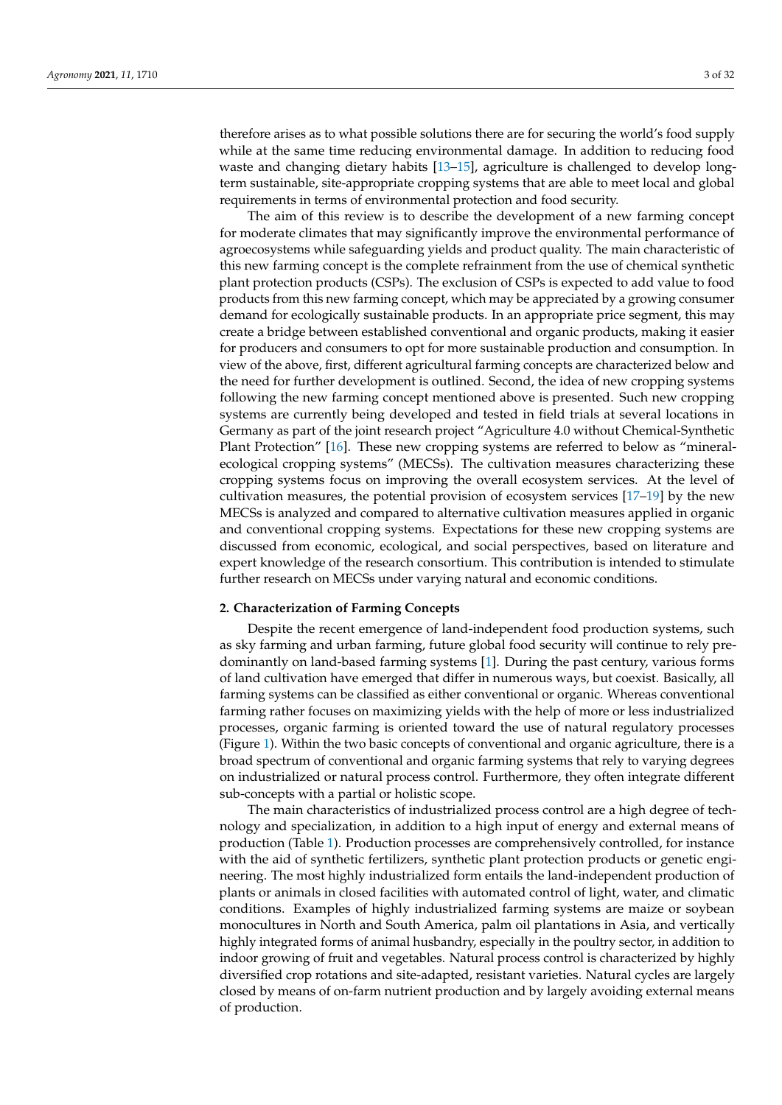therefore arises as to what possible solutions there are for securing the world's food supply while at the same time reducing environmental damage. In addition to reducing food waste and changing dietary habits [\[13](#page-22-9)[–15\]](#page-22-10), agriculture is challenged to develop longterm sustainable, site-appropriate cropping systems that are able to meet local and global requirements in terms of environmental protection and food security.

The aim of this review is to describe the development of a new farming concept for moderate climates that may significantly improve the environmental performance of agroecosystems while safeguarding yields and product quality. The main characteristic of this new farming concept is the complete refrainment from the use of chemical synthetic plant protection products (CSPs). The exclusion of CSPs is expected to add value to food products from this new farming concept, which may be appreciated by a growing consumer demand for ecologically sustainable products. In an appropriate price segment, this may create a bridge between established conventional and organic products, making it easier for producers and consumers to opt for more sustainable production and consumption. In view of the above, first, different agricultural farming concepts are characterized below and the need for further development is outlined. Second, the idea of new cropping systems following the new farming concept mentioned above is presented. Such new cropping systems are currently being developed and tested in field trials at several locations in Germany as part of the joint research project "Agriculture 4.0 without Chemical-Synthetic Plant Protection" [\[16\]](#page-22-11). These new cropping systems are referred to below as "mineralecological cropping systems" (MECSs). The cultivation measures characterizing these cropping systems focus on improving the overall ecosystem services. At the level of cultivation measures, the potential provision of ecosystem services [\[17](#page-22-12)[–19\]](#page-22-13) by the new MECSs is analyzed and compared to alternative cultivation measures applied in organic and conventional cropping systems. Expectations for these new cropping systems are discussed from economic, ecological, and social perspectives, based on literature and expert knowledge of the research consortium. This contribution is intended to stimulate further research on MECSs under varying natural and economic conditions.

#### **2. Characterization of Farming Concepts**

Despite the recent emergence of land-independent food production systems, such as sky farming and urban farming, future global food security will continue to rely predominantly on land-based farming systems [\[1\]](#page-22-0). During the past century, various forms of land cultivation have emerged that differ in numerous ways, but coexist. Basically, all farming systems can be classified as either conventional or organic. Whereas conventional farming rather focuses on maximizing yields with the help of more or less industrialized processes, organic farming is oriented toward the use of natural regulatory processes (Figure [1\)](#page-3-0). Within the two basic concepts of conventional and organic agriculture, there is a broad spectrum of conventional and organic farming systems that rely to varying degrees on industrialized or natural process control. Furthermore, they often integrate different sub-concepts with a partial or holistic scope.

The main characteristics of industrialized process control are a high degree of technology and specialization, in addition to a high input of energy and external means of production (Table [1\)](#page-3-1). Production processes are comprehensively controlled, for instance with the aid of synthetic fertilizers, synthetic plant protection products or genetic engineering. The most highly industrialized form entails the land-independent production of plants or animals in closed facilities with automated control of light, water, and climatic conditions. Examples of highly industrialized farming systems are maize or soybean monocultures in North and South America, palm oil plantations in Asia, and vertically highly integrated forms of animal husbandry, especially in the poultry sector, in addition to indoor growing of fruit and vegetables. Natural process control is characterized by highly diversified crop rotations and site-adapted, resistant varieties. Natural cycles are largely closed by means of on-farm nutrient production and by largely avoiding external means of production.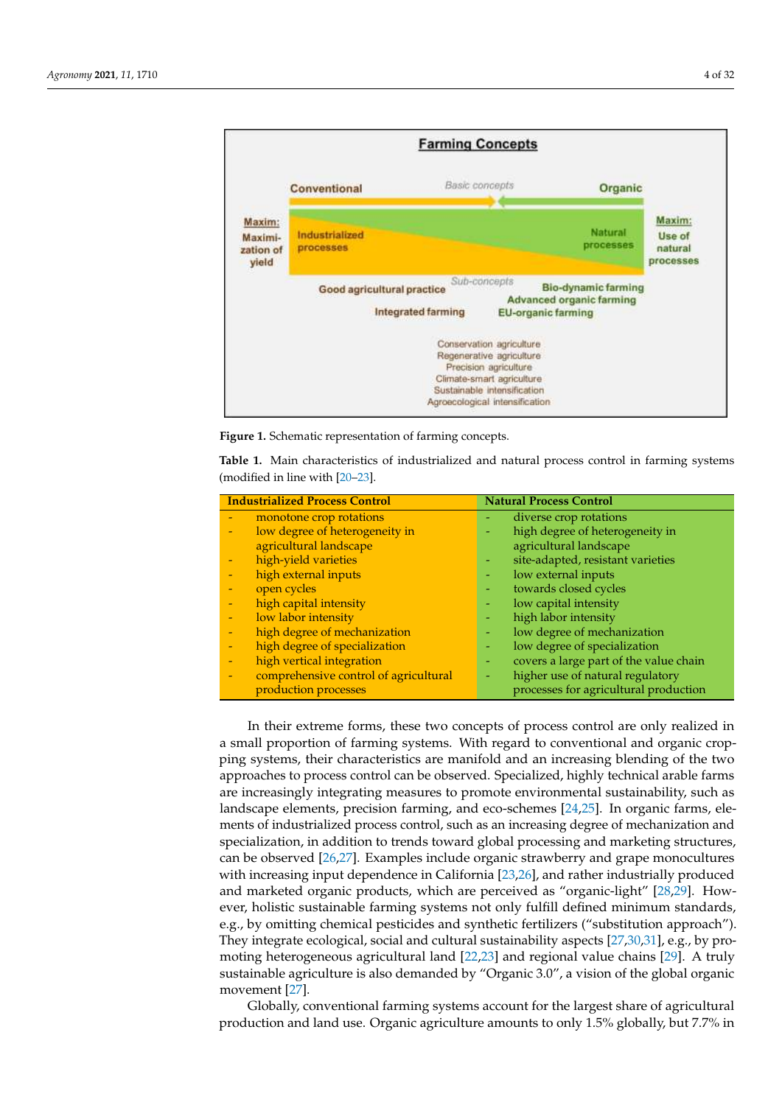<span id="page-3-0"></span>

spectrum of conventional and organic farming systems that rely to varying degrees on industrialized or natural process control. Furthermore,

<span id="page-3-1"></span>**Figure 1.** Schematic representation of farming concepts. **Figure 1.** Schematic representation of farming concepts.

Table 1. Main characteristics of industrialized and natural process control in farming systems  $(modified in line with  $[20-23]$ .$  $(modified in line with  $[20-23]$ .$  $(modified in line with  $[20-23]$ .$ 

|                          | <b>Industrialized Process Control</b> |                          | <b>Natural Process Control</b>         |
|--------------------------|---------------------------------------|--------------------------|----------------------------------------|
| $\overline{\phantom{0}}$ | monotone crop rotations               |                          | diverse crop rotations                 |
| $\overline{\phantom{0}}$ | low degree of heterogeneity in        |                          | high degree of heterogeneity in        |
|                          | agricultural landscape                |                          | agricultural landscape                 |
|                          | high-yield varieties                  |                          | site-adapted, resistant varieties      |
| $\overline{\phantom{0}}$ | high external inputs                  |                          | low external inputs                    |
|                          | open cycles                           |                          | towards closed cycles                  |
| $\overline{\phantom{0}}$ | high capital intensity                |                          | low capital intensity                  |
| $\overline{\phantom{0}}$ | low labor intensity                   |                          | high labor intensity                   |
| $\overline{\phantom{0}}$ | high degree of mechanization          |                          | low degree of mechanization            |
|                          | high degree of specialization         | $\overline{\phantom{a}}$ | low degree of specialization           |
| $\overline{\phantom{0}}$ | high vertical integration             |                          | covers a large part of the value chain |
|                          | comprehensive control of agricultural |                          | higher use of natural regulatory       |
|                          | production processes                  |                          | processes for agricultural production  |

In their extreme forms, these two concepts of process control are only realized in a small proportion of farming systems. With regard to conventional and organic cropping systems, their characteristics are manifold and an increasing blending of the two approaches to process control can be observed. Specialized, highly technical arable farms are increasingly integrating measures to promote environmental sustainability, such as landscape elements, precision farming, and eco-schemes [\[24](#page-22-16)[,25\]](#page-22-17). In organic farms, elements of industrialized process control, such as an increasing degree of mechanization and specialization, in addition to trends toward global processing and marketing structures, can be observed [\[26](#page-22-18)[,27\]](#page-22-19). Examples include organic strawberry and grape monocultures with increasing input dependence in California [\[23](#page-22-15)[,26\]](#page-22-18), and rather industrially produced and marketed organic products, which are perceived as "organic-light" [\[28,](#page-22-20)[29\]](#page-23-0). However, holistic sustainable farming systems not only fulfill defined minimum standards, e.g., by omitting chemical pesticides and synthetic fertilizers ("substitution approach"). They integrate ecological, social and cultural sustainability aspects [\[27](#page-22-19)[,30](#page-23-1)[,31\]](#page-23-2), e.g., by promoting heterogeneous agricultural land [\[22](#page-22-21)[,23\]](#page-22-15) and regional value chains [\[29\]](#page-23-0). A truly sustainable agriculture is also demanded by "Organic 3.0", a vision of the global organic movement [\[27\]](#page-22-19).

Globally, conventional farming systems account for the largest share of agricultural production and land use. Organic agriculture amounts to only 1.5% globally, but 7.7% in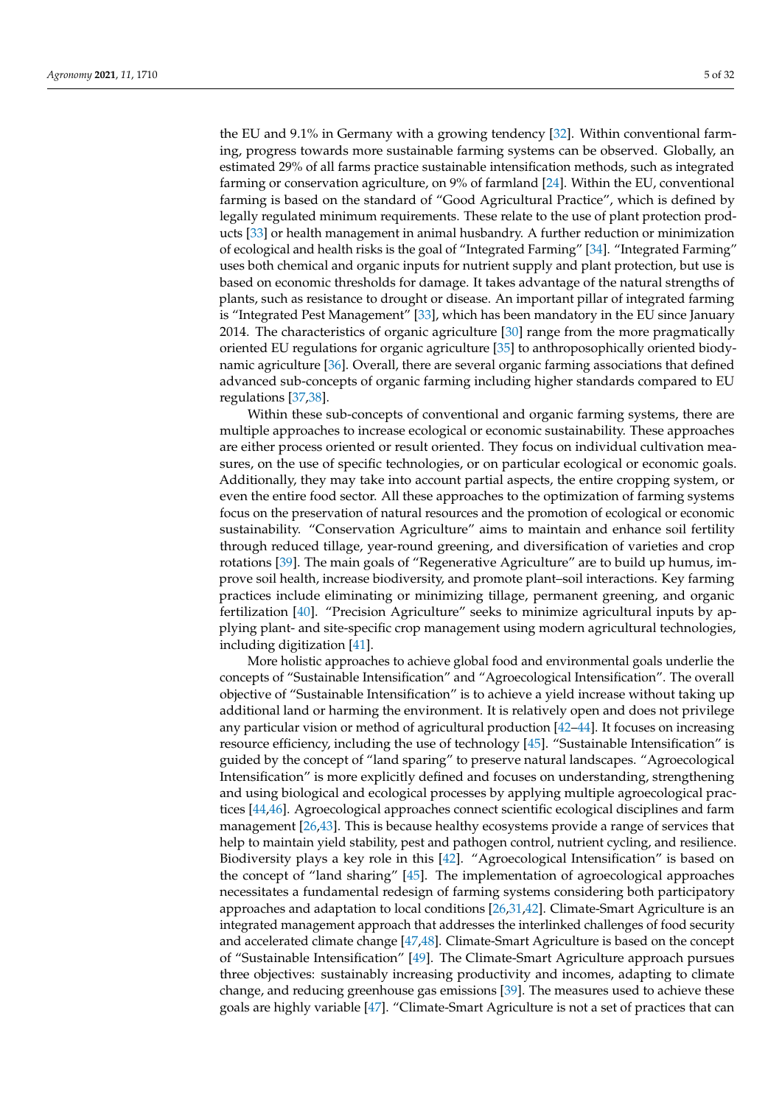the EU and 9.1% in Germany with a growing tendency [\[32\]](#page-23-3). Within conventional farming, progress towards more sustainable farming systems can be observed. Globally, an estimated 29% of all farms practice sustainable intensification methods, such as integrated farming or conservation agriculture, on 9% of farmland [\[24\]](#page-22-16). Within the EU, conventional farming is based on the standard of "Good Agricultural Practice", which is defined by legally regulated minimum requirements. These relate to the use of plant protection products [\[33\]](#page-23-4) or health management in animal husbandry. A further reduction or minimization of ecological and health risks is the goal of "Integrated Farming" [\[34\]](#page-23-5). "Integrated Farming" uses both chemical and organic inputs for nutrient supply and plant protection, but use is based on economic thresholds for damage. It takes advantage of the natural strengths of plants, such as resistance to drought or disease. An important pillar of integrated farming is "Integrated Pest Management" [\[33\]](#page-23-4), which has been mandatory in the EU since January 2014. The characteristics of organic agriculture [\[30\]](#page-23-1) range from the more pragmatically oriented EU regulations for organic agriculture [\[35\]](#page-23-6) to anthroposophically oriented biodynamic agriculture [\[36\]](#page-23-7). Overall, there are several organic farming associations that defined advanced sub-concepts of organic farming including higher standards compared to EU regulations [\[37,](#page-23-8)[38\]](#page-23-9).

Within these sub-concepts of conventional and organic farming systems, there are multiple approaches to increase ecological or economic sustainability. These approaches are either process oriented or result oriented. They focus on individual cultivation measures, on the use of specific technologies, or on particular ecological or economic goals. Additionally, they may take into account partial aspects, the entire cropping system, or even the entire food sector. All these approaches to the optimization of farming systems focus on the preservation of natural resources and the promotion of ecological or economic sustainability. "Conservation Agriculture" aims to maintain and enhance soil fertility through reduced tillage, year-round greening, and diversification of varieties and crop rotations [\[39\]](#page-23-10). The main goals of "Regenerative Agriculture" are to build up humus, improve soil health, increase biodiversity, and promote plant–soil interactions. Key farming practices include eliminating or minimizing tillage, permanent greening, and organic fertilization [\[40\]](#page-23-11). "Precision Agriculture" seeks to minimize agricultural inputs by applying plant- and site-specific crop management using modern agricultural technologies, including digitization [\[41\]](#page-23-12).

More holistic approaches to achieve global food and environmental goals underlie the concepts of "Sustainable Intensification" and "Agroecological Intensification". The overall objective of "Sustainable Intensification" is to achieve a yield increase without taking up additional land or harming the environment. It is relatively open and does not privilege any particular vision or method of agricultural production [\[42–](#page-23-13)[44\]](#page-23-14). It focuses on increasing resource efficiency, including the use of technology [\[45\]](#page-23-15). "Sustainable Intensification" is guided by the concept of "land sparing" to preserve natural landscapes. "Agroecological Intensification" is more explicitly defined and focuses on understanding, strengthening and using biological and ecological processes by applying multiple agroecological practices [\[44,](#page-23-14)[46\]](#page-23-16). Agroecological approaches connect scientific ecological disciplines and farm management [\[26,](#page-22-18)[43\]](#page-23-17). This is because healthy ecosystems provide a range of services that help to maintain yield stability, pest and pathogen control, nutrient cycling, and resilience. Biodiversity plays a key role in this [\[42\]](#page-23-13). "Agroecological Intensification" is based on the concept of "land sharing" [\[45\]](#page-23-15). The implementation of agroecological approaches necessitates a fundamental redesign of farming systems considering both participatory approaches and adaptation to local conditions [\[26,](#page-22-18)[31,](#page-23-2)[42\]](#page-23-13). Climate-Smart Agriculture is an integrated management approach that addresses the interlinked challenges of food security and accelerated climate change [\[47](#page-23-18)[,48\]](#page-23-19). Climate-Smart Agriculture is based on the concept of "Sustainable Intensification" [\[49\]](#page-23-20). The Climate-Smart Agriculture approach pursues three objectives: sustainably increasing productivity and incomes, adapting to climate change, and reducing greenhouse gas emissions [\[39\]](#page-23-10). The measures used to achieve these goals are highly variable [\[47\]](#page-23-18). "Climate-Smart Agriculture is not a set of practices that can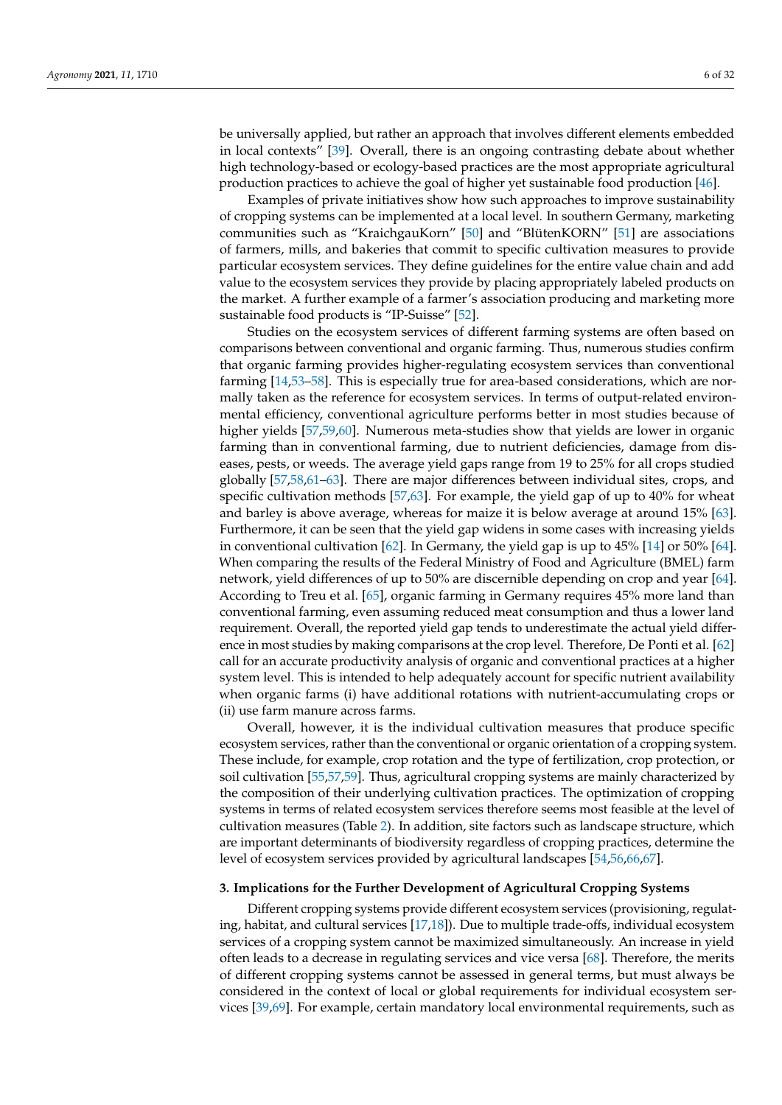be universally applied, but rather an approach that involves different elements embedded in local contexts" [\[39\]](#page-23-10). Overall, there is an ongoing contrasting debate about whether high technology-based or ecology-based practices are the most appropriate agricultural production practices to achieve the goal of higher yet sustainable food production [\[46\]](#page-23-16).

Examples of private initiatives show how such approaches to improve sustainability of cropping systems can be implemented at a local level. In southern Germany, marketing communities such as "KraichgauKorn" [\[50\]](#page-23-21) and "BlütenKORN" [\[51\]](#page-23-22) are associations of farmers, mills, and bakeries that commit to specific cultivation measures to provide particular ecosystem services. They define guidelines for the entire value chain and add value to the ecosystem services they provide by placing appropriately labeled products on the market. A further example of a farmer's association producing and marketing more sustainable food products is "IP-Suisse" [\[52\]](#page-23-23).

Studies on the ecosystem services of different farming systems are often based on comparisons between conventional and organic farming. Thus, numerous studies confirm that organic farming provides higher-regulating ecosystem services than conventional farming [\[14](#page-22-22)[,53–](#page-23-24)[58\]](#page-23-25). This is especially true for area-based considerations, which are normally taken as the reference for ecosystem services. In terms of output-related environmental efficiency, conventional agriculture performs better in most studies because of higher yields [\[57](#page-23-26)[,59](#page-23-27)[,60\]](#page-24-0). Numerous meta-studies show that yields are lower in organic farming than in conventional farming, due to nutrient deficiencies, damage from diseases, pests, or weeds. The average yield gaps range from 19 to 25% for all crops studied globally [\[57,](#page-23-26)[58,](#page-23-25)[61–](#page-24-1)[63\]](#page-24-2). There are major differences between individual sites, crops, and specific cultivation methods [\[57,](#page-23-26)[63\]](#page-24-2). For example, the yield gap of up to 40% for wheat and barley is above average, whereas for maize it is below average at around 15% [\[63\]](#page-24-2). Furthermore, it can be seen that the yield gap widens in some cases with increasing yields in conventional cultivation [\[62\]](#page-24-3). In Germany, the yield gap is up to 45% [\[14\]](#page-22-22) or 50% [\[64\]](#page-24-4). When comparing the results of the Federal Ministry of Food and Agriculture (BMEL) farm network, yield differences of up to 50% are discernible depending on crop and year [\[64\]](#page-24-4). According to Treu et al. [\[65\]](#page-24-5), organic farming in Germany requires 45% more land than conventional farming, even assuming reduced meat consumption and thus a lower land requirement. Overall, the reported yield gap tends to underestimate the actual yield difference in most studies by making comparisons at the crop level. Therefore, De Ponti et al. [\[62\]](#page-24-3) call for an accurate productivity analysis of organic and conventional practices at a higher system level. This is intended to help adequately account for specific nutrient availability when organic farms (i) have additional rotations with nutrient-accumulating crops or (ii) use farm manure across farms.

Overall, however, it is the individual cultivation measures that produce specific ecosystem services, rather than the conventional or organic orientation of a cropping system. These include, for example, crop rotation and the type of fertilization, crop protection, or soil cultivation [\[55](#page-23-28)[,57,](#page-23-26)[59\]](#page-23-27). Thus, agricultural cropping systems are mainly characterized by the composition of their underlying cultivation practices. The optimization of cropping systems in terms of related ecosystem services therefore seems most feasible at the level of cultivation measures (Table [2\)](#page-10-0). In addition, site factors such as landscape structure, which are important determinants of biodiversity regardless of cropping practices, determine the level of ecosystem services provided by agricultural landscapes [\[54](#page-23-29)[,56](#page-23-30)[,66](#page-24-6)[,67\]](#page-24-7).

#### **3. Implications for the Further Development of Agricultural Cropping Systems**

Different cropping systems provide different ecosystem services (provisioning, regulating, habitat, and cultural services [\[17](#page-22-12)[,18\]](#page-22-23)). Due to multiple trade-offs, individual ecosystem services of a cropping system cannot be maximized simultaneously. An increase in yield often leads to a decrease in regulating services and vice versa [\[68\]](#page-24-8). Therefore, the merits of different cropping systems cannot be assessed in general terms, but must always be considered in the context of local or global requirements for individual ecosystem services [\[39,](#page-23-10)[69\]](#page-24-9). For example, certain mandatory local environmental requirements, such as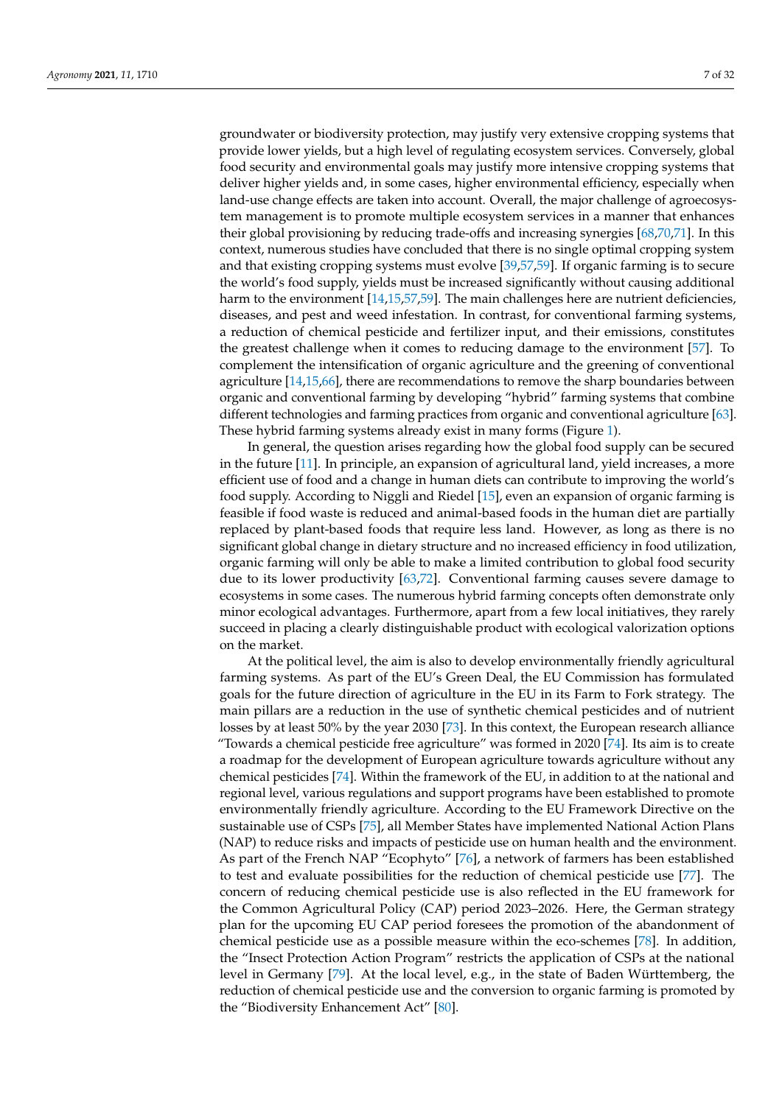groundwater or biodiversity protection, may justify very extensive cropping systems that provide lower yields, but a high level of regulating ecosystem services. Conversely, global food security and environmental goals may justify more intensive cropping systems that deliver higher yields and, in some cases, higher environmental efficiency, especially when land-use change effects are taken into account. Overall, the major challenge of agroecosystem management is to promote multiple ecosystem services in a manner that enhances their global provisioning by reducing trade-offs and increasing synergies [\[68,](#page-24-8)[70,](#page-24-10)[71\]](#page-24-11). In this context, numerous studies have concluded that there is no single optimal cropping system and that existing cropping systems must evolve [\[39](#page-23-10)[,57](#page-23-26)[,59\]](#page-23-27). If organic farming is to secure the world's food supply, yields must be increased significantly without causing additional harm to the environment [\[14](#page-22-22)[,15](#page-22-10)[,57](#page-23-26)[,59\]](#page-23-27). The main challenges here are nutrient deficiencies, diseases, and pest and weed infestation. In contrast, for conventional farming systems, a reduction of chemical pesticide and fertilizer input, and their emissions, constitutes the greatest challenge when it comes to reducing damage to the environment [\[57\]](#page-23-26). To complement the intensification of organic agriculture and the greening of conventional agriculture [\[14](#page-22-22)[,15,](#page-22-10)[66\]](#page-24-6), there are recommendations to remove the sharp boundaries between organic and conventional farming by developing "hybrid" farming systems that combine different technologies and farming practices from organic and conventional agriculture [\[63\]](#page-24-2). These hybrid farming systems already exist in many forms (Figure [1\)](#page-3-0).

In general, the question arises regarding how the global food supply can be secured in the future [\[11\]](#page-22-24). In principle, an expansion of agricultural land, yield increases, a more efficient use of food and a change in human diets can contribute to improving the world's food supply. According to Niggli and Riedel [\[15\]](#page-22-10), even an expansion of organic farming is feasible if food waste is reduced and animal-based foods in the human diet are partially replaced by plant-based foods that require less land. However, as long as there is no significant global change in dietary structure and no increased efficiency in food utilization, organic farming will only be able to make a limited contribution to global food security due to its lower productivity [\[63](#page-24-2)[,72\]](#page-24-12). Conventional farming causes severe damage to ecosystems in some cases. The numerous hybrid farming concepts often demonstrate only minor ecological advantages. Furthermore, apart from a few local initiatives, they rarely succeed in placing a clearly distinguishable product with ecological valorization options on the market.

At the political level, the aim is also to develop environmentally friendly agricultural farming systems. As part of the EU's Green Deal, the EU Commission has formulated goals for the future direction of agriculture in the EU in its Farm to Fork strategy. The main pillars are a reduction in the use of synthetic chemical pesticides and of nutrient losses by at least 50% by the year 2030 [\[73\]](#page-24-13). In this context, the European research alliance "Towards a chemical pesticide free agriculture" was formed in 2020 [\[74\]](#page-24-14). Its aim is to create a roadmap for the development of European agriculture towards agriculture without any chemical pesticides [\[74\]](#page-24-14). Within the framework of the EU, in addition to at the national and regional level, various regulations and support programs have been established to promote environmentally friendly agriculture. According to the EU Framework Directive on the sustainable use of CSPs [\[75\]](#page-24-15), all Member States have implemented National Action Plans (NAP) to reduce risks and impacts of pesticide use on human health and the environment. As part of the French NAP "Ecophyto" [\[76\]](#page-24-16), a network of farmers has been established to test and evaluate possibilities for the reduction of chemical pesticide use [\[77\]](#page-24-17). The concern of reducing chemical pesticide use is also reflected in the EU framework for the Common Agricultural Policy (CAP) period 2023–2026. Here, the German strategy plan for the upcoming EU CAP period foresees the promotion of the abandonment of chemical pesticide use as a possible measure within the eco-schemes [\[78\]](#page-24-18). In addition, the "Insect Protection Action Program" restricts the application of CSPs at the national level in Germany [\[79\]](#page-24-19). At the local level, e.g., in the state of Baden Württemberg, the reduction of chemical pesticide use and the conversion to organic farming is promoted by the "Biodiversity Enhancement Act" [\[80\]](#page-24-20).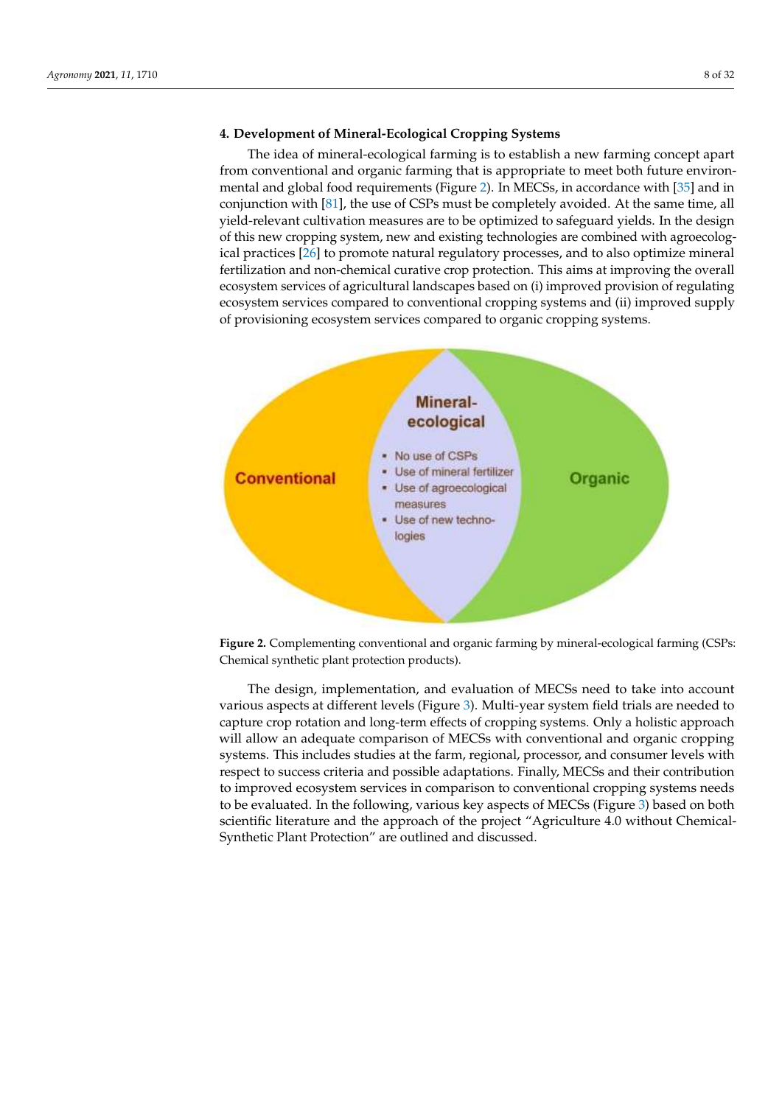## **4. Development of Mineral-Ecological Cropping Systems**

The idea of mineral-ecological farming is to establish a new farming concept apart from conventional and organic farming that is appropriate to meet both future environmental and global food requirements (Figure [2\)](#page-7-0). In MECSs, in accordance with [\[35\]](#page-23-6) and in conjunction with [\[81\]](#page-24-21), the use of CSPs must be completely avoided. At the same time, all yield-relevant cultivation measures are to be optimized to safeguard yields. In the design of this new cropping system, new and existing technologies are combined with agroecolog-ical practices [\[26\]](#page-22-18) to promote natural regulatory processes, and to also optimize mineral fertilization and non-chemical curative crop protection. This aims at improving the overall ecosystem services of agricultural landscapes based on (i) improved provision of regulating ecosystem services compared to conventional cropping systems and (ii) improved supply of provisioning ecosystem services compared to organic cropping systems.

<span id="page-7-0"></span>

Figure 2. Complementing conventional and organic farming by mineral-ecological farming (CSPs: Chemical synthetic plant protection products).

The design, implementation, and evaluation of MECSs need to take into account various [a](#page-8-0)spects at different levels (Figure 3). Multi-year system field trials are needed to capture crop rotation and long-term effects of cropping systems. Only a holistic approach will allow an adequate comparison of MECSs with conventional and organic cropping systems. This includes studies at the farm, regional, processor, and consumer levels with respect to success criteria and possible adaptations. Finally, MECSs and their contribution to improved ecosystem services in comparison to conventional cropping systems needs to be evaluated. In the following, various key aspects of MECSs (Figure [3\)](#page-8-0) based on both scientific literature and the approach of the project "Agriculture 4.0 without Chemical-Synthetic Plant Protection" are outlined and discussed.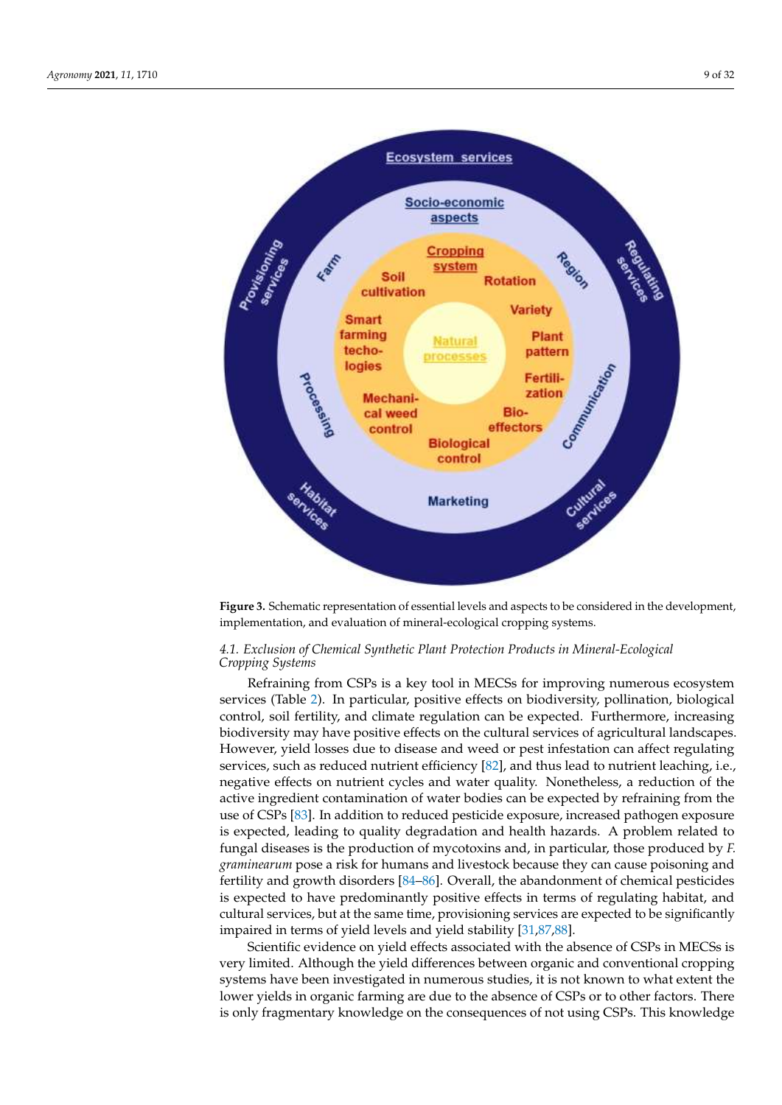<span id="page-8-0"></span>

Figure 3. Schematic representation of essential levels and aspects to be considered in the development, implementation, and evaluation of mineral-ecological cropping systems.

#### *4.1. Exclusion of Chemical Synthetic Plant Protection Products in Mineral-Ecological Cropping Systems 4.1. Exclusion of Chemical Synthetic Plant Protection Products in Mineral-Ecological* Refraining from CSPs is a key tool in MECSs for improving numerous ecosystem services (Table 2). In particular, positive effects on biodi-*Cropping Systems*

Refraining from CSPs is a key tool in MECSs for improving numerous ecosystem services (Table [2\)](#page-10-0). In particular, positive effects on biodiversity, pollination, biological control, soil fertility, and climate regulation can be expected. Furthermore, increasing biodiversity may have positive effects on the cultural services of agricultural landscapes. However, yield losses due to disease and weed or pest infestation can affect regulating services, such as reduced nutrient efficiency [\[82\]](#page-24-22), and thus lead to nutrient leaching, i.e., negative effects on nutrient cycles and water quality. Nonetheless, a reduction of the active ingredient contamination of water bodies can be expected by refraining from the use of CSPs [\[83\]](#page-24-23). In addition to reduced pesticide exposure, increased pathogen exposure is expected, leading to quality degradation and health hazards. A problem related to fungal diseases is the production of mycotoxins and, in particular, those produced by *F. graminearum* pose a risk for humans and livestock because they can cause poisoning and fertility and growth disorders [\[84–](#page-24-24)[86\]](#page-24-25). Overall, the abandonment of chemical pesticides is expected to have predominantly positive effects in terms of regulating habitat, and cultural services, but at the same time, provisioning services are expected to be significantly impaired in terms of yield levels and yield stability [\[31](#page-23-2)[,87](#page-25-0)[,88\]](#page-25-1).

Scientific evidence on yield effects associated with the absence of CSPs in MECSs is very limited. Although the yield differences between organic and conventional cropping systems have been investigated in numerous studies, it is not known to what extent the lower yields in organic farming are due to the absence of CSPs or to other factors. There is only fragmentary knowledge on the consequences of not using CSPs. This knowledge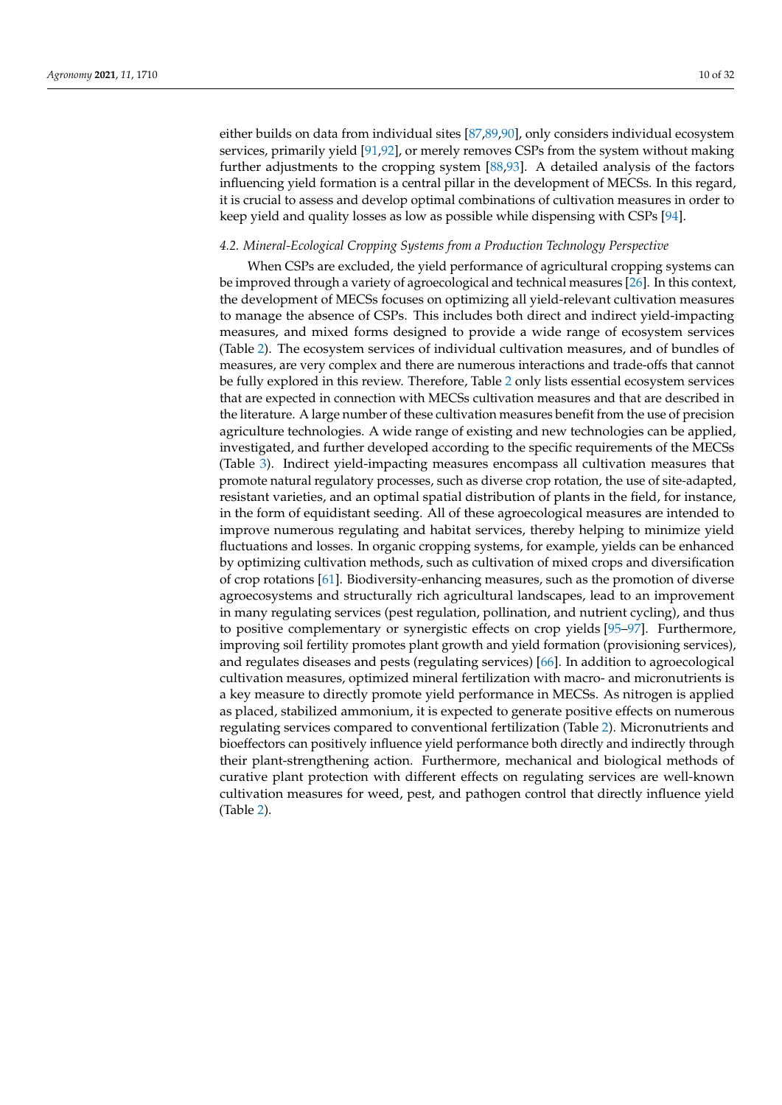either builds on data from individual sites [\[87](#page-25-0)[,89](#page-25-2)[,90\]](#page-25-3), only considers individual ecosystem services, primarily yield [\[91](#page-25-4)[,92\]](#page-25-5), or merely removes CSPs from the system without making further adjustments to the cropping system [\[88,](#page-25-1)[93\]](#page-25-6). A detailed analysis of the factors influencing yield formation is a central pillar in the development of MECSs. In this regard, it is crucial to assess and develop optimal combinations of cultivation measures in order to keep yield and quality losses as low as possible while dispensing with CSPs [\[94\]](#page-25-7).

#### <span id="page-9-0"></span>*4.2. Mineral-Ecological Cropping Systems from a Production Technology Perspective*

When CSPs are excluded, the yield performance of agricultural cropping systems can be improved through a variety of agroecological and technical measures [\[26\]](#page-22-18). In this context, the development of MECSs focuses on optimizing all yield-relevant cultivation measures to manage the absence of CSPs. This includes both direct and indirect yield-impacting measures, and mixed forms designed to provide a wide range of ecosystem services (Table [2\)](#page-10-0). The ecosystem services of individual cultivation measures, and of bundles of measures, are very complex and there are numerous interactions and trade-offs that cannot be fully explored in this review. Therefore, Table [2](#page-10-0) only lists essential ecosystem services that are expected in connection with MECSs cultivation measures and that are described in the literature. A large number of these cultivation measures benefit from the use of precision agriculture technologies. A wide range of existing and new technologies can be applied, investigated, and further developed according to the specific requirements of the MECSs (Table [3\)](#page-11-0). Indirect yield-impacting measures encompass all cultivation measures that promote natural regulatory processes, such as diverse crop rotation, the use of site-adapted, resistant varieties, and an optimal spatial distribution of plants in the field, for instance, in the form of equidistant seeding. All of these agroecological measures are intended to improve numerous regulating and habitat services, thereby helping to minimize yield fluctuations and losses. In organic cropping systems, for example, yields can be enhanced by optimizing cultivation methods, such as cultivation of mixed crops and diversification of crop rotations [\[61\]](#page-24-1). Biodiversity-enhancing measures, such as the promotion of diverse agroecosystems and structurally rich agricultural landscapes, lead to an improvement in many regulating services (pest regulation, pollination, and nutrient cycling), and thus to positive complementary or synergistic effects on crop yields [\[95](#page-25-8)[–97\]](#page-25-9). Furthermore, improving soil fertility promotes plant growth and yield formation (provisioning services), and regulates diseases and pests (regulating services) [\[66\]](#page-24-6). In addition to agroecological cultivation measures, optimized mineral fertilization with macro- and micronutrients is a key measure to directly promote yield performance in MECSs. As nitrogen is applied as placed, stabilized ammonium, it is expected to generate positive effects on numerous regulating services compared to conventional fertilization (Table [2\)](#page-10-0). Micronutrients and bioeffectors can positively influence yield performance both directly and indirectly through their plant-strengthening action. Furthermore, mechanical and biological methods of curative plant protection with different effects on regulating services are well-known cultivation measures for weed, pest, and pathogen control that directly influence yield (Table [2\)](#page-10-0).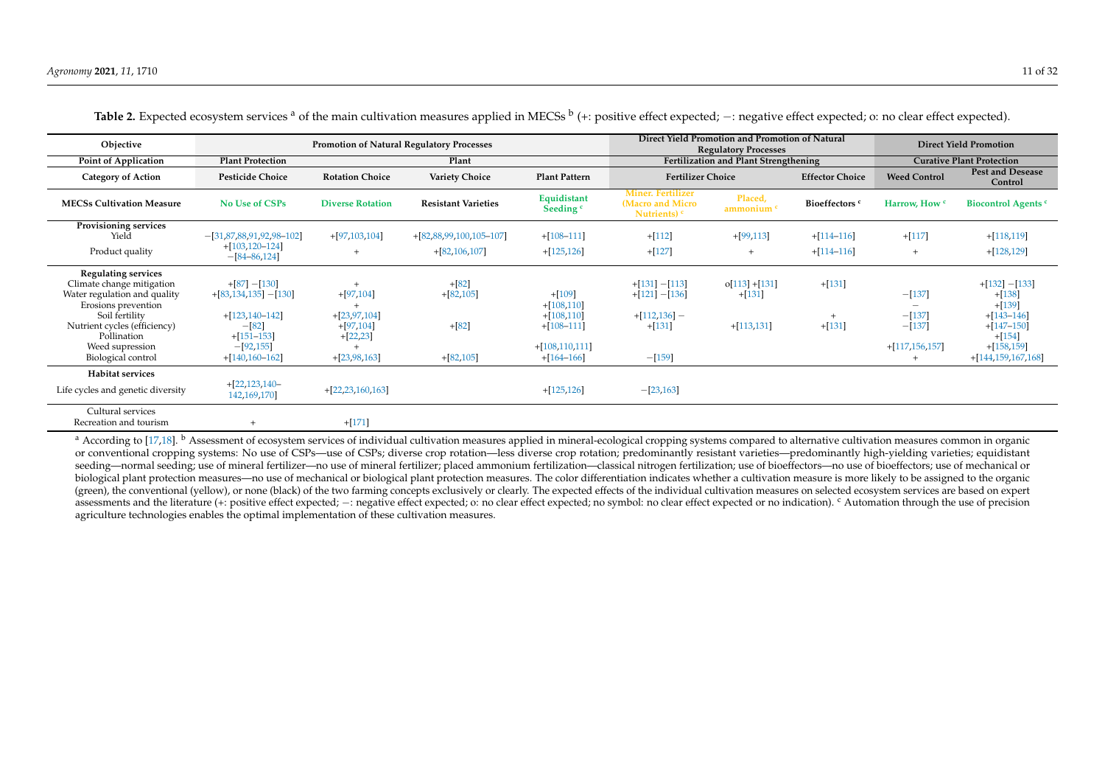| Objective                                                                                                                                                                                                                | <b>Promotion of Natural Regulatory Processes</b>                                                                                  |                                                                                 |                                                  |                                                                                                | Direct Yield Promotion and Promotion of Natural<br><b>Regulatory Processes</b> |                                             |                           | <b>Direct Yield Promotion</b>                                  |                                                                                                                                  |
|--------------------------------------------------------------------------------------------------------------------------------------------------------------------------------------------------------------------------|-----------------------------------------------------------------------------------------------------------------------------------|---------------------------------------------------------------------------------|--------------------------------------------------|------------------------------------------------------------------------------------------------|--------------------------------------------------------------------------------|---------------------------------------------|---------------------------|----------------------------------------------------------------|----------------------------------------------------------------------------------------------------------------------------------|
| Point of Application                                                                                                                                                                                                     | <b>Plant Protection</b>                                                                                                           |                                                                                 | Plant                                            |                                                                                                |                                                                                | Fertilization and Plant Strengthening       |                           |                                                                | <b>Curative Plant Protection</b>                                                                                                 |
| <b>Category of Action</b>                                                                                                                                                                                                | <b>Pesticide Choice</b>                                                                                                           | <b>Rotation Choice</b>                                                          | <b>Variety Choice</b>                            | <b>Plant Pattern</b>                                                                           | <b>Fertilizer Choice</b>                                                       |                                             | <b>Effector Choice</b>    | <b>Weed Control</b>                                            | <b>Pest and Desease</b><br>Control                                                                                               |
| <b>MECSs Cultivation Measure</b>                                                                                                                                                                                         | No Use of CSPs                                                                                                                    | <b>Diverse Rotation</b>                                                         | <b>Resistant Varieties</b>                       | Equidistant<br>Seeding <sup>c</sup>                                                            | <b>Miner. Fertilizer</b><br>(Macro and Micro<br>Nutrients) $c$                 | Placed,<br>ammonium <sup>c</sup>            | Bioeffectors <sup>c</sup> | Harrow. How c                                                  | <b>Biocontrol Agents c</b>                                                                                                       |
| Provisioning services<br>Yield                                                                                                                                                                                           | $-[31,87,88,91,92,98-102]$<br>$+[103, 120 - 124]$                                                                                 | $+[97,103,104]$                                                                 | $+[82,88,99,100,105-107]$                        | $+[108-111]$                                                                                   | $+[112]$                                                                       | $+[99,113]$                                 | $+[114-116]$              | $+[117]$                                                       | $+[118, 119]$                                                                                                                    |
| Product quality                                                                                                                                                                                                          | $-[84 - 86, 124]$                                                                                                                 |                                                                                 | $+[82,106,107]$                                  | $+[125, 126]$                                                                                  | $+[127]$                                                                       |                                             | $+[114-116]$              | $^{+}$                                                         | $+[128, 129]$                                                                                                                    |
| <b>Regulating services</b><br>Climate change mitigation<br>Water regulation and quality<br>Erosions prevention<br>Soil fertility<br>Nutrient cycles (efficiency)<br>Pollination<br>Weed supression<br>Biological control | $+[87] - [130]$<br>$+[83, 134, 135] - [130]$<br>$+[123, 140 - 142]$<br>$-[82]$<br>$+[151-153]$<br>$-[92,155]$<br>$+[140.160-162]$ | $+[97,104]$<br>$+[23, 97, 104]$<br>$+[97,104]$<br>$+[22, 23]$<br>$+[23,98,163]$ | $+[82]$<br>$+[82,105]$<br>$+[82]$<br>$+[82,105]$ | $+[109]$<br>$+[108,110]$<br>$+[108,110]$<br>$+[108-111]$<br>$+[108, 110, 111]$<br>$+[164-166]$ | $+[131]-[113]$<br>$+[121] - [136]$<br>$+[112, 136]$ –<br>$+[131]$<br>$-[159]$  | $o[113]+[131]$<br>$+[131]$<br>$+[113, 131]$ | $+[131]$<br>$+[131]$      | $-[137]$<br>$-[137]$<br>$-[137]$<br>$+[117, 156, 157]$<br>$^+$ | $+[132] - [133]$<br>$+[138]$<br>$+[139]$<br>$+[143-146]$<br>$+[147-150]$<br>$+[154]$<br>$+[158, 159]$<br>$+[144, 159, 167, 168]$ |
| <b>Habitat services</b><br>Life cycles and genetic diversity                                                                                                                                                             | $+[22, 123, 140-$<br>142, 169, 170                                                                                                | $+[22,23,160,163]$                                                              |                                                  | $+[125, 126]$                                                                                  | $-[23,163]$                                                                    |                                             |                           |                                                                |                                                                                                                                  |
| Cultural services<br>Recreation and tourism                                                                                                                                                                              | $^{+}$                                                                                                                            | $+[171]$                                                                        |                                                  |                                                                                                |                                                                                |                                             |                           |                                                                |                                                                                                                                  |

Table 2. Expected ecosystem services <sup>a</sup> of the main cultivation measures applied in MECSs <sup>b</sup> (+: positive effect expected; −: negative effect expected; o: no clear effect expected).

<span id="page-10-0"></span><sup>a</sup> According to [\[17](#page-22-27)[,18\]](#page-22-28). <sup>b</sup> Assessment of ecosystem services of individual cultivation measures applied in mineral-ecological cropping systems compared to alternative cultivation measures common in organic or conventional cropping systems: No use of CSPs—use of CSPs; diverse crop rotation—less diverse crop rotation; predominantly resistant varieties—predominantly high-yielding varieties; equidistant seeding—normal seeding; use of mineral fertilizer—no use of mineral fertilizer; placed ammonium fertilization—classical nitrogen fertilization; use of bioeffectors—no use of bioeffectors; use of mechanical or biological plant protection measures—no use of mechanical or biological plant protection measures. The color differentiation indicates whether a cultivation measure is more likely to be assigned to the organic (green), the conventional (yellow), or none (black) of the two farming concepts exclusively or clearly. The expected effects of the individual cultivation measures on selected ecosystem services are based on expert assessments and the literature (+: positive effect expected; -: negative effect expected; o: no clear effect expected; no symbol: no clear effect expected or no indication). <sup>c</sup> Automation through the use of precision agriculture technologies enables the optimal implementation of these cultivation measures.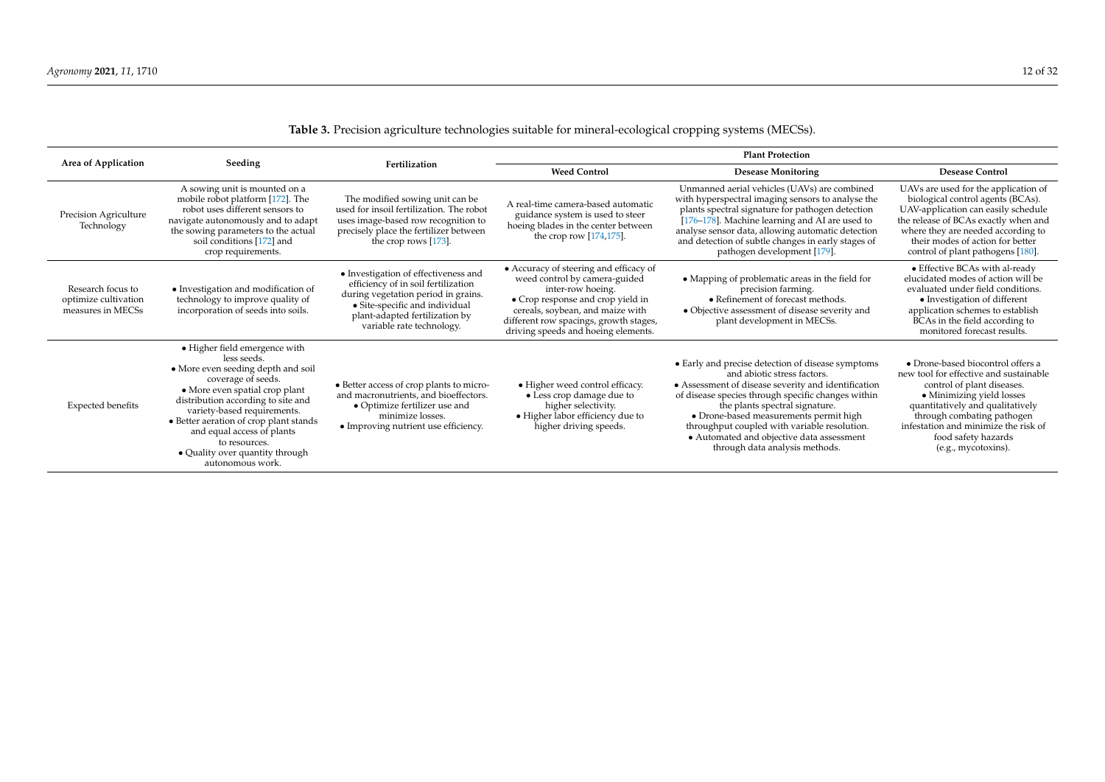<span id="page-11-0"></span>

| 2000 processor agriculture technologies summer for mineral ecological cropping systems (milless) |                                                                                                                                                                                                                                                                                                                                                                 |                                                                                                                                                                                                                     |                                                                                                                                                                                                                                                        |                                                                                                                                                                                                                                                                                                                                                                                                          |                                                                                                                                                                                                                                                                                                |  |  |  |
|--------------------------------------------------------------------------------------------------|-----------------------------------------------------------------------------------------------------------------------------------------------------------------------------------------------------------------------------------------------------------------------------------------------------------------------------------------------------------------|---------------------------------------------------------------------------------------------------------------------------------------------------------------------------------------------------------------------|--------------------------------------------------------------------------------------------------------------------------------------------------------------------------------------------------------------------------------------------------------|----------------------------------------------------------------------------------------------------------------------------------------------------------------------------------------------------------------------------------------------------------------------------------------------------------------------------------------------------------------------------------------------------------|------------------------------------------------------------------------------------------------------------------------------------------------------------------------------------------------------------------------------------------------------------------------------------------------|--|--|--|
| Area of Application                                                                              |                                                                                                                                                                                                                                                                                                                                                                 |                                                                                                                                                                                                                     | <b>Plant Protection</b>                                                                                                                                                                                                                                |                                                                                                                                                                                                                                                                                                                                                                                                          |                                                                                                                                                                                                                                                                                                |  |  |  |
|                                                                                                  | Seeding                                                                                                                                                                                                                                                                                                                                                         | Fertilization                                                                                                                                                                                                       | <b>Weed Control</b>                                                                                                                                                                                                                                    | <b>Desease Monitoring</b>                                                                                                                                                                                                                                                                                                                                                                                | <b>Desease Control</b>                                                                                                                                                                                                                                                                         |  |  |  |
| Precision Agriculture<br>Technology                                                              | A sowing unit is mounted on a<br>mobile robot platform [172]. The<br>robot uses different sensors to<br>navigate autonomously and to adapt<br>the sowing parameters to the actual<br>soil conditions [172] and<br>crop requirements.                                                                                                                            | The modified sowing unit can be<br>used for insoil fertilization. The robot<br>uses image-based row recognition to<br>precisely place the fertilizer between<br>the crop rows $[173]$ .                             | A real-time camera-based automatic<br>guidance system is used to steer<br>hoeing blades in the center between<br>the crop row [174,175].                                                                                                               | Unmanned aerial vehicles (UAVs) are combined<br>with hyperspectral imaging sensors to analyse the<br>plants spectral signature for pathogen detection<br>[176-178]. Machine learning and AI are used to<br>analyse sensor data, allowing automatic detection<br>and detection of subtle changes in early stages of<br>pathogen development [179].                                                        | UAVs are used for the application of<br>biological control agents (BCAs).<br>UAV-application can easily schedule<br>the release of BCAs exactly when and<br>where they are needed according to<br>their modes of action for better<br>control of plant pathogens [180].                        |  |  |  |
| Research focus to<br>optimize cultivation<br>measures in MECSs                                   | • Investigation and modification of<br>technology to improve quality of<br>incorporation of seeds into soils.                                                                                                                                                                                                                                                   | • Investigation of effectiveness and<br>efficiency of in soil fertilization<br>during vegetation period in grains.<br>• Site-specific and individual<br>plant-adapted fertilization by<br>variable rate technology. | • Accuracy of steering and efficacy of<br>weed control by camera-guided<br>inter-row hoeing.<br>• Crop response and crop yield in<br>cereals, soybean, and maize with<br>different row spacings, growth stages,<br>driving speeds and hoeing elements. | • Mapping of problematic areas in the field for<br>precision farming.<br>• Refinement of forecast methods.<br>• Objective assessment of disease severity and<br>plant development in MECSs.                                                                                                                                                                                                              | • Effective BCAs with al-ready<br>elucidated modes of action will be<br>evaluated under field conditions.<br>• Investigation of different<br>application schemes to establish<br>BCAs in the field according to<br>monitored forecast results.                                                 |  |  |  |
| <b>Expected benefits</b>                                                                         | • Higher field emergence with<br>less seeds.<br>• More even seeding depth and soil<br>coverage of seeds.<br>• More even spatial crop plant<br>distribution according to site and<br>variety-based requirements.<br>• Better aeration of crop plant stands<br>and equal access of plants<br>to resources.<br>• Quality over quantity through<br>autonomous work. | • Better access of crop plants to micro-<br>and macronutrients, and bioeffectors.<br>• Optimize fertilizer use and<br>minimize losses.<br>• Improving nutrient use efficiency.                                      | • Higher weed control efficacy.<br>• Less crop damage due to<br>higher selectivity.<br>• Higher labor efficiency due to<br>higher driving speeds.                                                                                                      | • Early and precise detection of disease symptoms<br>and abiotic stress factors.<br>• Assessment of disease severity and identification<br>of disease species through specific changes within<br>the plants spectral signature.<br>• Drone-based measurements permit high<br>throughput coupled with variable resolution.<br>• Automated and objective data assessment<br>through data analysis methods. | • Drone-based biocontrol offers a<br>new tool for effective and sustainable<br>control of plant diseases.<br>• Minimizing yield losses<br>quantitatively and qualitatively<br>through combating pathogen<br>infestation and minimize the risk of<br>food safety hazards<br>(e.g., mycotoxins). |  |  |  |

## **Table 3.** Precision agriculture technologies suitable for mineral-ecological cropping systems (MECSs).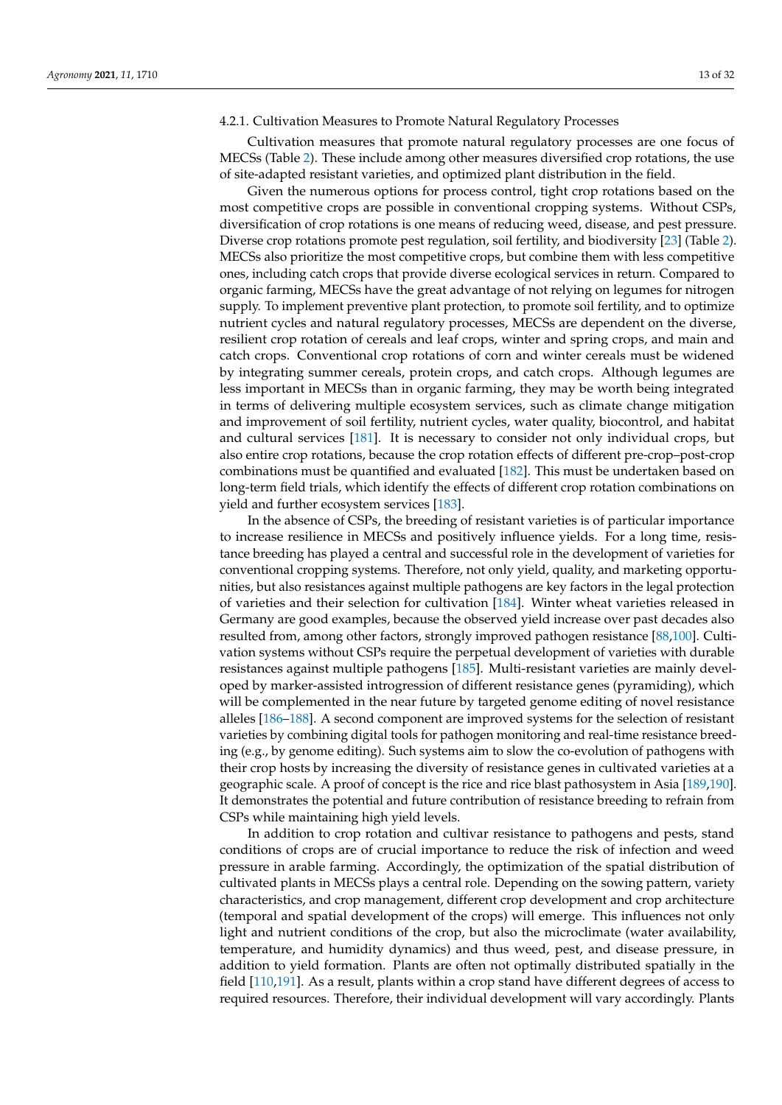#### 4.2.1. Cultivation Measures to Promote Natural Regulatory Processes

Cultivation measures that promote natural regulatory processes are one focus of MECSs (Table [2\)](#page-10-0). These include among other measures diversified crop rotations, the use of site-adapted resistant varieties, and optimized plant distribution in the field.

Given the numerous options for process control, tight crop rotations based on the most competitive crops are possible in conventional cropping systems. Without CSPs, diversification of crop rotations is one means of reducing weed, disease, and pest pressure. Diverse crop rotations promote pest regulation, soil fertility, and biodiversity [\[23\]](#page-22-15) (Table [2\)](#page-10-0). MECSs also prioritize the most competitive crops, but combine them with less competitive ones, including catch crops that provide diverse ecological services in return. Compared to organic farming, MECSs have the great advantage of not relying on legumes for nitrogen supply. To implement preventive plant protection, to promote soil fertility, and to optimize nutrient cycles and natural regulatory processes, MECSs are dependent on the diverse, resilient crop rotation of cereals and leaf crops, winter and spring crops, and main and catch crops. Conventional crop rotations of corn and winter cereals must be widened by integrating summer cereals, protein crops, and catch crops. Although legumes are less important in MECSs than in organic farming, they may be worth being integrated in terms of delivering multiple ecosystem services, such as climate change mitigation and improvement of soil fertility, nutrient cycles, water quality, biocontrol, and habitat and cultural services [\[181\]](#page-28-13). It is necessary to consider not only individual crops, but also entire crop rotations, because the crop rotation effects of different pre-crop–post-crop combinations must be quantified and evaluated [\[182\]](#page-28-14). This must be undertaken based on long-term field trials, which identify the effects of different crop rotation combinations on yield and further ecosystem services [\[183\]](#page-28-15).

In the absence of CSPs, the breeding of resistant varieties is of particular importance to increase resilience in MECSs and positively influence yields. For a long time, resistance breeding has played a central and successful role in the development of varieties for conventional cropping systems. Therefore, not only yield, quality, and marketing opportunities, but also resistances against multiple pathogens are key factors in the legal protection of varieties and their selection for cultivation [\[184\]](#page-28-16). Winter wheat varieties released in Germany are good examples, because the observed yield increase over past decades also resulted from, among other factors, strongly improved pathogen resistance [\[88](#page-25-1)[,100\]](#page-25-30). Cultivation systems without CSPs require the perpetual development of varieties with durable resistances against multiple pathogens [\[185\]](#page-28-17). Multi-resistant varieties are mainly developed by marker-assisted introgression of different resistance genes (pyramiding), which will be complemented in the near future by targeted genome editing of novel resistance alleles [\[186](#page-28-18)[–188\]](#page-28-19). A second component are improved systems for the selection of resistant varieties by combining digital tools for pathogen monitoring and real-time resistance breeding (e.g., by genome editing). Such systems aim to slow the co-evolution of pathogens with their crop hosts by increasing the diversity of resistance genes in cultivated varieties at a geographic scale. A proof of concept is the rice and rice blast pathosystem in Asia [\[189](#page-28-20)[,190\]](#page-28-21). It demonstrates the potential and future contribution of resistance breeding to refrain from CSPs while maintaining high yield levels.

In addition to crop rotation and cultivar resistance to pathogens and pests, stand conditions of crops are of crucial importance to reduce the risk of infection and weed pressure in arable farming. Accordingly, the optimization of the spatial distribution of cultivated plants in MECSs plays a central role. Depending on the sowing pattern, variety characteristics, and crop management, different crop development and crop architecture (temporal and spatial development of the crops) will emerge. This influences not only light and nutrient conditions of the crop, but also the microclimate (water availability, temperature, and humidity dynamics) and thus weed, pest, and disease pressure, in addition to yield formation. Plants are often not optimally distributed spatially in the field [\[110](#page-25-31)[,191\]](#page-28-22). As a result, plants within a crop stand have different degrees of access to required resources. Therefore, their individual development will vary accordingly. Plants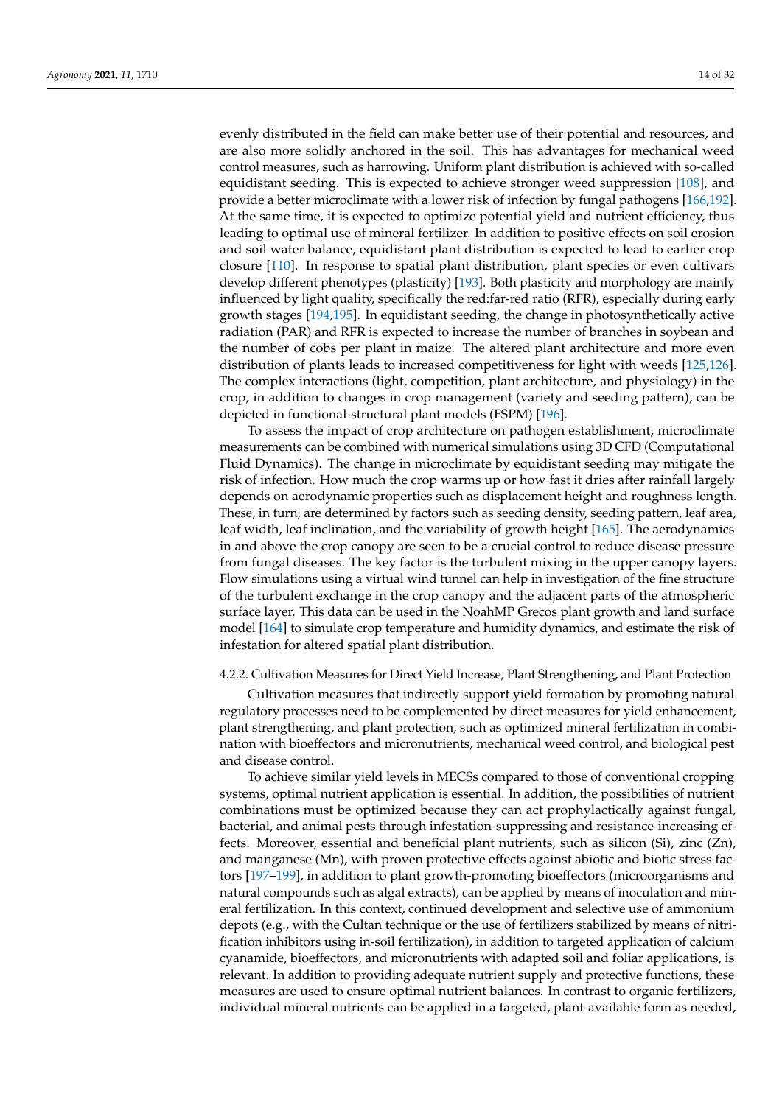evenly distributed in the field can make better use of their potential and resources, and are also more solidly anchored in the soil. This has advantages for mechanical weed control measures, such as harrowing. Uniform plant distribution is achieved with so-called equidistant seeding. This is expected to achieve stronger weed suppression [\[108\]](#page-25-32), and provide a better microclimate with a lower risk of infection by fungal pathogens [\[166](#page-27-20)[,192\]](#page-28-23). At the same time, it is expected to optimize potential yield and nutrient efficiency, thus leading to optimal use of mineral fertilizer. In addition to positive effects on soil erosion and soil water balance, equidistant plant distribution is expected to lead to earlier crop closure [\[110\]](#page-25-31). In response to spatial plant distribution, plant species or even cultivars develop different phenotypes (plasticity) [\[193\]](#page-28-24). Both plasticity and morphology are mainly influenced by light quality, specifically the red:far-red ratio (RFR), especially during early growth stages [\[194,](#page-28-25)[195\]](#page-29-0). In equidistant seeding, the change in photosynthetically active radiation (PAR) and RFR is expected to increase the number of branches in soybean and the number of cobs per plant in maize. The altered plant architecture and more even distribution of plants leads to increased competitiveness for light with weeds [\[125,](#page-26-24)[126\]](#page-26-25). The complex interactions (light, competition, plant architecture, and physiology) in the crop, in addition to changes in crop management (variety and seeding pattern), can be depicted in functional-structural plant models (FSPM) [\[196\]](#page-29-1).

To assess the impact of crop architecture on pathogen establishment, microclimate measurements can be combined with numerical simulations using 3D CFD (Computational Fluid Dynamics). The change in microclimate by equidistant seeding may mitigate the risk of infection. How much the crop warms up or how fast it dries after rainfall largely depends on aerodynamic properties such as displacement height and roughness length. These, in turn, are determined by factors such as seeding density, seeding pattern, leaf area, leaf width, leaf inclination, and the variability of growth height [\[165\]](#page-27-21). The aerodynamics in and above the crop canopy are seen to be a crucial control to reduce disease pressure from fungal diseases. The key factor is the turbulent mixing in the upper canopy layers. Flow simulations using a virtual wind tunnel can help in investigation of the fine structure of the turbulent exchange in the crop canopy and the adjacent parts of the atmospheric surface layer. This data can be used in the NoahMP Grecos plant growth and land surface model [\[164\]](#page-27-22) to simulate crop temperature and humidity dynamics, and estimate the risk of infestation for altered spatial plant distribution.

#### 4.2.2. Cultivation Measures for Direct Yield Increase, Plant Strengthening, and Plant Protection

Cultivation measures that indirectly support yield formation by promoting natural regulatory processes need to be complemented by direct measures for yield enhancement, plant strengthening, and plant protection, such as optimized mineral fertilization in combination with bioeffectors and micronutrients, mechanical weed control, and biological pest and disease control.

To achieve similar yield levels in MECSs compared to those of conventional cropping systems, optimal nutrient application is essential. In addition, the possibilities of nutrient combinations must be optimized because they can act prophylactically against fungal, bacterial, and animal pests through infestation-suppressing and resistance-increasing effects. Moreover, essential and beneficial plant nutrients, such as silicon (Si), zinc (Zn), and manganese (Mn), with proven protective effects against abiotic and biotic stress factors [\[197](#page-29-2)[–199\]](#page-29-3), in addition to plant growth-promoting bioeffectors (microorganisms and natural compounds such as algal extracts), can be applied by means of inoculation and mineral fertilization. In this context, continued development and selective use of ammonium depots (e.g., with the Cultan technique or the use of fertilizers stabilized by means of nitrification inhibitors using in-soil fertilization), in addition to targeted application of calcium cyanamide, bioeffectors, and micronutrients with adapted soil and foliar applications, is relevant. In addition to providing adequate nutrient supply and protective functions, these measures are used to ensure optimal nutrient balances. In contrast to organic fertilizers, individual mineral nutrients can be applied in a targeted, plant-available form as needed,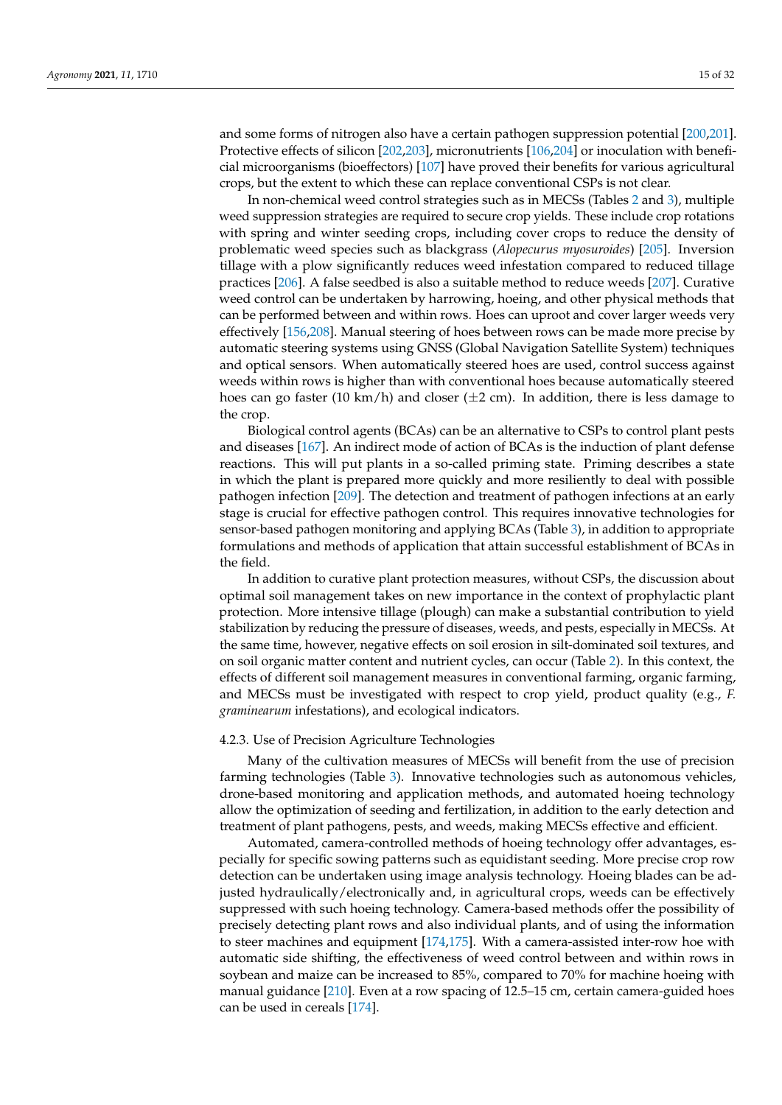and some forms of nitrogen also have a certain pathogen suppression potential [\[200,](#page-29-4)[201\]](#page-29-5). Protective effects of silicon [\[202](#page-29-6)[,203\]](#page-29-7), micronutrients [\[106,](#page-25-33)[204\]](#page-29-8) or inoculation with beneficial microorganisms (bioeffectors) [\[107\]](#page-25-34) have proved their benefits for various agricultural crops, but the extent to which these can replace conventional CSPs is not clear.

In non-chemical weed control strategies such as in MECSs (Tables [2](#page-10-0) and [3\)](#page-11-0), multiple weed suppression strategies are required to secure crop yields. These include crop rotations with spring and winter seeding crops, including cover crops to reduce the density of problematic weed species such as blackgrass (*Alopecurus myosuroides*) [\[205\]](#page-29-9). Inversion tillage with a plow significantly reduces weed infestation compared to reduced tillage practices [\[206\]](#page-29-10). A false seedbed is also a suitable method to reduce weeds [\[207\]](#page-29-11). Curative weed control can be undertaken by harrowing, hoeing, and other physical methods that can be performed between and within rows. Hoes can uproot and cover larger weeds very effectively [\[156,](#page-27-23)[208\]](#page-29-12). Manual steering of hoes between rows can be made more precise by automatic steering systems using GNSS (Global Navigation Satellite System) techniques and optical sensors. When automatically steered hoes are used, control success against weeds within rows is higher than with conventional hoes because automatically steered hoes can go faster (10 km/h) and closer ( $\pm$ 2 cm). In addition, there is less damage to the crop.

Biological control agents (BCAs) can be an alternative to CSPs to control plant pests and diseases [\[167\]](#page-28-26). An indirect mode of action of BCAs is the induction of plant defense reactions. This will put plants in a so-called priming state. Priming describes a state in which the plant is prepared more quickly and more resiliently to deal with possible pathogen infection [\[209\]](#page-29-13). The detection and treatment of pathogen infections at an early stage is crucial for effective pathogen control. This requires innovative technologies for sensor-based pathogen monitoring and applying BCAs (Table [3\)](#page-11-0), in addition to appropriate formulations and methods of application that attain successful establishment of BCAs in the field.

In addition to curative plant protection measures, without CSPs, the discussion about optimal soil management takes on new importance in the context of prophylactic plant protection. More intensive tillage (plough) can make a substantial contribution to yield stabilization by reducing the pressure of diseases, weeds, and pests, especially in MECSs. At the same time, however, negative effects on soil erosion in silt-dominated soil textures, and on soil organic matter content and nutrient cycles, can occur (Table [2\)](#page-10-0). In this context, the effects of different soil management measures in conventional farming, organic farming, and MECSs must be investigated with respect to crop yield, product quality (e.g., *F. graminearum* infestations), and ecological indicators.

#### 4.2.3. Use of Precision Agriculture Technologies

Many of the cultivation measures of MECSs will benefit from the use of precision farming technologies (Table [3\)](#page-11-0). Innovative technologies such as autonomous vehicles, drone-based monitoring and application methods, and automated hoeing technology allow the optimization of seeding and fertilization, in addition to the early detection and treatment of plant pathogens, pests, and weeds, making MECSs effective and efficient.

Automated, camera-controlled methods of hoeing technology offer advantages, especially for specific sowing patterns such as equidistant seeding. More precise crop row detection can be undertaken using image analysis technology. Hoeing blades can be adjusted hydraulically/electronically and, in agricultural crops, weeds can be effectively suppressed with such hoeing technology. Camera-based methods offer the possibility of precisely detecting plant rows and also individual plants, and of using the information to steer machines and equipment [\[174,](#page-28-27)[175\]](#page-28-28). With a camera-assisted inter-row hoe with automatic side shifting, the effectiveness of weed control between and within rows in soybean and maize can be increased to 85%, compared to 70% for machine hoeing with manual guidance [\[210\]](#page-29-14). Even at a row spacing of 12.5–15 cm, certain camera-guided hoes can be used in cereals [\[174\]](#page-28-27).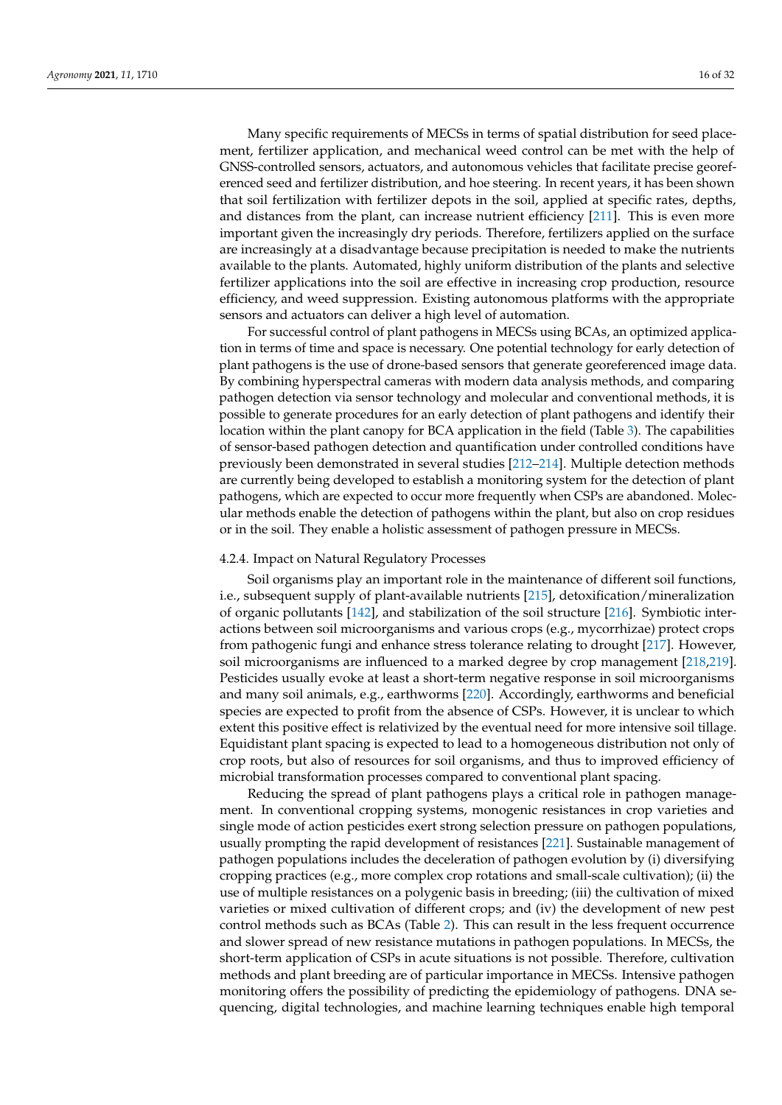Many specific requirements of MECSs in terms of spatial distribution for seed placement, fertilizer application, and mechanical weed control can be met with the help of GNSS-controlled sensors, actuators, and autonomous vehicles that facilitate precise georeferenced seed and fertilizer distribution, and hoe steering. In recent years, it has been shown that soil fertilization with fertilizer depots in the soil, applied at specific rates, depths, and distances from the plant, can increase nutrient efficiency [\[211\]](#page-29-15). This is even more important given the increasingly dry periods. Therefore, fertilizers applied on the surface are increasingly at a disadvantage because precipitation is needed to make the nutrients available to the plants. Automated, highly uniform distribution of the plants and selective fertilizer applications into the soil are effective in increasing crop production, resource efficiency, and weed suppression. Existing autonomous platforms with the appropriate sensors and actuators can deliver a high level of automation.

For successful control of plant pathogens in MECSs using BCAs, an optimized application in terms of time and space is necessary. One potential technology for early detection of plant pathogens is the use of drone-based sensors that generate georeferenced image data. By combining hyperspectral cameras with modern data analysis methods, and comparing pathogen detection via sensor technology and molecular and conventional methods, it is possible to generate procedures for an early detection of plant pathogens and identify their location within the plant canopy for BCA application in the field (Table [3\)](#page-11-0). The capabilities of sensor-based pathogen detection and quantification under controlled conditions have previously been demonstrated in several studies [\[212](#page-29-16)[–214\]](#page-29-17). Multiple detection methods are currently being developed to establish a monitoring system for the detection of plant pathogens, which are expected to occur more frequently when CSPs are abandoned. Molecular methods enable the detection of pathogens within the plant, but also on crop residues or in the soil. They enable a holistic assessment of pathogen pressure in MECSs.

#### 4.2.4. Impact on Natural Regulatory Processes

Soil organisms play an important role in the maintenance of different soil functions, i.e., subsequent supply of plant-available nutrients [\[215\]](#page-29-18), detoxification/mineralization of organic pollutants [\[142\]](#page-27-24), and stabilization of the soil structure [\[216\]](#page-29-19). Symbiotic interactions between soil microorganisms and various crops (e.g., mycorrhizae) protect crops from pathogenic fungi and enhance stress tolerance relating to drought [\[217\]](#page-29-20). However, soil microorganisms are influenced to a marked degree by crop management [\[218,](#page-29-21)[219\]](#page-29-22). Pesticides usually evoke at least a short-term negative response in soil microorganisms and many soil animals, e.g., earthworms [\[220\]](#page-29-23). Accordingly, earthworms and beneficial species are expected to profit from the absence of CSPs. However, it is unclear to which extent this positive effect is relativized by the eventual need for more intensive soil tillage. Equidistant plant spacing is expected to lead to a homogeneous distribution not only of crop roots, but also of resources for soil organisms, and thus to improved efficiency of microbial transformation processes compared to conventional plant spacing.

Reducing the spread of plant pathogens plays a critical role in pathogen management. In conventional cropping systems, monogenic resistances in crop varieties and single mode of action pesticides exert strong selection pressure on pathogen populations, usually prompting the rapid development of resistances [\[221\]](#page-29-24). Sustainable management of pathogen populations includes the deceleration of pathogen evolution by (i) diversifying cropping practices (e.g., more complex crop rotations and small-scale cultivation); (ii) the use of multiple resistances on a polygenic basis in breeding; (iii) the cultivation of mixed varieties or mixed cultivation of different crops; and (iv) the development of new pest control methods such as BCAs (Table [2\)](#page-10-0). This can result in the less frequent occurrence and slower spread of new resistance mutations in pathogen populations. In MECSs, the short-term application of CSPs in acute situations is not possible. Therefore, cultivation methods and plant breeding are of particular importance in MECSs. Intensive pathogen monitoring offers the possibility of predicting the epidemiology of pathogens. DNA sequencing, digital technologies, and machine learning techniques enable high temporal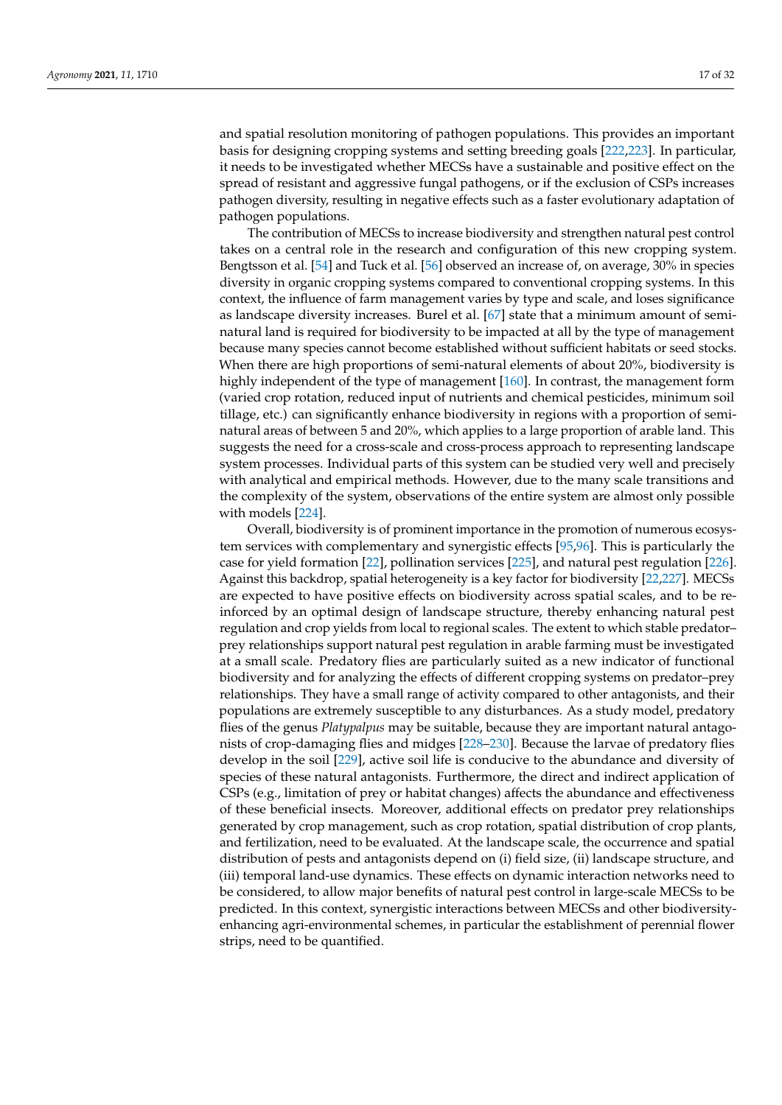and spatial resolution monitoring of pathogen populations. This provides an important basis for designing cropping systems and setting breeding goals [\[222](#page-29-25)[,223\]](#page-30-0). In particular, it needs to be investigated whether MECSs have a sustainable and positive effect on the spread of resistant and aggressive fungal pathogens, or if the exclusion of CSPs increases pathogen diversity, resulting in negative effects such as a faster evolutionary adaptation of pathogen populations.

The contribution of MECSs to increase biodiversity and strengthen natural pest control takes on a central role in the research and configuration of this new cropping system. Bengtsson et al. [\[54\]](#page-23-29) and Tuck et al. [\[56\]](#page-23-30) observed an increase of, on average, 30% in species diversity in organic cropping systems compared to conventional cropping systems. In this context, the influence of farm management varies by type and scale, and loses significance as landscape diversity increases. Burel et al. [\[67\]](#page-24-7) state that a minimum amount of seminatural land is required for biodiversity to be impacted at all by the type of management because many species cannot become established without sufficient habitats or seed stocks. When there are high proportions of semi-natural elements of about 20%, biodiversity is highly independent of the type of management [\[160\]](#page-27-25). In contrast, the management form (varied crop rotation, reduced input of nutrients and chemical pesticides, minimum soil tillage, etc.) can significantly enhance biodiversity in regions with a proportion of seminatural areas of between 5 and 20%, which applies to a large proportion of arable land. This suggests the need for a cross-scale and cross-process approach to representing landscape system processes. Individual parts of this system can be studied very well and precisely with analytical and empirical methods. However, due to the many scale transitions and the complexity of the system, observations of the entire system are almost only possible with models [\[224\]](#page-30-1).

Overall, biodiversity is of prominent importance in the promotion of numerous ecosystem services with complementary and synergistic effects [\[95](#page-25-8)[,96\]](#page-25-35). This is particularly the case for yield formation [\[22\]](#page-22-21), pollination services [\[225\]](#page-30-2), and natural pest regulation [\[226\]](#page-30-3). Against this backdrop, spatial heterogeneity is a key factor for biodiversity [\[22](#page-22-21)[,227\]](#page-30-4). MECSs are expected to have positive effects on biodiversity across spatial scales, and to be reinforced by an optimal design of landscape structure, thereby enhancing natural pest regulation and crop yields from local to regional scales. The extent to which stable predator– prey relationships support natural pest regulation in arable farming must be investigated at a small scale. Predatory flies are particularly suited as a new indicator of functional biodiversity and for analyzing the effects of different cropping systems on predator–prey relationships. They have a small range of activity compared to other antagonists, and their populations are extremely susceptible to any disturbances. As a study model, predatory flies of the genus *Platypalpus* may be suitable, because they are important natural antagonists of crop-damaging flies and midges [\[228–](#page-30-5)[230\]](#page-30-6). Because the larvae of predatory flies develop in the soil [\[229\]](#page-30-7), active soil life is conducive to the abundance and diversity of species of these natural antagonists. Furthermore, the direct and indirect application of CSPs (e.g., limitation of prey or habitat changes) affects the abundance and effectiveness of these beneficial insects. Moreover, additional effects on predator prey relationships generated by crop management, such as crop rotation, spatial distribution of crop plants, and fertilization, need to be evaluated. At the landscape scale, the occurrence and spatial distribution of pests and antagonists depend on (i) field size, (ii) landscape structure, and (iii) temporal land-use dynamics. These effects on dynamic interaction networks need to be considered, to allow major benefits of natural pest control in large-scale MECSs to be predicted. In this context, synergistic interactions between MECSs and other biodiversityenhancing agri-environmental schemes, in particular the establishment of perennial flower strips, need to be quantified.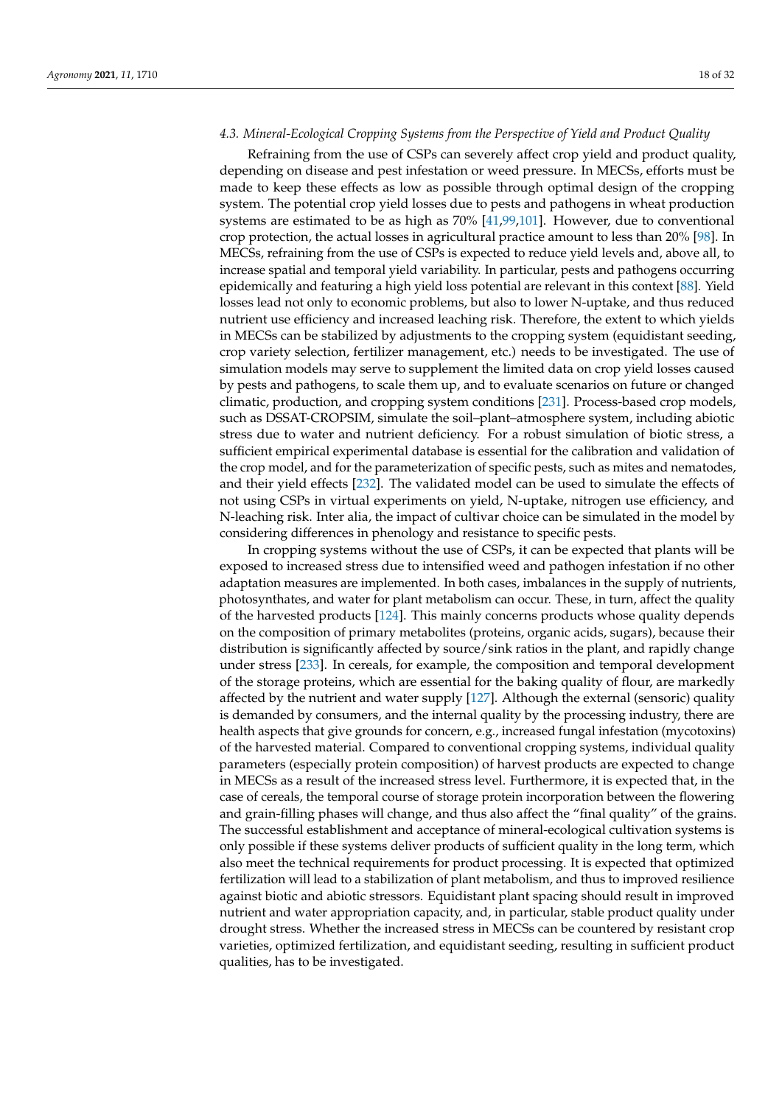## *4.3. Mineral-Ecological Cropping Systems from the Perspective of Yield and Product Quality*

Refraining from the use of CSPs can severely affect crop yield and product quality, depending on disease and pest infestation or weed pressure. In MECSs, efforts must be made to keep these effects as low as possible through optimal design of the cropping system. The potential crop yield losses due to pests and pathogens in wheat production systems are estimated to be as high as 70% [\[41](#page-23-12)[,99,](#page-25-36)[101\]](#page-25-37). However, due to conventional crop protection, the actual losses in agricultural practice amount to less than 20% [\[98\]](#page-25-38). In MECSs, refraining from the use of CSPs is expected to reduce yield levels and, above all, to increase spatial and temporal yield variability. In particular, pests and pathogens occurring epidemically and featuring a high yield loss potential are relevant in this context [\[88\]](#page-25-1). Yield losses lead not only to economic problems, but also to lower N-uptake, and thus reduced nutrient use efficiency and increased leaching risk. Therefore, the extent to which yields in MECSs can be stabilized by adjustments to the cropping system (equidistant seeding, crop variety selection, fertilizer management, etc.) needs to be investigated. The use of simulation models may serve to supplement the limited data on crop yield losses caused by pests and pathogens, to scale them up, and to evaluate scenarios on future or changed climatic, production, and cropping system conditions [\[231\]](#page-30-8). Process-based crop models, such as DSSAT-CROPSIM, simulate the soil–plant–atmosphere system, including abiotic stress due to water and nutrient deficiency. For a robust simulation of biotic stress, a sufficient empirical experimental database is essential for the calibration and validation of the crop model, and for the parameterization of specific pests, such as mites and nematodes, and their yield effects [\[232\]](#page-30-9). The validated model can be used to simulate the effects of not using CSPs in virtual experiments on yield, N-uptake, nitrogen use efficiency, and N-leaching risk. Inter alia, the impact of cultivar choice can be simulated in the model by considering differences in phenology and resistance to specific pests.

In cropping systems without the use of CSPs, it can be expected that plants will be exposed to increased stress due to intensified weed and pathogen infestation if no other adaptation measures are implemented. In both cases, imbalances in the supply of nutrients, photosynthates, and water for plant metabolism can occur. These, in turn, affect the quality of the harvested products [\[124\]](#page-26-26). This mainly concerns products whose quality depends on the composition of primary metabolites (proteins, organic acids, sugars), because their distribution is significantly affected by source/sink ratios in the plant, and rapidly change under stress [\[233\]](#page-30-10). In cereals, for example, the composition and temporal development of the storage proteins, which are essential for the baking quality of flour, are markedly affected by the nutrient and water supply [\[127\]](#page-26-27). Although the external (sensoric) quality is demanded by consumers, and the internal quality by the processing industry, there are health aspects that give grounds for concern, e.g., increased fungal infestation (mycotoxins) of the harvested material. Compared to conventional cropping systems, individual quality parameters (especially protein composition) of harvest products are expected to change in MECSs as a result of the increased stress level. Furthermore, it is expected that, in the case of cereals, the temporal course of storage protein incorporation between the flowering and grain-filling phases will change, and thus also affect the "final quality" of the grains. The successful establishment and acceptance of mineral-ecological cultivation systems is only possible if these systems deliver products of sufficient quality in the long term, which also meet the technical requirements for product processing. It is expected that optimized fertilization will lead to a stabilization of plant metabolism, and thus to improved resilience against biotic and abiotic stressors. Equidistant plant spacing should result in improved nutrient and water appropriation capacity, and, in particular, stable product quality under drought stress. Whether the increased stress in MECSs can be countered by resistant crop varieties, optimized fertilization, and equidistant seeding, resulting in sufficient product qualities, has to be investigated.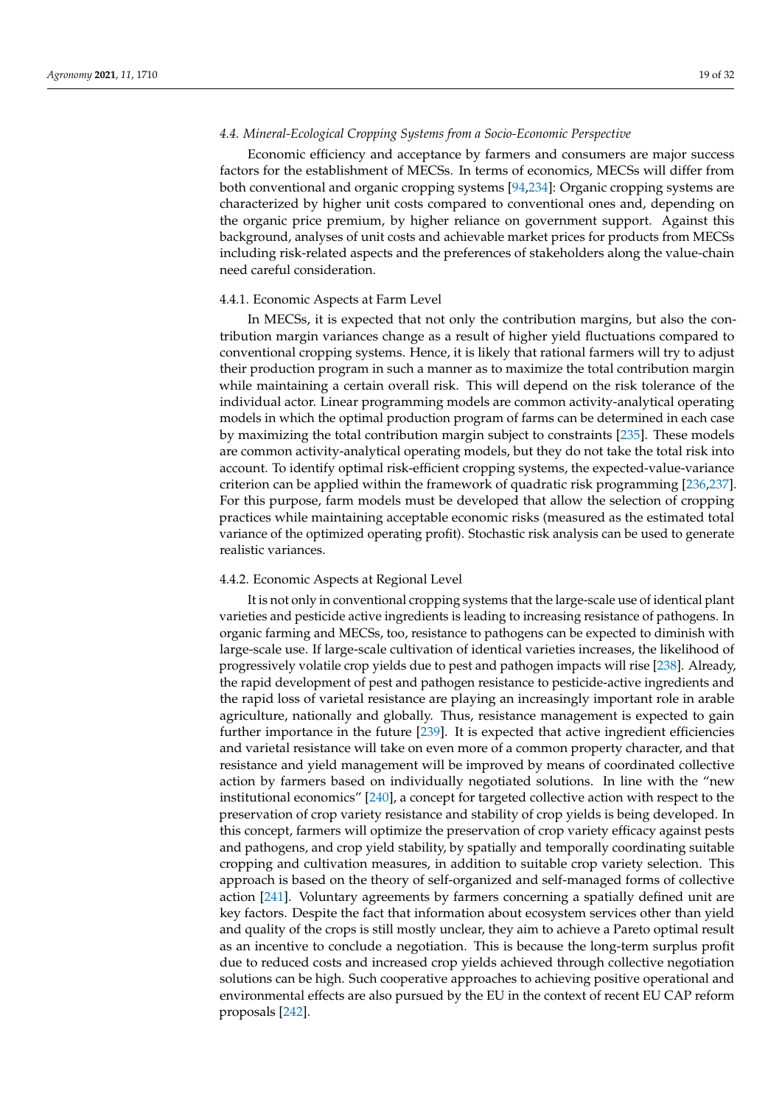## *4.4. Mineral-Ecological Cropping Systems from a Socio-Economic Perspective*

Economic efficiency and acceptance by farmers and consumers are major success factors for the establishment of MECSs. In terms of economics, MECSs will differ from both conventional and organic cropping systems [\[94,](#page-25-7)[234\]](#page-30-11): Organic cropping systems are characterized by higher unit costs compared to conventional ones and, depending on the organic price premium, by higher reliance on government support. Against this background, analyses of unit costs and achievable market prices for products from MECSs including risk-related aspects and the preferences of stakeholders along the value-chain need careful consideration.

#### 4.4.1. Economic Aspects at Farm Level

In MECSs, it is expected that not only the contribution margins, but also the contribution margin variances change as a result of higher yield fluctuations compared to conventional cropping systems. Hence, it is likely that rational farmers will try to adjust their production program in such a manner as to maximize the total contribution margin while maintaining a certain overall risk. This will depend on the risk tolerance of the individual actor. Linear programming models are common activity-analytical operating models in which the optimal production program of farms can be determined in each case by maximizing the total contribution margin subject to constraints [\[235\]](#page-30-12). These models are common activity-analytical operating models, but they do not take the total risk into account. To identify optimal risk-efficient cropping systems, the expected-value-variance criterion can be applied within the framework of quadratic risk programming [\[236,](#page-30-13)[237\]](#page-30-14). For this purpose, farm models must be developed that allow the selection of cropping practices while maintaining acceptable economic risks (measured as the estimated total variance of the optimized operating profit). Stochastic risk analysis can be used to generate realistic variances.

#### 4.4.2. Economic Aspects at Regional Level

It is not only in conventional cropping systems that the large-scale use of identical plant varieties and pesticide active ingredients is leading to increasing resistance of pathogens. In organic farming and MECSs, too, resistance to pathogens can be expected to diminish with large-scale use. If large-scale cultivation of identical varieties increases, the likelihood of progressively volatile crop yields due to pest and pathogen impacts will rise [\[238\]](#page-30-15). Already, the rapid development of pest and pathogen resistance to pesticide-active ingredients and the rapid loss of varietal resistance are playing an increasingly important role in arable agriculture, nationally and globally. Thus, resistance management is expected to gain further importance in the future [\[239\]](#page-30-16). It is expected that active ingredient efficiencies and varietal resistance will take on even more of a common property character, and that resistance and yield management will be improved by means of coordinated collective action by farmers based on individually negotiated solutions. In line with the "new institutional economics" [\[240\]](#page-30-17), a concept for targeted collective action with respect to the preservation of crop variety resistance and stability of crop yields is being developed. In this concept, farmers will optimize the preservation of crop variety efficacy against pests and pathogens, and crop yield stability, by spatially and temporally coordinating suitable cropping and cultivation measures, in addition to suitable crop variety selection. This approach is based on the theory of self-organized and self-managed forms of collective action [\[241\]](#page-30-18). Voluntary agreements by farmers concerning a spatially defined unit are key factors. Despite the fact that information about ecosystem services other than yield and quality of the crops is still mostly unclear, they aim to achieve a Pareto optimal result as an incentive to conclude a negotiation. This is because the long-term surplus profit due to reduced costs and increased crop yields achieved through collective negotiation solutions can be high. Such cooperative approaches to achieving positive operational and environmental effects are also pursued by the EU in the context of recent EU CAP reform proposals [\[242\]](#page-30-19).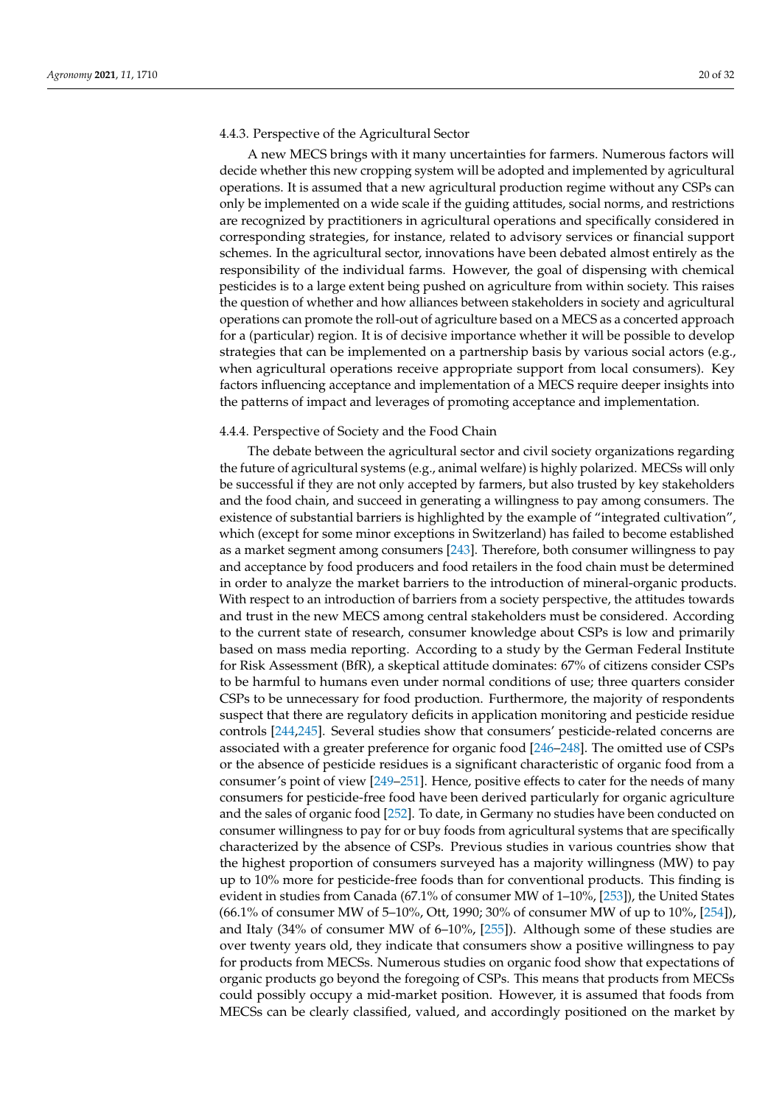#### 4.4.3. Perspective of the Agricultural Sector

A new MECS brings with it many uncertainties for farmers. Numerous factors will decide whether this new cropping system will be adopted and implemented by agricultural operations. It is assumed that a new agricultural production regime without any CSPs can only be implemented on a wide scale if the guiding attitudes, social norms, and restrictions are recognized by practitioners in agricultural operations and specifically considered in corresponding strategies, for instance, related to advisory services or financial support schemes. In the agricultural sector, innovations have been debated almost entirely as the responsibility of the individual farms. However, the goal of dispensing with chemical pesticides is to a large extent being pushed on agriculture from within society. This raises the question of whether and how alliances between stakeholders in society and agricultural operations can promote the roll-out of agriculture based on a MECS as a concerted approach for a (particular) region. It is of decisive importance whether it will be possible to develop strategies that can be implemented on a partnership basis by various social actors (e.g., when agricultural operations receive appropriate support from local consumers). Key factors influencing acceptance and implementation of a MECS require deeper insights into the patterns of impact and leverages of promoting acceptance and implementation.

#### 4.4.4. Perspective of Society and the Food Chain

The debate between the agricultural sector and civil society organizations regarding the future of agricultural systems (e.g., animal welfare) is highly polarized. MECSs will only be successful if they are not only accepted by farmers, but also trusted by key stakeholders and the food chain, and succeed in generating a willingness to pay among consumers. The existence of substantial barriers is highlighted by the example of "integrated cultivation", which (except for some minor exceptions in Switzerland) has failed to become established as a market segment among consumers [\[243\]](#page-30-20). Therefore, both consumer willingness to pay and acceptance by food producers and food retailers in the food chain must be determined in order to analyze the market barriers to the introduction of mineral-organic products. With respect to an introduction of barriers from a society perspective, the attitudes towards and trust in the new MECS among central stakeholders must be considered. According to the current state of research, consumer knowledge about CSPs is low and primarily based on mass media reporting. According to a study by the German Federal Institute for Risk Assessment (BfR), a skeptical attitude dominates: 67% of citizens consider CSPs to be harmful to humans even under normal conditions of use; three quarters consider CSPs to be unnecessary for food production. Furthermore, the majority of respondents suspect that there are regulatory deficits in application monitoring and pesticide residue controls [\[244](#page-30-21)[,245\]](#page-30-22). Several studies show that consumers' pesticide-related concerns are associated with a greater preference for organic food [\[246–](#page-30-23)[248\]](#page-30-24). The omitted use of CSPs or the absence of pesticide residues is a significant characteristic of organic food from a consumer's point of view [\[249–](#page-30-25)[251\]](#page-30-26). Hence, positive effects to cater for the needs of many consumers for pesticide-free food have been derived particularly for organic agriculture and the sales of organic food [\[252\]](#page-30-27). To date, in Germany no studies have been conducted on consumer willingness to pay for or buy foods from agricultural systems that are specifically characterized by the absence of CSPs. Previous studies in various countries show that the highest proportion of consumers surveyed has a majority willingness (MW) to pay up to 10% more for pesticide-free foods than for conventional products. This finding is evident in studies from Canada (67.1% of consumer MW of 1–10%, [\[253\]](#page-31-0)), the United States (66.1% of consumer MW of 5–10%, Ott, 1990; 30% of consumer MW of up to 10%, [\[254\]](#page-31-1)), and Italy (34% of consumer MW of 6–10%, [\[255\]](#page-31-2)). Although some of these studies are over twenty years old, they indicate that consumers show a positive willingness to pay for products from MECSs. Numerous studies on organic food show that expectations of organic products go beyond the foregoing of CSPs. This means that products from MECSs could possibly occupy a mid-market position. However, it is assumed that foods from MECSs can be clearly classified, valued, and accordingly positioned on the market by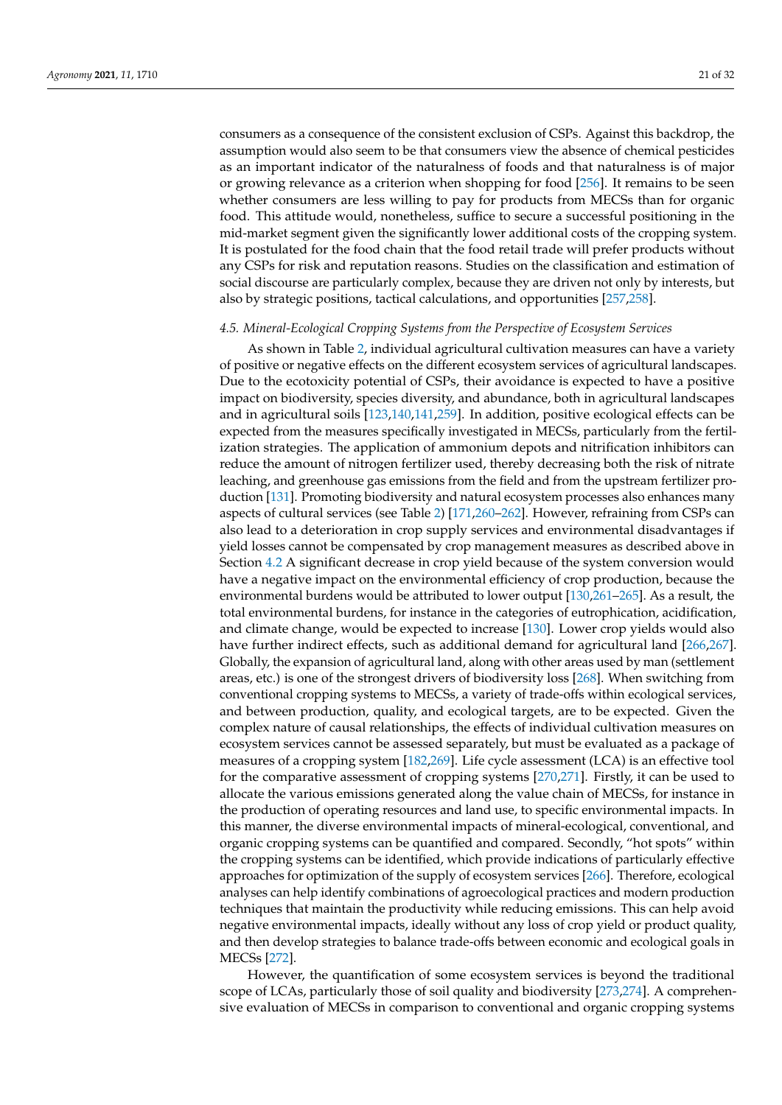consumers as a consequence of the consistent exclusion of CSPs. Against this backdrop, the assumption would also seem to be that consumers view the absence of chemical pesticides as an important indicator of the naturalness of foods and that naturalness is of major or growing relevance as a criterion when shopping for food [\[256\]](#page-31-3). It remains to be seen whether consumers are less willing to pay for products from MECSs than for organic food. This attitude would, nonetheless, suffice to secure a successful positioning in the mid-market segment given the significantly lower additional costs of the cropping system. It is postulated for the food chain that the food retail trade will prefer products without any CSPs for risk and reputation reasons. Studies on the classification and estimation of social discourse are particularly complex, because they are driven not only by interests, but also by strategic positions, tactical calculations, and opportunities [\[257,](#page-31-4)[258\]](#page-31-5).

# *4.5. Mineral-Ecological Cropping Systems from the Perspective of Ecosystem Services*

As shown in Table [2,](#page-10-0) individual agricultural cultivation measures can have a variety of positive or negative effects on the different ecosystem services of agricultural landscapes. Due to the ecotoxicity potential of CSPs, their avoidance is expected to have a positive impact on biodiversity, species diversity, and abundance, both in agricultural landscapes and in agricultural soils [\[123,](#page-26-28)[140,](#page-27-26)[141,](#page-27-27)[259\]](#page-31-6). In addition, positive ecological effects can be expected from the measures specifically investigated in MECSs, particularly from the fertilization strategies. The application of ammonium depots and nitrification inhibitors can reduce the amount of nitrogen fertilizer used, thereby decreasing both the risk of nitrate leaching, and greenhouse gas emissions from the field and from the upstream fertilizer production [\[131\]](#page-26-29). Promoting biodiversity and natural ecosystem processes also enhances many aspects of cultural services (see Table [2\)](#page-10-0) [\[171](#page-28-29)[,260–](#page-31-7)[262\]](#page-31-8). However, refraining from CSPs can also lead to a deterioration in crop supply services and environmental disadvantages if yield losses cannot be compensated by crop management measures as described above in Section [4.2](#page-9-0) A significant decrease in crop yield because of the system conversion would have a negative impact on the environmental efficiency of crop production, because the environmental burdens would be attributed to lower output [\[130,](#page-26-30)[261](#page-31-9)[–265\]](#page-31-10). As a result, the total environmental burdens, for instance in the categories of eutrophication, acidification, and climate change, would be expected to increase [\[130\]](#page-26-30). Lower crop yields would also have further indirect effects, such as additional demand for agricultural land [\[266,](#page-31-11)[267\]](#page-31-12). Globally, the expansion of agricultural land, along with other areas used by man (settlement areas, etc.) is one of the strongest drivers of biodiversity loss [\[268\]](#page-31-13). When switching from conventional cropping systems to MECSs, a variety of trade-offs within ecological services, and between production, quality, and ecological targets, are to be expected. Given the complex nature of causal relationships, the effects of individual cultivation measures on ecosystem services cannot be assessed separately, but must be evaluated as a package of measures of a cropping system [\[182](#page-28-14)[,269\]](#page-31-14). Life cycle assessment (LCA) is an effective tool for the comparative assessment of cropping systems [\[270](#page-31-15)[,271\]](#page-31-16). Firstly, it can be used to allocate the various emissions generated along the value chain of MECSs, for instance in the production of operating resources and land use, to specific environmental impacts. In this manner, the diverse environmental impacts of mineral-ecological, conventional, and organic cropping systems can be quantified and compared. Secondly, "hot spots" within the cropping systems can be identified, which provide indications of particularly effective approaches for optimization of the supply of ecosystem services [\[266\]](#page-31-11). Therefore, ecological analyses can help identify combinations of agroecological practices and modern production techniques that maintain the productivity while reducing emissions. This can help avoid negative environmental impacts, ideally without any loss of crop yield or product quality, and then develop strategies to balance trade-offs between economic and ecological goals in MECSs [\[272\]](#page-31-17).

However, the quantification of some ecosystem services is beyond the traditional scope of LCAs, particularly those of soil quality and biodiversity [\[273,](#page-31-18)[274\]](#page-31-19). A comprehensive evaluation of MECSs in comparison to conventional and organic cropping systems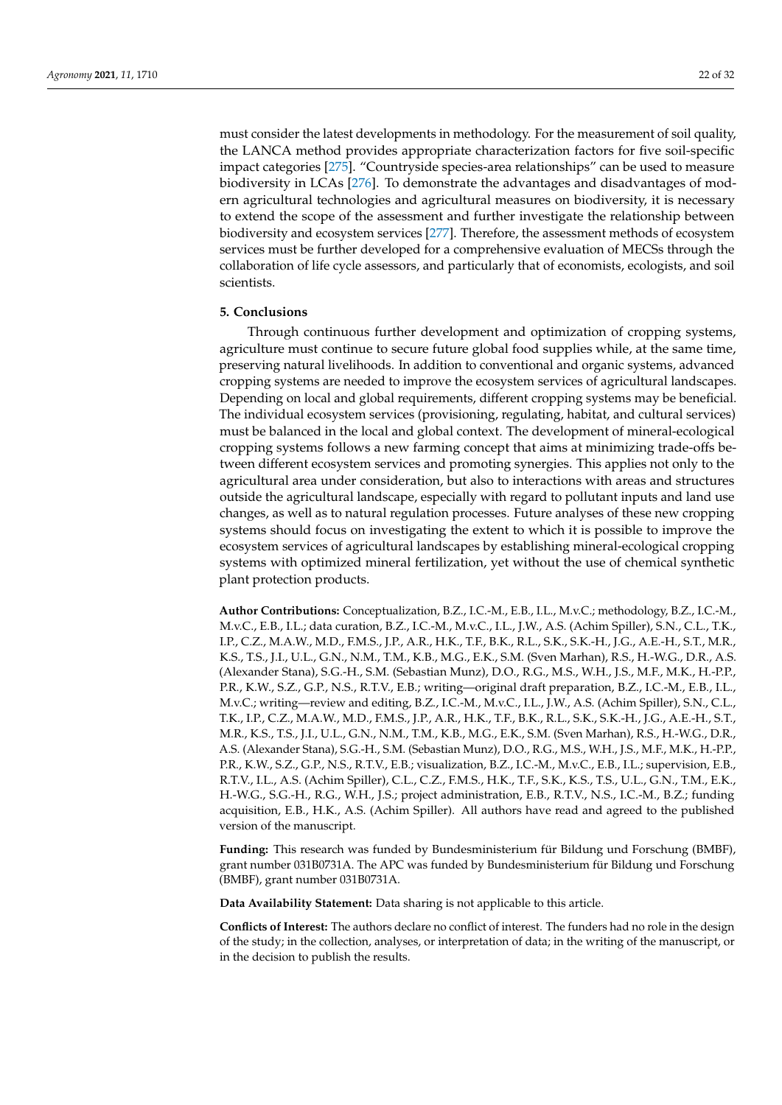must consider the latest developments in methodology. For the measurement of soil quality, the LANCA method provides appropriate characterization factors for five soil-specific impact categories [\[275\]](#page-31-20). "Countryside species-area relationships" can be used to measure biodiversity in LCAs [\[276\]](#page-31-21). To demonstrate the advantages and disadvantages of modern agricultural technologies and agricultural measures on biodiversity, it is necessary to extend the scope of the assessment and further investigate the relationship between biodiversity and ecosystem services [\[277\]](#page-31-22). Therefore, the assessment methods of ecosystem services must be further developed for a comprehensive evaluation of MECSs through the collaboration of life cycle assessors, and particularly that of economists, ecologists, and soil scientists.

#### **5. Conclusions**

Through continuous further development and optimization of cropping systems, agriculture must continue to secure future global food supplies while, at the same time, preserving natural livelihoods. In addition to conventional and organic systems, advanced cropping systems are needed to improve the ecosystem services of agricultural landscapes. Depending on local and global requirements, different cropping systems may be beneficial. The individual ecosystem services (provisioning, regulating, habitat, and cultural services) must be balanced in the local and global context. The development of mineral-ecological cropping systems follows a new farming concept that aims at minimizing trade-offs between different ecosystem services and promoting synergies. This applies not only to the agricultural area under consideration, but also to interactions with areas and structures outside the agricultural landscape, especially with regard to pollutant inputs and land use changes, as well as to natural regulation processes. Future analyses of these new cropping systems should focus on investigating the extent to which it is possible to improve the ecosystem services of agricultural landscapes by establishing mineral-ecological cropping systems with optimized mineral fertilization, yet without the use of chemical synthetic plant protection products.

**Author Contributions:** Conceptualization, B.Z., I.C.-M., E.B., I.L., M.v.C.; methodology, B.Z., I.C.-M., M.v.C., E.B., I.L.; data curation, B.Z., I.C.-M., M.v.C., I.L., J.W., A.S. (Achim Spiller), S.N., C.L., T.K., I.P., C.Z., M.A.W., M.D., F.M.S., J.P., A.R., H.K., T.F., B.K., R.L., S.K., S.K.-H., J.G., A.E.-H., S.T., M.R., K.S., T.S., J.I., U.L., G.N., N.M., T.M., K.B., M.G., E.K., S.M. (Sven Marhan), R.S., H.-W.G., D.R., A.S. (Alexander Stana), S.G.-H., S.M. (Sebastian Munz), D.O., R.G., M.S., W.H., J.S., M.F., M.K., H.-P.P., P.R., K.W., S.Z., G.P., N.S., R.T.V., E.B.; writing—original draft preparation, B.Z., I.C.-M., E.B., I.L., M.v.C.; writing—review and editing, B.Z., I.C.-M., M.v.C., I.L., J.W., A.S. (Achim Spiller), S.N., C.L., T.K., I.P., C.Z., M.A.W., M.D., F.M.S., J.P., A.R., H.K., T.F., B.K., R.L., S.K., S.K.-H., J.G., A.E.-H., S.T., M.R., K.S., T.S., J.I., U.L., G.N., N.M., T.M., K.B., M.G., E.K., S.M. (Sven Marhan), R.S., H.-W.G., D.R., A.S. (Alexander Stana), S.G.-H., S.M. (Sebastian Munz), D.O., R.G., M.S., W.H., J.S., M.F., M.K., H.-P.P., P.R., K.W., S.Z., G.P., N.S., R.T.V., E.B.; visualization, B.Z., I.C.-M., M.v.C., E.B., I.L.; supervision, E.B., R.T.V., I.L., A.S. (Achim Spiller), C.L., C.Z., F.M.S., H.K., T.F., S.K., K.S., T.S., U.L., G.N., T.M., E.K., H.-W.G., S.G.-H., R.G., W.H., J.S.; project administration, E.B., R.T.V., N.S., I.C.-M., B.Z.; funding acquisition, E.B., H.K., A.S. (Achim Spiller). All authors have read and agreed to the published version of the manuscript.

**Funding:** This research was funded by Bundesministerium für Bildung und Forschung (BMBF), grant number 031B0731A. The APC was funded by Bundesministerium für Bildung und Forschung (BMBF), grant number 031B0731A.

**Data Availability Statement:** Data sharing is not applicable to this article.

**Conflicts of Interest:** The authors declare no conflict of interest. The funders had no role in the design of the study; in the collection, analyses, or interpretation of data; in the writing of the manuscript, or in the decision to publish the results.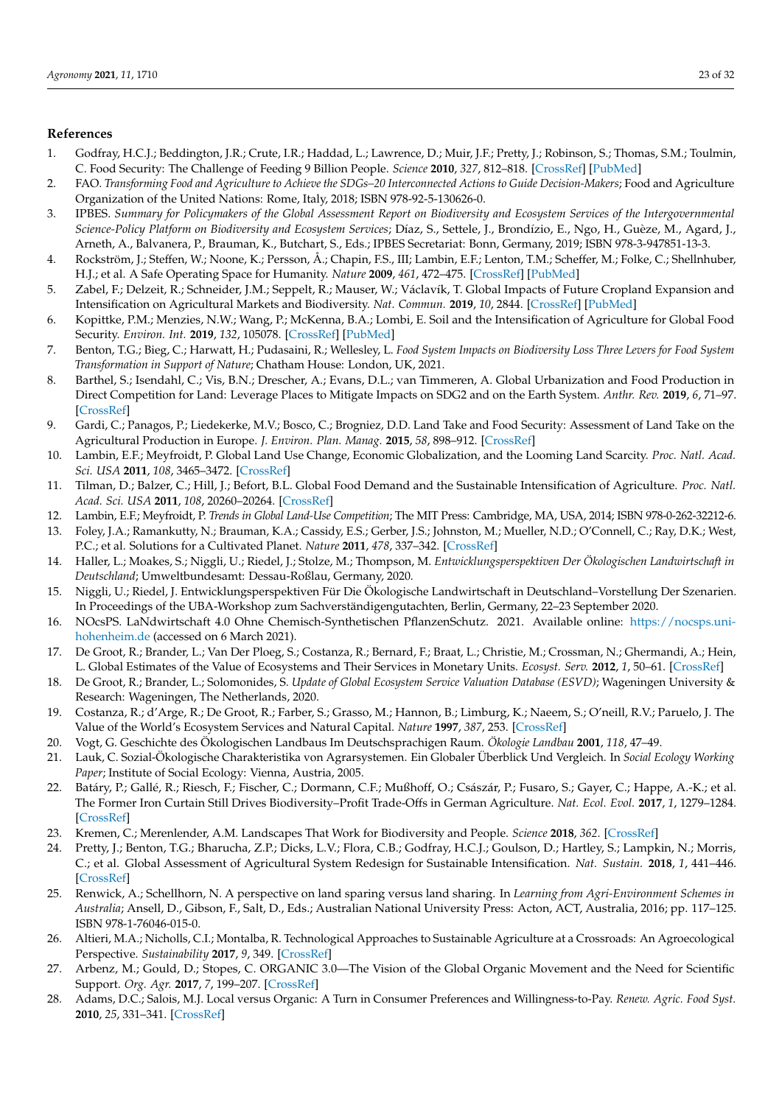# **References**

- <span id="page-22-0"></span>1. Godfray, H.C.J.; Beddington, J.R.; Crute, I.R.; Haddad, L.; Lawrence, D.; Muir, J.F.; Pretty, J.; Robinson, S.; Thomas, S.M.; Toulmin, C. Food Security: The Challenge of Feeding 9 Billion People. *Science* **2010**, *327*, 812–818. [\[CrossRef\]](http://doi.org/10.1126/science.1185383) [\[PubMed\]](http://www.ncbi.nlm.nih.gov/pubmed/20110467)
- 2. FAO. *Transforming Food and Agriculture to Achieve the SDGs–20 Interconnected Actions to Guide Decision-Makers*; Food and Agriculture Organization of the United Nations: Rome, Italy, 2018; ISBN 978-92-5-130626-0.
- <span id="page-22-1"></span>3. IPBES. *Summary for Policymakers of the Global Assessment Report on Biodiversity and Ecosystem Services of the Intergovernmental Science-Policy Platform on Biodiversity and Ecosystem Services*; Díaz, S., Settele, J., Brondízio, E., Ngo, H., Guèze, M., Agard, J., Arneth, A., Balvanera, P., Brauman, K., Butchart, S., Eds.; IPBES Secretariat: Bonn, Germany, 2019; ISBN 978-3-947851-13-3.
- <span id="page-22-2"></span>4. Rockström, J.; Steffen, W.; Noone, K.; Persson, Å.; Chapin, F.S., III; Lambin, E.F.; Lenton, T.M.; Scheffer, M.; Folke, C.; Shellnhuber, H.J.; et al. A Safe Operating Space for Humanity. *Nature* **2009**, *461*, 472–475. [\[CrossRef\]](http://doi.org/10.1038/461472a) [\[PubMed\]](http://www.ncbi.nlm.nih.gov/pubmed/19779433)
- <span id="page-22-3"></span>5. Zabel, F.; Delzeit, R.; Schneider, J.M.; Seppelt, R.; Mauser, W.; Václavík, T. Global Impacts of Future Cropland Expansion and Intensification on Agricultural Markets and Biodiversity. *Nat. Commun.* **2019**, *10*, 2844. [\[CrossRef\]](http://doi.org/10.1038/s41467-019-10775-z) [\[PubMed\]](http://www.ncbi.nlm.nih.gov/pubmed/31253787)
- <span id="page-22-27"></span>6. Kopittke, P.M.; Menzies, N.W.; Wang, P.; McKenna, B.A.; Lombi, E. Soil and the Intensification of Agriculture for Global Food Security. *Environ. Int.* **2019**, *132*, 105078. [\[CrossRef\]](http://doi.org/10.1016/j.envint.2019.105078) [\[PubMed\]](http://www.ncbi.nlm.nih.gov/pubmed/31400601)
- <span id="page-22-28"></span><span id="page-22-4"></span>7. Benton, T.G.; Bieg, C.; Harwatt, H.; Pudasaini, R.; Wellesley, L. *Food System Impacts on Biodiversity Loss Three Levers for Food System Transformation in Support of Nature*; Chatham House: London, UK, 2021.
- <span id="page-22-5"></span>8. Barthel, S.; Isendahl, C.; Vis, B.N.; Drescher, A.; Evans, D.L.; van Timmeren, A. Global Urbanization and Food Production in Direct Competition for Land: Leverage Places to Mitigate Impacts on SDG2 and on the Earth System. *Anthr. Rev.* **2019**, *6*, 71–97. [\[CrossRef\]](http://doi.org/10.1177/2053019619856672)
- <span id="page-22-6"></span>9. Gardi, C.; Panagos, P.; Liedekerke, M.V.; Bosco, C.; Brogniez, D.D. Land Take and Food Security: Assessment of Land Take on the Agricultural Production in Europe. *J. Environ. Plan. Manag.* **2015**, *58*, 898–912. [\[CrossRef\]](http://doi.org/10.1080/09640568.2014.899490)
- <span id="page-22-26"></span><span id="page-22-7"></span>10. Lambin, E.F.; Meyfroidt, P. Global Land Use Change, Economic Globalization, and the Looming Land Scarcity. *Proc. Natl. Acad. Sci. USA* **2011**, *108*, 3465–3472. [\[CrossRef\]](http://doi.org/10.1073/pnas.1100480108)
- <span id="page-22-24"></span>11. Tilman, D.; Balzer, C.; Hill, J.; Befort, B.L. Global Food Demand and the Sustainable Intensification of Agriculture. *Proc. Natl. Acad. Sci. USA* **2011**, *108*, 20260–20264. [\[CrossRef\]](http://doi.org/10.1073/pnas.1116437108)
- <span id="page-22-25"></span><span id="page-22-8"></span>12. Lambin, E.F.; Meyfroidt, P. *Trends in Global Land-Use Competition*; The MIT Press: Cambridge, MA, USA, 2014; ISBN 978-0-262-32212-6.
- <span id="page-22-9"></span>13. Foley, J.A.; Ramankutty, N.; Brauman, K.A.; Cassidy, E.S.; Gerber, J.S.; Johnston, M.; Mueller, N.D.; O'Connell, C.; Ray, D.K.; West, P.C.; et al. Solutions for a Cultivated Planet. *Nature* **2011**, *478*, 337–342. [\[CrossRef\]](http://doi.org/10.1038/nature10452)
- <span id="page-22-22"></span>14. Haller, L.; Moakes, S.; Niggli, U.; Riedel, J.; Stolze, M.; Thompson, M. *Entwicklungsperspektiven Der Ökologischen Landwirtschaft in Deutschland*; Umweltbundesamt: Dessau-Roßlau, Germany, 2020.
- <span id="page-22-10"></span>15. Niggli, U.; Riedel, J. Entwicklungsperspektiven Für Die Ökologische Landwirtschaft in Deutschland–Vorstellung Der Szenarien. In Proceedings of the UBA-Workshop zum Sachverständigengutachten, Berlin, Germany, 22–23 September 2020.
- <span id="page-22-11"></span>16. NOcsPS. LaNdwirtschaft 4.0 Ohne Chemisch-Synthetischen PflanzenSchutz. 2021. Available online: [https://nocsps.uni](https://nocsps.uni-hohenheim.de)[hohenheim.de](https://nocsps.uni-hohenheim.de) (accessed on 6 March 2021).
- <span id="page-22-12"></span>17. De Groot, R.; Brander, L.; Van Der Ploeg, S.; Costanza, R.; Bernard, F.; Braat, L.; Christie, M.; Crossman, N.; Ghermandi, A.; Hein, L. Global Estimates of the Value of Ecosystems and Their Services in Monetary Units. *Ecosyst. Serv.* **2012**, *1*, 50–61. [\[CrossRef\]](http://doi.org/10.1016/j.ecoser.2012.07.005)
- <span id="page-22-23"></span>18. De Groot, R.; Brander, L.; Solomonides, S. *Update of Global Ecosystem Service Valuation Database (ESVD)*; Wageningen University & Research: Wageningen, The Netherlands, 2020.
- <span id="page-22-13"></span>19. Costanza, R.; d'Arge, R.; De Groot, R.; Farber, S.; Grasso, M.; Hannon, B.; Limburg, K.; Naeem, S.; O'neill, R.V.; Paruelo, J. The Value of the World's Ecosystem Services and Natural Capital. *Nature* **1997**, *387*, 253. [\[CrossRef\]](http://doi.org/10.1038/387253a0)
- <span id="page-22-14"></span>20. Vogt, G. Geschichte des Ökologischen Landbaus Im Deutschsprachigen Raum. *Ökologie Landbau* **2001**, *118*, 47–49.
- 21. Lauk, C. Sozial-Ökologische Charakteristika von Agrarsystemen. Ein Globaler Überblick Und Vergleich. In *Social Ecology Working Paper*; Institute of Social Ecology: Vienna, Austria, 2005.
- <span id="page-22-21"></span>22. Batáry, P.; Gallé, R.; Riesch, F.; Fischer, C.; Dormann, C.F.; Mußhoff, O.; Császár, P.; Fusaro, S.; Gayer, C.; Happe, A.-K.; et al. The Former Iron Curtain Still Drives Biodiversity–Profit Trade-Offs in German Agriculture. *Nat. Ecol. Evol.* **2017**, *1*, 1279–1284. [\[CrossRef\]](http://doi.org/10.1038/s41559-017-0272-x)
- <span id="page-22-15"></span>23. Kremen, C.; Merenlender, A.M. Landscapes That Work for Biodiversity and People. *Science* **2018**, *362*. [\[CrossRef\]](http://doi.org/10.1126/science.aau6020)
- <span id="page-22-16"></span>24. Pretty, J.; Benton, T.G.; Bharucha, Z.P.; Dicks, L.V.; Flora, C.B.; Godfray, H.C.J.; Goulson, D.; Hartley, S.; Lampkin, N.; Morris, C.; et al. Global Assessment of Agricultural System Redesign for Sustainable Intensification. *Nat. Sustain.* **2018**, *1*, 441–446. [\[CrossRef\]](http://doi.org/10.1038/s41893-018-0114-0)
- <span id="page-22-17"></span>25. Renwick, A.; Schellhorn, N. A perspective on land sparing versus land sharing. In *Learning from Agri-Environment Schemes in Australia*; Ansell, D., Gibson, F., Salt, D., Eds.; Australian National University Press: Acton, ACT, Australia, 2016; pp. 117–125. ISBN 978-1-76046-015-0.
- <span id="page-22-18"></span>26. Altieri, M.A.; Nicholls, C.I.; Montalba, R. Technological Approaches to Sustainable Agriculture at a Crossroads: An Agroecological Perspective. *Sustainability* **2017**, *9*, 349. [\[CrossRef\]](http://doi.org/10.3390/su9030349)
- <span id="page-22-19"></span>27. Arbenz, M.; Gould, D.; Stopes, C. ORGANIC 3.0—The Vision of the Global Organic Movement and the Need for Scientific Support. *Org. Agr.* **2017**, *7*, 199–207. [\[CrossRef\]](http://doi.org/10.1007/s13165-017-0177-7)
- <span id="page-22-20"></span>28. Adams, D.C.; Salois, M.J. Local versus Organic: A Turn in Consumer Preferences and Willingness-to-Pay. *Renew. Agric. Food Syst.* **2010**, *25*, 331–341. [\[CrossRef\]](http://doi.org/10.1017/S1742170510000219)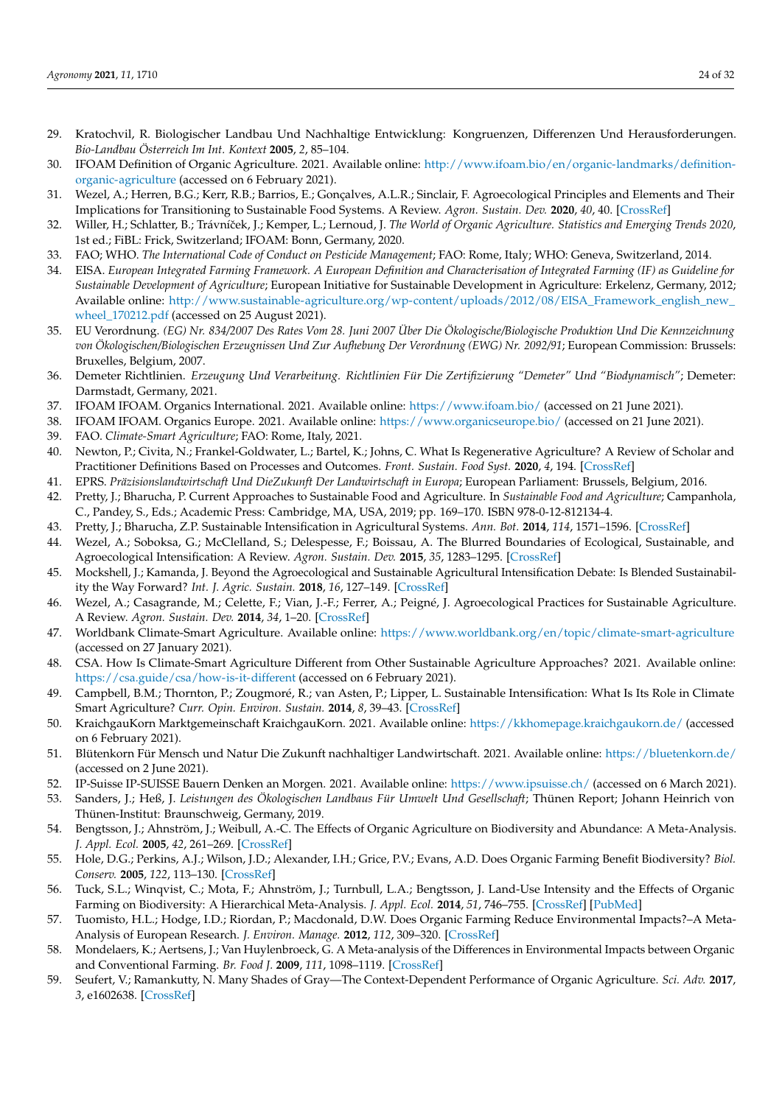- <span id="page-23-31"></span><span id="page-23-0"></span>29. Kratochvil, R. Biologischer Landbau Und Nachhaltige Entwicklung: Kongruenzen, Differenzen Und Herausforderungen. *Bio-Landbau Österreich Im Int. Kontext* **2005**, *2*, 85–104.
- <span id="page-23-1"></span>30. IFOAM Definition of Organic Agriculture. 2021. Available online: [http://www.ifoam.bio/en/organic-landmarks/definition](http://www.ifoam.bio/en/organic-landmarks/definition-organic-agriculture)[organic-agriculture](http://www.ifoam.bio/en/organic-landmarks/definition-organic-agriculture) (accessed on 6 February 2021).
- <span id="page-23-2"></span>31. Wezel, A.; Herren, B.G.; Kerr, R.B.; Barrios, E.; Gonçalves, A.L.R.; Sinclair, F. Agroecological Principles and Elements and Their Implications for Transitioning to Sustainable Food Systems. A Review. *Agron. Sustain. Dev.* **2020**, *40*, 40. [\[CrossRef\]](http://doi.org/10.1007/s13593-020-00646-z)
- <span id="page-23-3"></span>32. Willer, H.; Schlatter, B.; Trávníček, J.; Kemper, L.; Lernoud, J. The World of Organic Agriculture. Statistics and Emerging Trends 2020, 1st ed.; FiBL: Frick, Switzerland; IFOAM: Bonn, Germany, 2020.
- <span id="page-23-4"></span>33. FAO; WHO. *The International Code of Conduct on Pesticide Management*; FAO: Rome, Italy; WHO: Geneva, Switzerland, 2014.
- <span id="page-23-5"></span>34. EISA. *European Integrated Farming Framework. A European Definition and Characterisation of Integrated Farming (IF) as Guideline for Sustainable Development of Agriculture*; European Initiative for Sustainable Development in Agriculture: Erkelenz, Germany, 2012; Available online: [http://www.sustainable-agriculture.org/wp-content/uploads/2012/08/EISA\\_Framework\\_english\\_new\\_](http://www.sustainable-agriculture.org/wp-content/uploads/2012/08/EISA_Framework_english_new_wheel_170212.pdf) [wheel\\_170212.pdf](http://www.sustainable-agriculture.org/wp-content/uploads/2012/08/EISA_Framework_english_new_wheel_170212.pdf) (accessed on 25 August 2021).
- <span id="page-23-6"></span>35. EU Verordnung. *(EG) Nr. 834/2007 Des Rates Vom 28. Juni 2007 Über Die Ökologische/Biologische Produktion Und Die Kennzeichnung von Ökologischen/Biologischen Erzeugnissen Und Zur Aufhebung Der Verordnung (EWG) Nr. 2092/91*; European Commission: Brussels: Bruxelles, Belgium, 2007.
- <span id="page-23-7"></span>36. Demeter Richtlinien. *Erzeugung Und Verarbeitung. Richtlinien Für Die Zertifizierung "Demeter" Und "Biodynamisch"*; Demeter: Darmstadt, Germany, 2021.
- <span id="page-23-8"></span>37. IFOAM IFOAM. Organics International. 2021. Available online: <https://www.ifoam.bio/> (accessed on 21 June 2021).
- <span id="page-23-9"></span>38. IFOAM IFOAM. Organics Europe. 2021. Available online: <https://www.organicseurope.bio/> (accessed on 21 June 2021).
- <span id="page-23-10"></span>39. FAO. *Climate-Smart Agriculture*; FAO: Rome, Italy, 2021.
- <span id="page-23-11"></span>40. Newton, P.; Civita, N.; Frankel-Goldwater, L.; Bartel, K.; Johns, C. What Is Regenerative Agriculture? A Review of Scholar and Practitioner Definitions Based on Processes and Outcomes. *Front. Sustain. Food Syst.* **2020**, *4*, 194. [\[CrossRef\]](http://doi.org/10.3389/fsufs.2020.577723)
- <span id="page-23-12"></span>41. EPRS. *Präzisionslandwirtschaft Und DieZukunft Der Landwirtschaft in Europa*; European Parliament: Brussels, Belgium, 2016.
- <span id="page-23-13"></span>42. Pretty, J.; Bharucha, P. Current Approaches to Sustainable Food and Agriculture. In *Sustainable Food and Agriculture*; Campanhola, C., Pandey, S., Eds.; Academic Press: Cambridge, MA, USA, 2019; pp. 169–170. ISBN 978-0-12-812134-4.
- <span id="page-23-17"></span>43. Pretty, J.; Bharucha, Z.P. Sustainable Intensification in Agricultural Systems. *Ann. Bot.* **2014**, *114*, 1571–1596. [\[CrossRef\]](http://doi.org/10.1093/aob/mcu205)
- <span id="page-23-14"></span>44. Wezel, A.; Soboksa, G.; McClelland, S.; Delespesse, F.; Boissau, A. The Blurred Boundaries of Ecological, Sustainable, and Agroecological Intensification: A Review. *Agron. Sustain. Dev.* **2015**, *35*, 1283–1295. [\[CrossRef\]](http://doi.org/10.1007/s13593-015-0333-y)
- <span id="page-23-15"></span>45. Mockshell, J.; Kamanda, J. Beyond the Agroecological and Sustainable Agricultural Intensification Debate: Is Blended Sustainability the Way Forward? *Int. J. Agric. Sustain.* **2018**, *16*, 127–149. [\[CrossRef\]](http://doi.org/10.1080/14735903.2018.1448047)
- <span id="page-23-16"></span>46. Wezel, A.; Casagrande, M.; Celette, F.; Vian, J.-F.; Ferrer, A.; Peigné, J. Agroecological Practices for Sustainable Agriculture. A Review. *Agron. Sustain. Dev.* **2014**, *34*, 1–20. [\[CrossRef\]](http://doi.org/10.1007/s13593-013-0180-7)
- <span id="page-23-18"></span>47. Worldbank Climate-Smart Agriculture. Available online: <https://www.worldbank.org/en/topic/climate-smart-agriculture> (accessed on 27 January 2021).
- <span id="page-23-19"></span>48. CSA. How Is Climate-Smart Agriculture Different from Other Sustainable Agriculture Approaches? 2021. Available online: <https://csa.guide/csa/how-is-it-different> (accessed on 6 February 2021).
- <span id="page-23-20"></span>49. Campbell, B.M.; Thornton, P.; Zougmoré, R.; van Asten, P.; Lipper, L. Sustainable Intensification: What Is Its Role in Climate Smart Agriculture? *Curr. Opin. Environ. Sustain.* **2014**, *8*, 39–43. [\[CrossRef\]](http://doi.org/10.1016/j.cosust.2014.07.002)
- <span id="page-23-21"></span>50. KraichgauKorn Marktgemeinschaft KraichgauKorn. 2021. Available online: <https://kkhomepage.kraichgaukorn.de/> (accessed on 6 February 2021).
- <span id="page-23-22"></span>51. Blütenkorn Für Mensch und Natur Die Zukunft nachhaltiger Landwirtschaft. 2021. Available online: <https://bluetenkorn.de/> (accessed on 2 June 2021).
- <span id="page-23-23"></span>52. IP-Suisse IP-SUISSE Bauern Denken an Morgen. 2021. Available online: <https://www.ipsuisse.ch/> (accessed on 6 March 2021).
- <span id="page-23-24"></span>53. Sanders, J.; Heß, J. *Leistungen des Ökologischen Landbaus Für Umwelt Und Gesellschaft*; Thünen Report; Johann Heinrich von Thünen-Institut: Braunschweig, Germany, 2019.
- <span id="page-23-29"></span>54. Bengtsson, J.; Ahnström, J.; Weibull, A.-C. The Effects of Organic Agriculture on Biodiversity and Abundance: A Meta-Analysis. *J. Appl. Ecol.* **2005**, *42*, 261–269. [\[CrossRef\]](http://doi.org/10.1111/j.1365-2664.2005.01005.x)
- <span id="page-23-28"></span>55. Hole, D.G.; Perkins, A.J.; Wilson, J.D.; Alexander, I.H.; Grice, P.V.; Evans, A.D. Does Organic Farming Benefit Biodiversity? *Biol. Conserv.* **2005**, *122*, 113–130. [\[CrossRef\]](http://doi.org/10.1016/j.biocon.2004.07.018)
- <span id="page-23-30"></span>56. Tuck, S.L.; Winqvist, C.; Mota, F.; Ahnström, J.; Turnbull, L.A.; Bengtsson, J. Land-Use Intensity and the Effects of Organic Farming on Biodiversity: A Hierarchical Meta-Analysis. *J. Appl. Ecol.* **2014**, *51*, 746–755. [\[CrossRef\]](http://doi.org/10.1111/1365-2664.12219) [\[PubMed\]](http://www.ncbi.nlm.nih.gov/pubmed/25653457)
- <span id="page-23-26"></span>57. Tuomisto, H.L.; Hodge, I.D.; Riordan, P.; Macdonald, D.W. Does Organic Farming Reduce Environmental Impacts?–A Meta-Analysis of European Research. *J. Environ. Manage.* **2012**, *112*, 309–320. [\[CrossRef\]](http://doi.org/10.1016/j.jenvman.2012.08.018)
- <span id="page-23-25"></span>58. Mondelaers, K.; Aertsens, J.; Van Huylenbroeck, G. A Meta-analysis of the Differences in Environmental Impacts between Organic and Conventional Farming. *Br. Food J.* **2009**, *111*, 1098–1119. [\[CrossRef\]](http://doi.org/10.1108/00070700910992925)
- <span id="page-23-27"></span>59. Seufert, V.; Ramankutty, N. Many Shades of Gray—The Context-Dependent Performance of Organic Agriculture. *Sci. Adv.* **2017**, *3*, e1602638. [\[CrossRef\]](http://doi.org/10.1126/sciadv.1602638)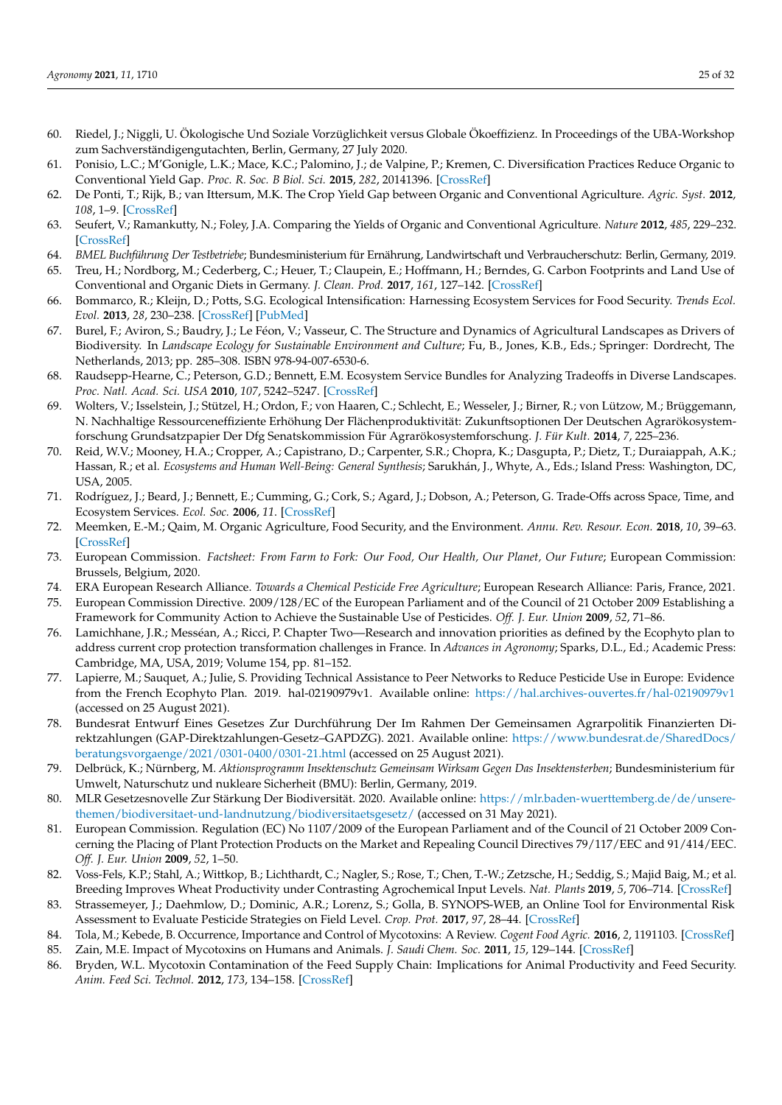- <span id="page-24-0"></span>60. Riedel, J.; Niggli, U. Ökologische Und Soziale Vorzüglichkeit versus Globale Ökoeffizienz. In Proceedings of the UBA-Workshop zum Sachverständigengutachten, Berlin, Germany, 27 July 2020.
- <span id="page-24-1"></span>61. Ponisio, L.C.; M'Gonigle, L.K.; Mace, K.C.; Palomino, J.; de Valpine, P.; Kremen, C. Diversification Practices Reduce Organic to Conventional Yield Gap. *Proc. R. Soc. B Biol. Sci.* **2015**, *282*, 20141396. [\[CrossRef\]](http://doi.org/10.1098/rspb.2014.1396)
- <span id="page-24-3"></span>62. De Ponti, T.; Rijk, B.; van Ittersum, M.K. The Crop Yield Gap between Organic and Conventional Agriculture. *Agric. Syst.* **2012**, *108*, 1–9. [\[CrossRef\]](http://doi.org/10.1016/j.agsy.2011.12.004)
- <span id="page-24-2"></span>63. Seufert, V.; Ramankutty, N.; Foley, J.A. Comparing the Yields of Organic and Conventional Agriculture. *Nature* **2012**, *485*, 229–232. [\[CrossRef\]](http://doi.org/10.1038/nature11069)
- <span id="page-24-4"></span>64. *BMEL Buchführung Der Testbetriebe*; Bundesministerium für Ernährung, Landwirtschaft und Verbraucherschutz: Berlin, Germany, 2019.
- <span id="page-24-5"></span>65. Treu, H.; Nordborg, M.; Cederberg, C.; Heuer, T.; Claupein, E.; Hoffmann, H.; Berndes, G. Carbon Footprints and Land Use of Conventional and Organic Diets in Germany. *J. Clean. Prod.* **2017**, *161*, 127–142. [\[CrossRef\]](http://doi.org/10.1016/j.jclepro.2017.05.041)
- <span id="page-24-6"></span>66. Bommarco, R.; Kleijn, D.; Potts, S.G. Ecological Intensification: Harnessing Ecosystem Services for Food Security. *Trends Ecol. Evol.* **2013**, *28*, 230–238. [\[CrossRef\]](http://doi.org/10.1016/j.tree.2012.10.012) [\[PubMed\]](http://www.ncbi.nlm.nih.gov/pubmed/23153724)
- <span id="page-24-7"></span>67. Burel, F.; Aviron, S.; Baudry, J.; Le Féon, V.; Vasseur, C. The Structure and Dynamics of Agricultural Landscapes as Drivers of Biodiversity. In *Landscape Ecology for Sustainable Environment and Culture*; Fu, B., Jones, K.B., Eds.; Springer: Dordrecht, The Netherlands, 2013; pp. 285–308. ISBN 978-94-007-6530-6.
- <span id="page-24-8"></span>68. Raudsepp-Hearne, C.; Peterson, G.D.; Bennett, E.M. Ecosystem Service Bundles for Analyzing Tradeoffs in Diverse Landscapes. *Proc. Natl. Acad. Sci. USA* **2010**, *107*, 5242–5247. [\[CrossRef\]](http://doi.org/10.1073/pnas.0907284107)
- <span id="page-24-9"></span>69. Wolters, V.; Isselstein, J.; Stützel, H.; Ordon, F.; von Haaren, C.; Schlecht, E.; Wesseler, J.; Birner, R.; von Lützow, M.; Brüggemann, N. Nachhaltige Ressourceneffiziente Erhöhung Der Flächenproduktivität: Zukunftsoptionen Der Deutschen Agrarökosystemforschung Grundsatzpapier Der Dfg Senatskommission Für Agrarökosystemforschung. *J. Für Kult.* **2014**, *7*, 225–236.
- <span id="page-24-10"></span>70. Reid, W.V.; Mooney, H.A.; Cropper, A.; Capistrano, D.; Carpenter, S.R.; Chopra, K.; Dasgupta, P.; Dietz, T.; Duraiappah, A.K.; Hassan, R.; et al. *Ecosystems and Human Well-Being: General Synthesis*; Sarukhán, J., Whyte, A., Eds.; Island Press: Washington, DC, USA, 2005.
- <span id="page-24-11"></span>71. Rodríguez, J.; Beard, J.; Bennett, E.; Cumming, G.; Cork, S.; Agard, J.; Dobson, A.; Peterson, G. Trade-Offs across Space, Time, and Ecosystem Services. *Ecol. Soc.* **2006**, *11*. [\[CrossRef\]](http://doi.org/10.5751/ES-01667-110128)
- <span id="page-24-12"></span>72. Meemken, E.-M.; Qaim, M. Organic Agriculture, Food Security, and the Environment. *Annu. Rev. Resour. Econ.* **2018**, *10*, 39–63. [\[CrossRef\]](http://doi.org/10.1146/annurev-resource-100517-023252)
- <span id="page-24-26"></span><span id="page-24-13"></span>73. European Commission. *Factsheet: From Farm to Fork: Our Food, Our Health, Our Planet, Our Future*; European Commission: Brussels, Belgium, 2020.
- <span id="page-24-29"></span><span id="page-24-14"></span>74. ERA European Research Alliance. *Towards a Chemical Pesticide Free Agriculture*; European Research Alliance: Paris, France, 2021.
- <span id="page-24-27"></span><span id="page-24-15"></span>75. European Commission Directive. 2009/128/EC of the European Parliament and of the Council of 21 October 2009 Establishing a Framework for Community Action to Achieve the Sustainable Use of Pesticides. *Off. J. Eur. Union* **2009**, *52*, 71–86.
- <span id="page-24-28"></span><span id="page-24-16"></span>76. Lamichhane, J.R.; Messéan, A.; Ricci, P. Chapter Two—Research and innovation priorities as defined by the Ecophyto plan to address current crop protection transformation challenges in France. In *Advances in Agronomy*; Sparks, D.L., Ed.; Academic Press: Cambridge, MA, USA, 2019; Volume 154, pp. 81–152.
- <span id="page-24-17"></span>77. Lapierre, M.; Sauquet, A.; Julie, S. Providing Technical Assistance to Peer Networks to Reduce Pesticide Use in Europe: Evidence from the French Ecophyto Plan. 2019. hal-02190979v1. Available online: <https://hal.archives-ouvertes.fr/hal-02190979v1> (accessed on 25 August 2021).
- <span id="page-24-18"></span>78. Bundesrat Entwurf Eines Gesetzes Zur Durchführung Der Im Rahmen Der Gemeinsamen Agrarpolitik Finanzierten Direktzahlungen (GAP-Direktzahlungen-Gesetz–GAPDZG). 2021. Available online: [https://www.bundesrat.de/SharedDocs/](https://www.bundesrat.de/SharedDocs/beratungsvorgaenge/2021/0301-0400/0301-21.html) [beratungsvorgaenge/2021/0301-0400/0301-21.html](https://www.bundesrat.de/SharedDocs/beratungsvorgaenge/2021/0301-0400/0301-21.html) (accessed on 25 August 2021).
- <span id="page-24-19"></span>79. Delbrück, K.; Nürnberg, M. *Aktionsprogramm Insektenschutz Gemeinsam Wirksam Gegen Das Insektensterben*; Bundesministerium für Umwelt, Naturschutz und nukleare Sicherheit (BMU): Berlin, Germany, 2019.
- <span id="page-24-20"></span>80. MLR Gesetzesnovelle Zur Stärkung Der Biodiversität. 2020. Available online: [https://mlr.baden-wuerttemberg.de/de/unsere](https://mlr.baden-wuerttemberg.de/de/unsere-themen/biodiversitaet-und-landnutzung/biodiversitaetsgesetz/)[themen/biodiversitaet-und-landnutzung/biodiversitaetsgesetz/](https://mlr.baden-wuerttemberg.de/de/unsere-themen/biodiversitaet-und-landnutzung/biodiversitaetsgesetz/) (accessed on 31 May 2021).
- <span id="page-24-21"></span>81. European Commission. Regulation (EC) No 1107/2009 of the European Parliament and of the Council of 21 October 2009 Concerning the Placing of Plant Protection Products on the Market and Repealing Council Directives 79/117/EEC and 91/414/EEC. *Off. J. Eur. Union* **2009**, *52*, 1–50.
- <span id="page-24-22"></span>82. Voss-Fels, K.P.; Stahl, A.; Wittkop, B.; Lichthardt, C.; Nagler, S.; Rose, T.; Chen, T.-W.; Zetzsche, H.; Seddig, S.; Majid Baig, M.; et al. Breeding Improves Wheat Productivity under Contrasting Agrochemical Input Levels. *Nat. Plants* **2019**, *5*, 706–714. [\[CrossRef\]](http://doi.org/10.1038/s41477-019-0445-5)
- <span id="page-24-23"></span>83. Strassemeyer, J.; Daehmlow, D.; Dominic, A.R.; Lorenz, S.; Golla, B. SYNOPS-WEB, an Online Tool for Environmental Risk Assessment to Evaluate Pesticide Strategies on Field Level. *Crop. Prot.* **2017**, *97*, 28–44. [\[CrossRef\]](http://doi.org/10.1016/j.cropro.2016.11.036)
- <span id="page-24-24"></span>84. Tola, M.; Kebede, B. Occurrence, Importance and Control of Mycotoxins: A Review. *Cogent Food Agric.* **2016**, *2*, 1191103. [\[CrossRef\]](http://doi.org/10.1080/23311932.2016.1191103)
- 85. Zain, M.E. Impact of Mycotoxins on Humans and Animals. *J. Saudi Chem. Soc.* **2011**, *15*, 129–144. [\[CrossRef\]](http://doi.org/10.1016/j.jscs.2010.06.006)
- <span id="page-24-25"></span>86. Bryden, W.L. Mycotoxin Contamination of the Feed Supply Chain: Implications for Animal Productivity and Feed Security. *Anim. Feed Sci. Technol.* **2012**, *173*, 134–158. [\[CrossRef\]](http://doi.org/10.1016/j.anifeedsci.2011.12.014)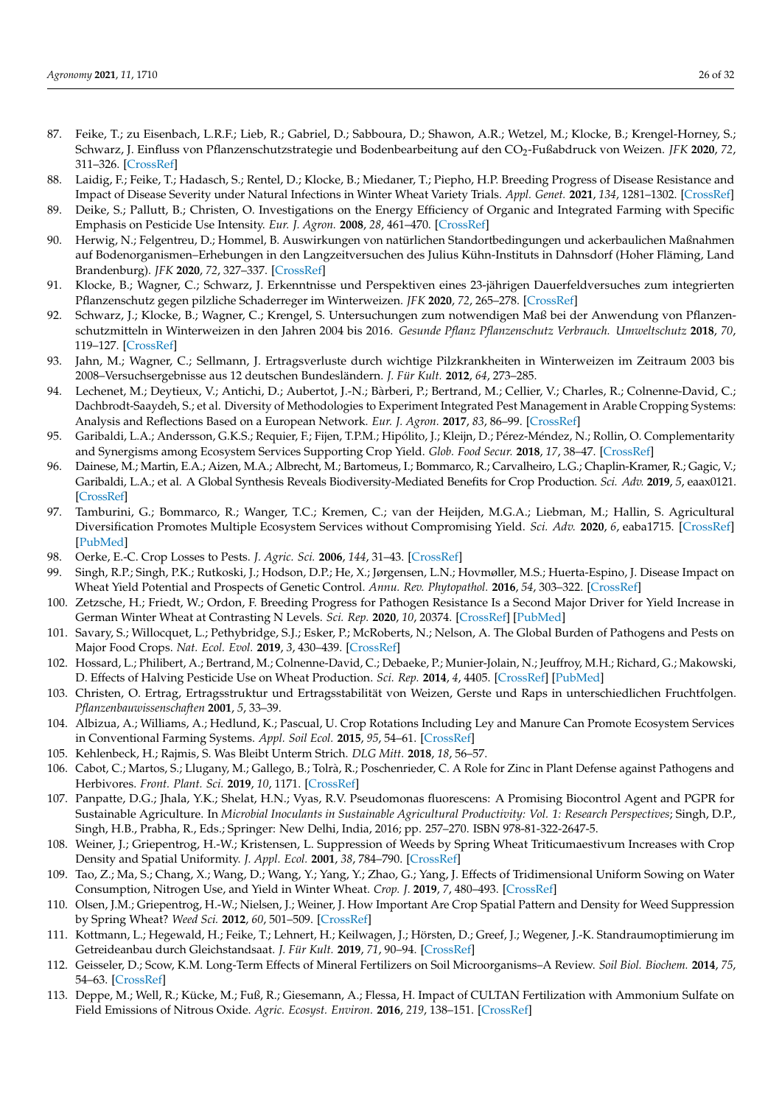- <span id="page-25-13"></span><span id="page-25-12"></span><span id="page-25-11"></span><span id="page-25-10"></span><span id="page-25-0"></span>87. Feike, T.; zu Eisenbach, L.R.F.; Lieb, R.; Gabriel, D.; Sabboura, D.; Shawon, A.R.; Wetzel, M.; Klocke, B.; Krengel-Horney, S.; Schwarz, J. Einfluss von Pflanzenschutzstrategie und Bodenbearbeitung auf den CO<sub>2</sub>-Fußabdruck von Weizen. *JFK* **2020**, 72, 311–326. [\[CrossRef\]](http://doi.org/10.5073/JfK.2020.07.08)
- <span id="page-25-16"></span><span id="page-25-1"></span>88. Laidig, F.; Feike, T.; Hadasch, S.; Rentel, D.; Klocke, B.; Miedaner, T.; Piepho, H.P. Breeding Progress of Disease Resistance and Impact of Disease Severity under Natural Infections in Winter Wheat Variety Trials. *Appl. Genet.* **2021**, *134*, 1281–1302. [\[CrossRef\]](http://doi.org/10.1007/s00122-020-03728-4)
- <span id="page-25-2"></span>89. Deike, S.; Pallutt, B.; Christen, O. Investigations on the Energy Efficiency of Organic and Integrated Farming with Specific Emphasis on Pesticide Use Intensity. *Eur. J. Agron.* **2008**, *28*, 461–470. [\[CrossRef\]](http://doi.org/10.1016/j.eja.2007.11.009)
- <span id="page-25-19"></span><span id="page-25-14"></span><span id="page-25-3"></span>90. Herwig, N.; Felgentreu, D.; Hommel, B. Auswirkungen von natürlichen Standortbedingungen und ackerbaulichen Maßnahmen auf Bodenorganismen–Erhebungen in den Langzeitversuchen des Julius Kühn-Instituts in Dahnsdorf (Hoher Fläming, Land Brandenburg). *JFK* **2020**, *72*, 327–337. [\[CrossRef\]](http://doi.org/10.5073/JfK.2020.07.09)
- <span id="page-25-20"></span><span id="page-25-4"></span>91. Klocke, B.; Wagner, C.; Schwarz, J. Erkenntnisse und Perspektiven eines 23-jährigen Dauerfeldversuches zum integrierten Pflanzenschutz gegen pilzliche Schaderreger im Winterweizen. *JFK* **2020**, *72*, 265–278. [\[CrossRef\]](http://doi.org/10.5073/JfK.2020.07.04)
- <span id="page-25-15"></span><span id="page-25-5"></span>92. Schwarz, J.; Klocke, B.; Wagner, C.; Krengel, S. Untersuchungen zum notwendigen Maß bei der Anwendung von Pflanzenschutzmitteln in Winterweizen in den Jahren 2004 bis 2016. *Gesunde Pflanz Pflanzenschutz Verbrauch. Umweltschutz* **2018**, *70*, 119–127. [\[CrossRef\]](http://doi.org/10.1007/s10343-018-0422-3)
- <span id="page-25-17"></span><span id="page-25-6"></span>93. Jahn, M.; Wagner, C.; Sellmann, J. Ertragsverluste durch wichtige Pilzkrankheiten in Winterweizen im Zeitraum 2003 bis 2008–Versuchsergebnisse aus 12 deutschen Bundesländern. *J. Für Kult.* **2012**, *64*, 273–285.
- <span id="page-25-18"></span><span id="page-25-7"></span>94. Lechenet, M.; Deytieux, V.; Antichi, D.; Aubertot, J.-N.; Bàrberi, P.; Bertrand, M.; Cellier, V.; Charles, R.; Colnenne-David, C.; Dachbrodt-Saaydeh, S.; et al. Diversity of Methodologies to Experiment Integrated Pest Management in Arable Cropping Systems: Analysis and Reflections Based on a European Network. *Eur. J. Agron.* **2017**, *83*, 86–99. [\[CrossRef\]](http://doi.org/10.1016/j.eja.2016.09.012)
- <span id="page-25-27"></span><span id="page-25-21"></span><span id="page-25-8"></span>95. Garibaldi, L.A.; Andersson, G.K.S.; Requier, F.; Fijen, T.P.M.; Hipólito, J.; Kleijn, D.; Pérez-Méndez, N.; Rollin, O. Complementarity and Synergisms among Ecosystem Services Supporting Crop Yield. *Glob. Food Secur.* **2018**, *17*, 38–47. [\[CrossRef\]](http://doi.org/10.1016/j.gfs.2018.03.006)
- <span id="page-25-35"></span><span id="page-25-22"></span>96. Dainese, M.; Martin, E.A.; Aizen, M.A.; Albrecht, M.; Bartomeus, I.; Bommarco, R.; Carvalheiro, L.G.; Chaplin-Kramer, R.; Gagic, V.; Garibaldi, L.A.; et al. A Global Synthesis Reveals Biodiversity-Mediated Benefits for Crop Production. *Sci. Adv.* **2019**, *5*, eaax0121. [\[CrossRef\]](http://doi.org/10.1126/sciadv.aax0121)
- <span id="page-25-23"></span><span id="page-25-9"></span>97. Tamburini, G.; Bommarco, R.; Wanger, T.C.; Kremen, C.; van der Heijden, M.G.A.; Liebman, M.; Hallin, S. Agricultural Diversification Promotes Multiple Ecosystem Services without Compromising Yield. *Sci. Adv.* **2020**, *6*, eaba1715. [\[CrossRef\]](http://doi.org/10.1126/sciadv.aba1715) [\[PubMed\]](http://www.ncbi.nlm.nih.gov/pubmed/33148637)
- <span id="page-25-38"></span><span id="page-25-28"></span>98. Oerke, E.-C. Crop Losses to Pests. *J. Agric. Sci.* **2006**, *144*, 31–43. [\[CrossRef\]](http://doi.org/10.1017/S0021859605005708)
- <span id="page-25-36"></span><span id="page-25-29"></span>99. Singh, R.P.; Singh, P.K.; Rutkoski, J.; Hodson, D.P.; He, X.; Jørgensen, L.N.; Hovmøller, M.S.; Huerta-Espino, J. Disease Impact on Wheat Yield Potential and Prospects of Genetic Control. *Annu. Rev. Phytopathol.* **2016**, *54*, 303–322. [\[CrossRef\]](http://doi.org/10.1146/annurev-phyto-080615-095835)
- <span id="page-25-30"></span><span id="page-25-24"></span>100. Zetzsche, H.; Friedt, W.; Ordon, F. Breeding Progress for Pathogen Resistance Is a Second Major Driver for Yield Increase in German Winter Wheat at Contrasting N Levels. *Sci. Rep.* **2020**, *10*, 20374. [\[CrossRef\]](http://doi.org/10.1038/s41598-020-77200-0) [\[PubMed\]](http://www.ncbi.nlm.nih.gov/pubmed/33230232)
- <span id="page-25-37"></span><span id="page-25-25"></span>101. Savary, S.; Willocquet, L.; Pethybridge, S.J.; Esker, P.; McRoberts, N.; Nelson, A. The Global Burden of Pathogens and Pests on Major Food Crops. *Nat. Ecol. Evol.* **2019**, *3*, 430–439. [\[CrossRef\]](http://doi.org/10.1038/s41559-018-0793-y)
- <span id="page-25-26"></span>102. Hossard, L.; Philibert, A.; Bertrand, M.; Colnenne-David, C.; Debaeke, P.; Munier-Jolain, N.; Jeuffroy, M.H.; Richard, G.; Makowski, D. Effects of Halving Pesticide Use on Wheat Production. *Sci. Rep.* **2014**, *4*, 4405. [\[CrossRef\]](http://doi.org/10.1038/srep04405) [\[PubMed\]](http://www.ncbi.nlm.nih.gov/pubmed/24651597)
- 103. Christen, O. Ertrag, Ertragsstruktur und Ertragsstabilität von Weizen, Gerste und Raps in unterschiedlichen Fruchtfolgen. *Pflanzenbauwissenschaften* **2001**, *5*, 33–39.
- 104. Albizua, A.; Williams, A.; Hedlund, K.; Pascual, U. Crop Rotations Including Ley and Manure Can Promote Ecosystem Services in Conventional Farming Systems. *Appl. Soil Ecol.* **2015**, *95*, 54–61. [\[CrossRef\]](http://doi.org/10.1016/j.apsoil.2015.06.003)
- 105. Kehlenbeck, H.; Rajmis, S. Was Bleibt Unterm Strich. *DLG Mitt.* **2018**, *18*, 56–57.
- <span id="page-25-33"></span>106. Cabot, C.; Martos, S.; Llugany, M.; Gallego, B.; Tolrà, R.; Poschenrieder, C. A Role for Zinc in Plant Defense against Pathogens and Herbivores. *Front. Plant. Sci.* **2019**, *10*, 1171. [\[CrossRef\]](http://doi.org/10.3389/fpls.2019.01171)
- <span id="page-25-34"></span>107. Panpatte, D.G.; Jhala, Y.K.; Shelat, H.N.; Vyas, R.V. Pseudomonas fluorescens: A Promising Biocontrol Agent and PGPR for Sustainable Agriculture. In *Microbial Inoculants in Sustainable Agricultural Productivity: Vol. 1: Research Perspectives*; Singh, D.P., Singh, H.B., Prabha, R., Eds.; Springer: New Delhi, India, 2016; pp. 257–270. ISBN 978-81-322-2647-5.
- <span id="page-25-32"></span>108. Weiner, J.; Griepentrog, H.-W.; Kristensen, L. Suppression of Weeds by Spring Wheat Triticumaestivum Increases with Crop Density and Spatial Uniformity. *J. Appl. Ecol.* **2001**, *38*, 784–790. [\[CrossRef\]](http://doi.org/10.1046/j.1365-2664.2001.00634.x)
- 109. Tao, Z.; Ma, S.; Chang, X.; Wang, D.; Wang, Y.; Yang, Y.; Zhao, G.; Yang, J. Effects of Tridimensional Uniform Sowing on Water Consumption, Nitrogen Use, and Yield in Winter Wheat. *Crop. J.* **2019**, *7*, 480–493. [\[CrossRef\]](http://doi.org/10.1016/j.cj.2018.12.006)
- <span id="page-25-31"></span>110. Olsen, J.M.; Griepentrog, H.-W.; Nielsen, J.; Weiner, J. How Important Are Crop Spatial Pattern and Density for Weed Suppression by Spring Wheat? *Weed Sci.* **2012**, *60*, 501–509. [\[CrossRef\]](http://doi.org/10.1614/WS-D-11-00172.1)
- 111. Kottmann, L.; Hegewald, H.; Feike, T.; Lehnert, H.; Keilwagen, J.; Hörsten, D.; Greef, J.; Wegener, J.-K. Standraumoptimierung im Getreideanbau durch Gleichstandsaat. *J. Für Kult.* **2019**, *71*, 90–94. [\[CrossRef\]](http://doi.org/10.5073/JfK.2019.04.03)
- 112. Geisseler, D.; Scow, K.M. Long-Term Effects of Mineral Fertilizers on Soil Microorganisms–A Review. *Soil Biol. Biochem.* **2014**, *75*, 54–63. [\[CrossRef\]](http://doi.org/10.1016/j.soilbio.2014.03.023)
- 113. Deppe, M.; Well, R.; Kücke, M.; Fuß, R.; Giesemann, A.; Flessa, H. Impact of CULTAN Fertilization with Ammonium Sulfate on Field Emissions of Nitrous Oxide. *Agric. Ecosyst. Environ.* **2016**, *219*, 138–151. [\[CrossRef\]](http://doi.org/10.1016/j.agee.2015.12.015)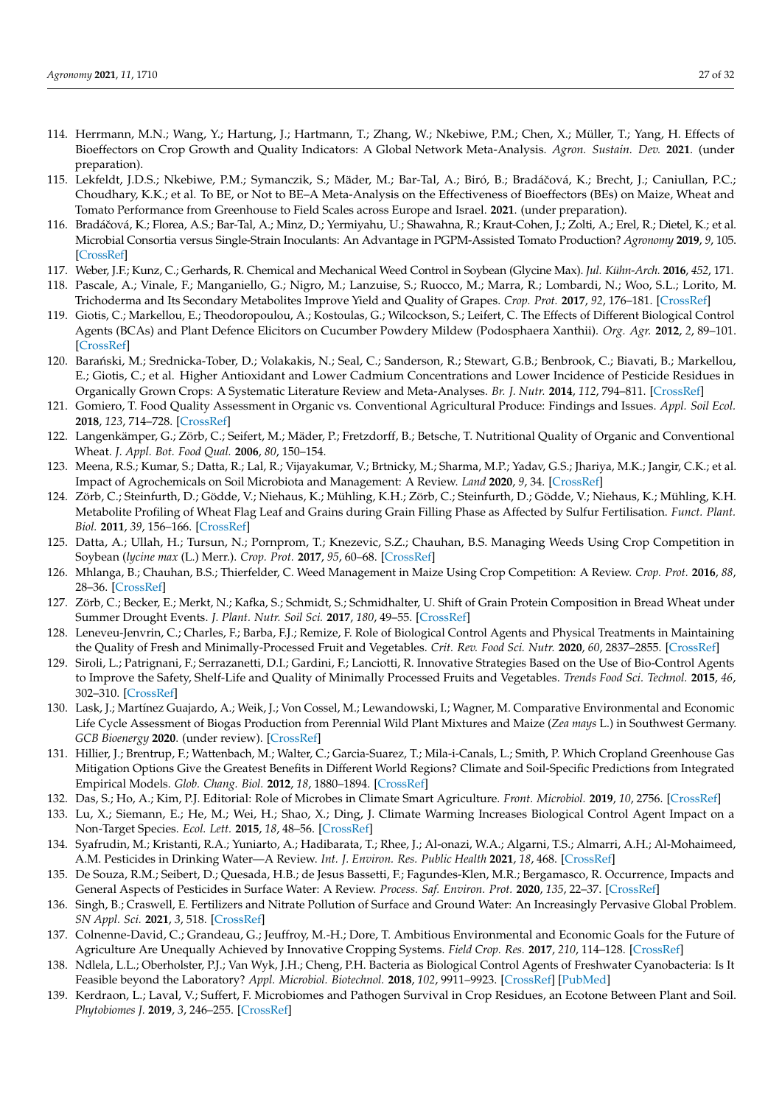- <span id="page-26-23"></span><span id="page-26-18"></span><span id="page-26-5"></span><span id="page-26-4"></span><span id="page-26-3"></span><span id="page-26-2"></span><span id="page-26-1"></span><span id="page-26-0"></span>114. Herrmann, M.N.; Wang, Y.; Hartung, J.; Hartmann, T.; Zhang, W.; Nkebiwe, P.M.; Chen, X.; Müller, T.; Yang, H. Effects of Bioeffectors on Crop Growth and Quality Indicators: A Global Network Meta-Analysis. *Agron. Sustain. Dev.* **2021**. (under preparation).
- <span id="page-26-6"></span>115. Lekfeldt, J.D.S.; Nkebiwe, P.M.; Symanczik, S.; Mäder, M.; Bar-Tal, A.; Biró, B.; Bradáčová, K.; Brecht, J.; Caniullan, P.C.; Choudhary, K.K.; et al. To BE, or Not to BE–A Meta-Analysis on the Effectiveness of Bioeffectors (BEs) on Maize, Wheat and Tomato Performance from Greenhouse to Field Scales across Europe and Israel. **2021**. (under preparation).
- <span id="page-26-8"></span><span id="page-26-7"></span>116. Bradáčová, K.; Florea, A.S.; Bar-Tal, A.; Minz, D.; Yermiyahu, U.; Shawahna, R.; Kraut-Cohen, J.; Zolti, A.; Erel, R.; Dietel, K.; et al. Microbial Consortia versus Single-Strain Inoculants: An Advantage in PGPM-Assisted Tomato Production? *Agronomy* **2019**, *9*, 105. [\[CrossRef\]](http://doi.org/10.3390/agronomy9020105)
- <span id="page-26-9"></span>117. Weber, J.F.; Kunz, C.; Gerhards, R. Chemical and Mechanical Weed Control in Soybean (Glycine Max). *Jul. Kühn-Arch.* **2016**, *452*, 171.
- 118. Pascale, A.; Vinale, F.; Manganiello, G.; Nigro, M.; Lanzuise, S.; Ruocco, M.; Marra, R.; Lombardi, N.; Woo, S.L.; Lorito, M. Trichoderma and Its Secondary Metabolites Improve Yield and Quality of Grapes. *Crop. Prot.* **2017**, *92*, 176–181. [\[CrossRef\]](http://doi.org/10.1016/j.cropro.2016.11.010)
- <span id="page-26-11"></span><span id="page-26-10"></span>119. Giotis, C.; Markellou, E.; Theodoropoulou, A.; Kostoulas, G.; Wilcockson, S.; Leifert, C. The Effects of Different Biological Control Agents (BCAs) and Plant Defence Elicitors on Cucumber Powdery Mildew (Podosphaera Xanthii). *Org. Agr.* **2012**, *2*, 89–101. [\[CrossRef\]](http://doi.org/10.1007/s13165-012-0031-x)
- <span id="page-26-12"></span>120. Barański, M.; Srednicka-Tober, D.; Volakakis, N.; Seal, C.; Sanderson, R.; Stewart, G.B.; Benbrook, C.; Biavati, B.; Markellou, E.; Giotis, C.; et al. Higher Antioxidant and Lower Cadmium Concentrations and Lower Incidence of Pesticide Residues in Organically Grown Crops: A Systematic Literature Review and Meta-Analyses. *Br. J. Nutr.* **2014**, *112*, 794–811. [\[CrossRef\]](http://doi.org/10.1017/S0007114514001366)
- 121. Gomiero, T. Food Quality Assessment in Organic vs. Conventional Agricultural Produce: Findings and Issues. *Appl. Soil Ecol.* **2018**, *123*, 714–728. [\[CrossRef\]](http://doi.org/10.1016/j.apsoil.2017.10.014)
- <span id="page-26-13"></span>122. Langenkämper, G.; Zörb, C.; Seifert, M.; Mäder, P.; Fretzdorff, B.; Betsche, T. Nutritional Quality of Organic and Conventional Wheat. *J. Appl. Bot. Food Qual.* **2006**, *80*, 150–154.
- <span id="page-26-28"></span><span id="page-26-14"></span>123. Meena, R.S.; Kumar, S.; Datta, R.; Lal, R.; Vijayakumar, V.; Brtnicky, M.; Sharma, M.P.; Yadav, G.S.; Jhariya, M.K.; Jangir, C.K.; et al. Impact of Agrochemicals on Soil Microbiota and Management: A Review. *Land* **2020**, *9*, 34. [\[CrossRef\]](http://doi.org/10.3390/land9020034)
- <span id="page-26-26"></span><span id="page-26-16"></span><span id="page-26-15"></span>124. Zörb, C.; Steinfurth, D.; Gödde, V.; Niehaus, K.; Mühling, K.H.; Zörb, C.; Steinfurth, D.; Gödde, V.; Niehaus, K.; Mühling, K.H. Metabolite Profiling of Wheat Flag Leaf and Grains during Grain Filling Phase as Affected by Sulfur Fertilisation. *Funct. Plant. Biol.* **2011**, *39*, 156–166. [\[CrossRef\]](http://doi.org/10.1071/FP11158)
- <span id="page-26-24"></span><span id="page-26-17"></span>125. Datta, A.; Ullah, H.; Tursun, N.; Pornprom, T.; Knezevic, S.Z.; Chauhan, B.S. Managing Weeds Using Crop Competition in Soybean (*lycine max* (L.) Merr.). *Crop. Prot.* **2017**, *95*, 60–68. [\[CrossRef\]](http://doi.org/10.1016/j.cropro.2016.09.005)
- <span id="page-26-25"></span><span id="page-26-19"></span>126. Mhlanga, B.; Chauhan, B.S.; Thierfelder, C. Weed Management in Maize Using Crop Competition: A Review. *Crop. Prot.* **2016**, *88*, 28–36. [\[CrossRef\]](http://doi.org/10.1016/j.cropro.2016.05.008)
- <span id="page-26-27"></span><span id="page-26-20"></span>127. Zörb, C.; Becker, E.; Merkt, N.; Kafka, S.; Schmidt, S.; Schmidhalter, U. Shift of Grain Protein Composition in Bread Wheat under Summer Drought Events. *J. Plant. Nutr. Soil Sci.* **2017**, *180*, 49–55. [\[CrossRef\]](http://doi.org/10.1002/jpln.201600367)
- <span id="page-26-21"></span>128. Leneveu-Jenvrin, C.; Charles, F.; Barba, F.J.; Remize, F. Role of Biological Control Agents and Physical Treatments in Maintaining the Quality of Fresh and Minimally-Processed Fruit and Vegetables. *Crit. Rev. Food Sci. Nutr.* **2020**, *60*, 2837–2855. [\[CrossRef\]](http://doi.org/10.1080/10408398.2019.1664979)
- <span id="page-26-22"></span>129. Siroli, L.; Patrignani, F.; Serrazanetti, D.I.; Gardini, F.; Lanciotti, R. Innovative Strategies Based on the Use of Bio-Control Agents to Improve the Safety, Shelf-Life and Quality of Minimally Processed Fruits and Vegetables. *Trends Food Sci. Technol.* **2015**, *46*, 302–310. [\[CrossRef\]](http://doi.org/10.1016/j.tifs.2015.04.014)
- <span id="page-26-30"></span>130. Lask, J.; Martínez Guajardo, A.; Weik, J.; Von Cossel, M.; Lewandowski, I.; Wagner, M. Comparative Environmental and Economic Life Cycle Assessment of Biogas Production from Perennial Wild Plant Mixtures and Maize (*Zea mays* L.) in Southwest Germany. *GCB Bioenergy* **2020**. (under review). [\[CrossRef\]](http://doi.org/10.1111/gcbb.12715)
- <span id="page-26-29"></span>131. Hillier, J.; Brentrup, F.; Wattenbach, M.; Walter, C.; Garcia-Suarez, T.; Mila-i-Canals, L.; Smith, P. Which Cropland Greenhouse Gas Mitigation Options Give the Greatest Benefits in Different World Regions? Climate and Soil-Specific Predictions from Integrated Empirical Models. *Glob. Chang. Biol.* **2012**, *18*, 1880–1894. [\[CrossRef\]](http://doi.org/10.1111/j.1365-2486.2012.02671.x)
- 132. Das, S.; Ho, A.; Kim, P.J. Editorial: Role of Microbes in Climate Smart Agriculture. *Front. Microbiol.* **2019**, *10*, 2756. [\[CrossRef\]](http://doi.org/10.3389/fmicb.2019.02756)
- 133. Lu, X.; Siemann, E.; He, M.; Wei, H.; Shao, X.; Ding, J. Climate Warming Increases Biological Control Agent Impact on a Non-Target Species. *Ecol. Lett.* **2015**, *18*, 48–56. [\[CrossRef\]](http://doi.org/10.1111/ele.12391)
- 134. Syafrudin, M.; Kristanti, R.A.; Yuniarto, A.; Hadibarata, T.; Rhee, J.; Al-onazi, W.A.; Algarni, T.S.; Almarri, A.H.; Al-Mohaimeed, A.M. Pesticides in Drinking Water—A Review. *Int. J. Environ. Res. Public Health* **2021**, *18*, 468. [\[CrossRef\]](http://doi.org/10.3390/ijerph18020468)
- 135. De Souza, R.M.; Seibert, D.; Quesada, H.B.; de Jesus Bassetti, F.; Fagundes-Klen, M.R.; Bergamasco, R. Occurrence, Impacts and General Aspects of Pesticides in Surface Water: A Review. *Process. Saf. Environ. Prot.* **2020**, *135*, 22–37. [\[CrossRef\]](http://doi.org/10.1016/j.psep.2019.12.035)
- 136. Singh, B.; Craswell, E. Fertilizers and Nitrate Pollution of Surface and Ground Water: An Increasingly Pervasive Global Problem. *SN Appl. Sci.* **2021**, *3*, 518. [\[CrossRef\]](http://doi.org/10.1007/s42452-021-04521-8)
- 137. Colnenne-David, C.; Grandeau, G.; Jeuffroy, M.-H.; Dore, T. Ambitious Environmental and Economic Goals for the Future of Agriculture Are Unequally Achieved by Innovative Cropping Systems. *Field Crop. Res.* **2017**, *210*, 114–128. [\[CrossRef\]](http://doi.org/10.1016/j.fcr.2017.05.009)
- 138. Ndlela, L.L.; Oberholster, P.J.; Van Wyk, J.H.; Cheng, P.H. Bacteria as Biological Control Agents of Freshwater Cyanobacteria: Is It Feasible beyond the Laboratory? *Appl. Microbiol. Biotechnol.* **2018**, *102*, 9911–9923. [\[CrossRef\]](http://doi.org/10.1007/s00253-018-9391-9) [\[PubMed\]](http://www.ncbi.nlm.nih.gov/pubmed/30267126)
- 139. Kerdraon, L.; Laval, V.; Suffert, F. Microbiomes and Pathogen Survival in Crop Residues, an Ecotone Between Plant and Soil. *Phytobiomes J.* **2019**, *3*, 246–255. [\[CrossRef\]](http://doi.org/10.1094/PBIOMES-02-19-0010-RVW)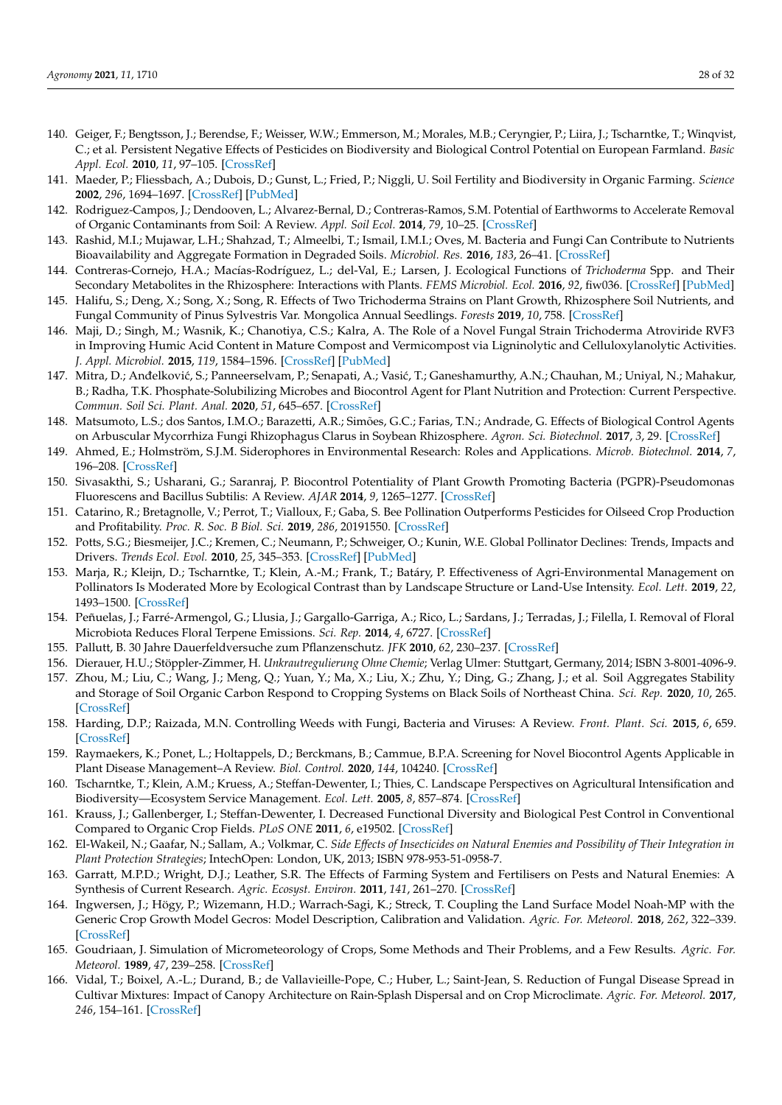- <span id="page-27-26"></span><span id="page-27-19"></span><span id="page-27-5"></span><span id="page-27-4"></span><span id="page-27-3"></span><span id="page-27-2"></span><span id="page-27-1"></span><span id="page-27-0"></span>140. Geiger, F.; Bengtsson, J.; Berendse, F.; Weisser, W.W.; Emmerson, M.; Morales, M.B.; Ceryngier, P.; Liira, J.; Tscharntke, T.; Winqvist, C.; et al. Persistent Negative Effects of Pesticides on Biodiversity and Biological Control Potential on European Farmland. *Basic Appl. Ecol.* **2010**, *11*, 97–105. [\[CrossRef\]](http://doi.org/10.1016/j.baae.2009.12.001)
- <span id="page-27-27"></span><span id="page-27-6"></span>141. Maeder, P.; Fliessbach, A.; Dubois, D.; Gunst, L.; Fried, P.; Niggli, U. Soil Fertility and Biodiversity in Organic Farming. *Science* **2002**, *296*, 1694–1697. [\[CrossRef\]](http://doi.org/10.1126/science.1071148) [\[PubMed\]](http://www.ncbi.nlm.nih.gov/pubmed/12040197)
- <span id="page-27-24"></span>142. Rodriguez-Campos, J.; Dendooven, L.; Alvarez-Bernal, D.; Contreras-Ramos, S.M. Potential of Earthworms to Accelerate Removal of Organic Contaminants from Soil: A Review. *Appl. Soil Ecol.* **2014**, *79*, 10–25. [\[CrossRef\]](http://doi.org/10.1016/j.apsoil.2014.02.010)
- <span id="page-27-7"></span>143. Rashid, M.I.; Mujawar, L.H.; Shahzad, T.; Almeelbi, T.; Ismail, I.M.I.; Oves, M. Bacteria and Fungi Can Contribute to Nutrients Bioavailability and Aggregate Formation in Degraded Soils. *Microbiol. Res.* **2016**, *183*, 26–41. [\[CrossRef\]](http://doi.org/10.1016/j.micres.2015.11.007)
- 144. Contreras-Cornejo, H.A.; Macías-Rodríguez, L.; del-Val, E.; Larsen, J. Ecological Functions of *Trichoderma* Spp. and Their Secondary Metabolites in the Rhizosphere: Interactions with Plants. *FEMS Microbiol. Ecol.* **2016**, *92*, fiw036. [\[CrossRef\]](http://doi.org/10.1093/femsec/fiw036) [\[PubMed\]](http://www.ncbi.nlm.nih.gov/pubmed/26906097)
- <span id="page-27-8"></span>145. Halifu, S.; Deng, X.; Song, X.; Song, R. Effects of Two Trichoderma Strains on Plant Growth, Rhizosphere Soil Nutrients, and Fungal Community of Pinus Sylvestris Var. Mongolica Annual Seedlings. *Forests* **2019**, *10*, 758. [\[CrossRef\]](http://doi.org/10.3390/f10090758)
- <span id="page-27-11"></span><span id="page-27-10"></span><span id="page-27-9"></span>146. Maji, D.; Singh, M.; Wasnik, K.; Chanotiya, C.S.; Kalra, A. The Role of a Novel Fungal Strain Trichoderma Atroviride RVF3 in Improving Humic Acid Content in Mature Compost and Vermicompost via Ligninolytic and Celluloxylanolytic Activities. *J. Appl. Microbiol.* **2015**, *119*, 1584–1596. [\[CrossRef\]](http://doi.org/10.1111/jam.12954) [\[PubMed\]](http://www.ncbi.nlm.nih.gov/pubmed/26387985)
- <span id="page-27-12"></span>147. Mitra, D.; Anđelković, S.; Panneerselvam, P.; Senapati, A.; Vasić, T.; Ganeshamurthy, A.N.; Chauhan, M.; Uniyal, N.; Mahakur, B.; Radha, T.K. Phosphate-Solubilizing Microbes and Biocontrol Agent for Plant Nutrition and Protection: Current Perspective. *Commun. Soil Sci. Plant. Anal.* **2020**, *51*, 645–657. [\[CrossRef\]](http://doi.org/10.1080/00103624.2020.1729379)
- <span id="page-27-13"></span>148. Matsumoto, L.S.; dos Santos, I.M.O.; Barazetti, A.R.; Simões, G.C.; Farias, T.N.; Andrade, G. Effects of Biological Control Agents on Arbuscular Mycorrhiza Fungi Rhizophagus Clarus in Soybean Rhizosphere. *Agron. Sci. Biotechnol.* **2017**, *3*, 29. [\[CrossRef\]](http://doi.org/10.33158/ASB.2017v3i1p29)
- <span id="page-27-14"></span>149. Ahmed, E.; Holmström, S.J.M. Siderophores in Environmental Research: Roles and Applications. *Microb. Biotechnol.* **2014**, *7*, 196–208. [\[CrossRef\]](http://doi.org/10.1111/1751-7915.12117)
- 150. Sivasakthi, S.; Usharani, G.; Saranraj, P. Biocontrol Potentiality of Plant Growth Promoting Bacteria (PGPR)-Pseudomonas Fluorescens and Bacillus Subtilis: A Review. *AJAR* **2014**, *9*, 1265–1277. [\[CrossRef\]](http://doi.org/10.5897/AJAR2013.7914)
- <span id="page-27-15"></span>151. Catarino, R.; Bretagnolle, V.; Perrot, T.; Vialloux, F.; Gaba, S. Bee Pollination Outperforms Pesticides for Oilseed Crop Production and Profitability. *Proc. R. Soc. B Biol. Sci.* **2019**, *286*, 20191550. [\[CrossRef\]](http://doi.org/10.1098/rspb.2019.1550)
- <span id="page-27-16"></span>152. Potts, S.G.; Biesmeijer, J.C.; Kremen, C.; Neumann, P.; Schweiger, O.; Kunin, W.E. Global Pollinator Declines: Trends, Impacts and Drivers. *Trends Ecol. Evol.* **2010**, *25*, 345–353. [\[CrossRef\]](http://doi.org/10.1016/j.tree.2010.01.007) [\[PubMed\]](http://www.ncbi.nlm.nih.gov/pubmed/20188434)
- <span id="page-27-17"></span>153. Marja, R.; Kleijn, D.; Tscharntke, T.; Klein, A.-M.; Frank, T.; Batáry, P. Effectiveness of Agri-Environmental Management on Pollinators Is Moderated More by Ecological Contrast than by Landscape Structure or Land-Use Intensity. *Ecol. Lett.* **2019**, *22*, 1493–1500. [\[CrossRef\]](http://doi.org/10.1111/ele.13339)
- 154. Peñuelas, J.; Farré-Armengol, G.; Llusia, J.; Gargallo-Garriga, A.; Rico, L.; Sardans, J.; Terradas, J.; Filella, I. Removal of Floral Microbiota Reduces Floral Terpene Emissions. *Sci. Rep.* **2014**, *4*, 6727. [\[CrossRef\]](http://doi.org/10.1038/srep06727)
- <span id="page-27-18"></span>155. Pallutt, B. 30 Jahre Dauerfeldversuche zum Pflanzenschutz. *JFK* **2010**, *62*, 230–237. [\[CrossRef\]](http://doi.org/10.5073/JfK.2010.07.01)
- <span id="page-27-23"></span>156. Dierauer, H.U.; Stöppler-Zimmer, H. *Unkrautregulierung Ohne Chemie*; Verlag Ulmer: Stuttgart, Germany, 2014; ISBN 3-8001-4096-9.
- 157. Zhou, M.; Liu, C.; Wang, J.; Meng, Q.; Yuan, Y.; Ma, X.; Liu, X.; Zhu, Y.; Ding, G.; Zhang, J.; et al. Soil Aggregates Stability and Storage of Soil Organic Carbon Respond to Cropping Systems on Black Soils of Northeast China. *Sci. Rep.* **2020**, *10*, 265. [\[CrossRef\]](http://doi.org/10.1038/s41598-019-57193-1)
- 158. Harding, D.P.; Raizada, M.N. Controlling Weeds with Fungi, Bacteria and Viruses: A Review. *Front. Plant. Sci.* **2015**, *6*, 659. [\[CrossRef\]](http://doi.org/10.3389/fpls.2015.00659)
- 159. Raymaekers, K.; Ponet, L.; Holtappels, D.; Berckmans, B.; Cammue, B.P.A. Screening for Novel Biocontrol Agents Applicable in Plant Disease Management–A Review. *Biol. Control.* **2020**, *144*, 104240. [\[CrossRef\]](http://doi.org/10.1016/j.biocontrol.2020.104240)
- <span id="page-27-25"></span>160. Tscharntke, T.; Klein, A.M.; Kruess, A.; Steffan-Dewenter, I.; Thies, C. Landscape Perspectives on Agricultural Intensification and Biodiversity—Ecosystem Service Management. *Ecol. Lett.* **2005**, *8*, 857–874. [\[CrossRef\]](http://doi.org/10.1111/j.1461-0248.2005.00782.x)
- 161. Krauss, J.; Gallenberger, I.; Steffan-Dewenter, I. Decreased Functional Diversity and Biological Pest Control in Conventional Compared to Organic Crop Fields. *PLoS ONE* **2011**, *6*, e19502. [\[CrossRef\]](http://doi.org/10.1371/journal.pone.0019502)
- 162. El-Wakeil, N.; Gaafar, N.; Sallam, A.; Volkmar, C. *Side Effects of Insecticides on Natural Enemies and Possibility of Their Integration in Plant Protection Strategies*; IntechOpen: London, UK, 2013; ISBN 978-953-51-0958-7.
- 163. Garratt, M.P.D.; Wright, D.J.; Leather, S.R. The Effects of Farming System and Fertilisers on Pests and Natural Enemies: A Synthesis of Current Research. *Agric. Ecosyst. Environ.* **2011**, *141*, 261–270. [\[CrossRef\]](http://doi.org/10.1016/j.agee.2011.03.014)
- <span id="page-27-22"></span>164. Ingwersen, J.; Högy, P.; Wizemann, H.D.; Warrach-Sagi, K.; Streck, T. Coupling the Land Surface Model Noah-MP with the Generic Crop Growth Model Gecros: Model Description, Calibration and Validation. *Agric. For. Meteorol.* **2018**, *262*, 322–339. [\[CrossRef\]](http://doi.org/10.1016/j.agrformet.2018.06.023)
- <span id="page-27-21"></span>165. Goudriaan, J. Simulation of Micrometeorology of Crops, Some Methods and Their Problems, and a Few Results. *Agric. For. Meteorol.* **1989**, *47*, 239–258. [\[CrossRef\]](http://doi.org/10.1016/0168-1923(89)90098-1)
- <span id="page-27-20"></span>166. Vidal, T.; Boixel, A.-L.; Durand, B.; de Vallavieille-Pope, C.; Huber, L.; Saint-Jean, S. Reduction of Fungal Disease Spread in Cultivar Mixtures: Impact of Canopy Architecture on Rain-Splash Dispersal and on Crop Microclimate. *Agric. For. Meteorol.* **2017**, *246*, 154–161. [\[CrossRef\]](http://doi.org/10.1016/j.agrformet.2017.06.014)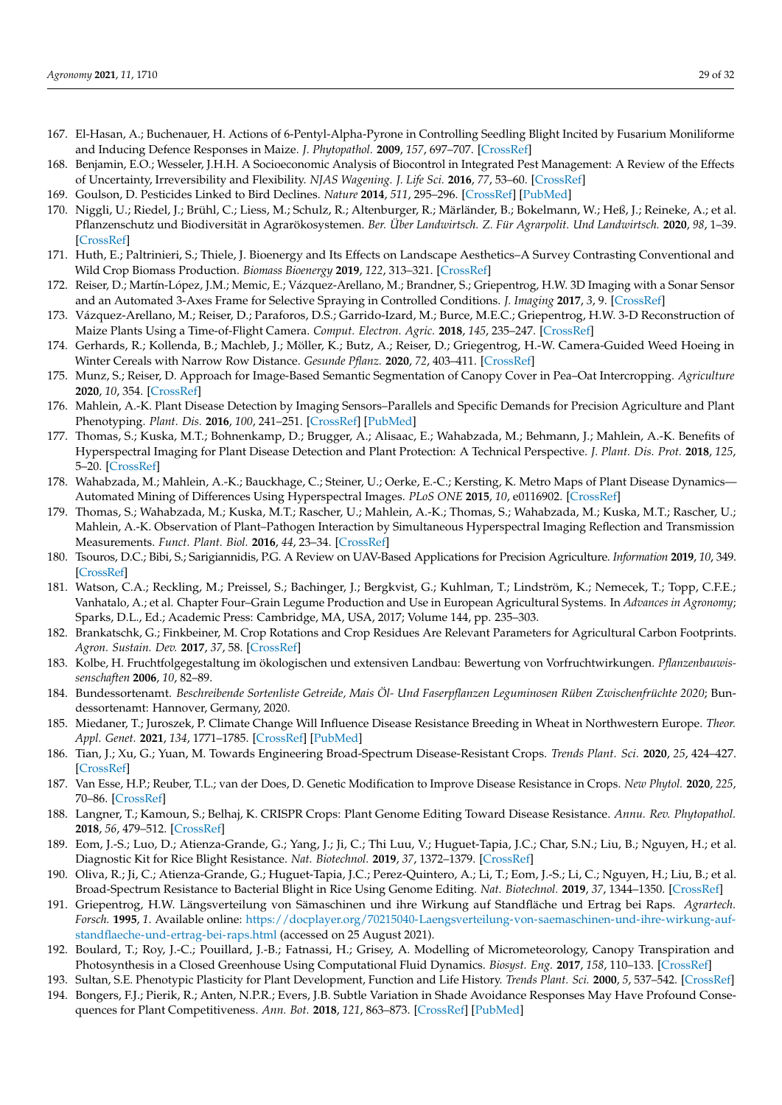- <span id="page-28-26"></span><span id="page-28-9"></span><span id="page-28-8"></span><span id="page-28-7"></span><span id="page-28-6"></span><span id="page-28-5"></span><span id="page-28-4"></span><span id="page-28-3"></span><span id="page-28-2"></span><span id="page-28-1"></span><span id="page-28-0"></span>167. El-Hasan, A.; Buchenauer, H. Actions of 6-Pentyl-Alpha-Pyrone in Controlling Seedling Blight Incited by Fusarium Moniliforme and Inducing Defence Responses in Maize. *J. Phytopathol.* **2009**, *157*, 697–707. [\[CrossRef\]](http://doi.org/10.1111/j.1439-0434.2009.01565.x)
- <span id="page-28-10"></span>168. Benjamin, E.O.; Wesseler, J.H.H. A Socioeconomic Analysis of Biocontrol in Integrated Pest Management: A Review of the Effects of Uncertainty, Irreversibility and Flexibility. *NJAS Wagening. J. Life Sci.* **2016**, *77*, 53–60. [\[CrossRef\]](http://doi.org/10.1016/j.njas.2016.03.002)
- <span id="page-28-11"></span>169. Goulson, D. Pesticides Linked to Bird Declines. *Nature* **2014**, *511*, 295–296. [\[CrossRef\]](http://doi.org/10.1038/nature13642) [\[PubMed\]](http://www.ncbi.nlm.nih.gov/pubmed/25030159)
- <span id="page-28-12"></span>170. Niggli, U.; Riedel, J.; Brühl, C.; Liess, M.; Schulz, R.; Altenburger, R.; Märländer, B.; Bokelmann, W.; Heß, J.; Reineke, A.; et al. Pflanzenschutz und Biodiversität in Agrarökosystemen. *Ber. Über Landwirtsch. Z. Für Agrarpolit. Und Landwirtsch.* **2020**, *98*, 1–39. [\[CrossRef\]](http://doi.org/10.12767/buel.v98i1.272)
- <span id="page-28-29"></span>171. Huth, E.; Paltrinieri, S.; Thiele, J. Bioenergy and Its Effects on Landscape Aesthetics–A Survey Contrasting Conventional and Wild Crop Biomass Production. *Biomass Bioenergy* **2019**, *122*, 313–321. [\[CrossRef\]](http://doi.org/10.1016/j.biombioe.2019.01.043)
- 172. Reiser, D.; Martín-López, J.M.; Memic, E.; Vázquez-Arellano, M.; Brandner, S.; Griepentrog, H.W. 3D Imaging with a Sonar Sensor and an Automated 3-Axes Frame for Selective Spraying in Controlled Conditions. *J. Imaging* **2017**, *3*, 9. [\[CrossRef\]](http://doi.org/10.3390/jimaging3010009)
- 173. Vázquez-Arellano, M.; Reiser, D.; Paraforos, D.S.; Garrido-Izard, M.; Burce, M.E.C.; Griepentrog, H.W. 3-D Reconstruction of Maize Plants Using a Time-of-Flight Camera. *Comput. Electron. Agric.* **2018**, *145*, 235–247. [\[CrossRef\]](http://doi.org/10.1016/j.compag.2018.01.002)
- <span id="page-28-27"></span>174. Gerhards, R.; Kollenda, B.; Machleb, J.; Möller, K.; Butz, A.; Reiser, D.; Griegentrog, H.-W. Camera-Guided Weed Hoeing in Winter Cereals with Narrow Row Distance. *Gesunde Pflanz.* **2020**, *72*, 403–411. [\[CrossRef\]](http://doi.org/10.1007/s10343-020-00523-5)
- <span id="page-28-28"></span>175. Munz, S.; Reiser, D. Approach for Image-Based Semantic Segmentation of Canopy Cover in Pea–Oat Intercropping. *Agriculture* **2020**, *10*, 354. [\[CrossRef\]](http://doi.org/10.3390/agriculture10080354)
- 176. Mahlein, A.-K. Plant Disease Detection by Imaging Sensors–Parallels and Specific Demands for Precision Agriculture and Plant Phenotyping. *Plant. Dis.* **2016**, *100*, 241–251. [\[CrossRef\]](http://doi.org/10.1094/PDIS-03-15-0340-FE) [\[PubMed\]](http://www.ncbi.nlm.nih.gov/pubmed/30694129)
- 177. Thomas, S.; Kuska, M.T.; Bohnenkamp, D.; Brugger, A.; Alisaac, E.; Wahabzada, M.; Behmann, J.; Mahlein, A.-K. Benefits of Hyperspectral Imaging for Plant Disease Detection and Plant Protection: A Technical Perspective. *J. Plant. Dis. Prot.* **2018**, *125*, 5–20. [\[CrossRef\]](http://doi.org/10.1007/s41348-017-0124-6)
- 178. Wahabzada, M.; Mahlein, A.-K.; Bauckhage, C.; Steiner, U.; Oerke, E.-C.; Kersting, K. Metro Maps of Plant Disease Dynamics— Automated Mining of Differences Using Hyperspectral Images. *PLoS ONE* **2015**, *10*, e0116902. [\[CrossRef\]](http://doi.org/10.1371/journal.pone.0116902)
- 179. Thomas, S.; Wahabzada, M.; Kuska, M.T.; Rascher, U.; Mahlein, A.-K.; Thomas, S.; Wahabzada, M.; Kuska, M.T.; Rascher, U.; Mahlein, A.-K. Observation of Plant–Pathogen Interaction by Simultaneous Hyperspectral Imaging Reflection and Transmission Measurements. *Funct. Plant. Biol.* **2016**, *44*, 23–34. [\[CrossRef\]](http://doi.org/10.1071/FP16127)
- 180. Tsouros, D.C.; Bibi, S.; Sarigiannidis, P.G. A Review on UAV-Based Applications for Precision Agriculture. *Information* **2019**, *10*, 349. [\[CrossRef\]](http://doi.org/10.3390/info10110349)
- <span id="page-28-13"></span>181. Watson, C.A.; Reckling, M.; Preissel, S.; Bachinger, J.; Bergkvist, G.; Kuhlman, T.; Lindström, K.; Nemecek, T.; Topp, C.F.E.; Vanhatalo, A.; et al. Chapter Four–Grain Legume Production and Use in European Agricultural Systems. In *Advances in Agronomy*; Sparks, D.L., Ed.; Academic Press: Cambridge, MA, USA, 2017; Volume 144, pp. 235–303.
- <span id="page-28-14"></span>182. Brankatschk, G.; Finkbeiner, M. Crop Rotations and Crop Residues Are Relevant Parameters for Agricultural Carbon Footprints. *Agron. Sustain. Dev.* **2017**, *37*, 58. [\[CrossRef\]](http://doi.org/10.1007/s13593-017-0464-4)
- <span id="page-28-15"></span>183. Kolbe, H. Fruchtfolgegestaltung im ökologischen und extensiven Landbau: Bewertung von Vorfruchtwirkungen. *Pflanzenbauwissenschaften* **2006**, *10*, 82–89.
- <span id="page-28-16"></span>184. Bundessortenamt. *Beschreibende Sortenliste Getreide, Mais Öl- Und Faserpflanzen Leguminosen Rüben Zwischenfrüchte 2020*; Bundessortenamt: Hannover, Germany, 2020.
- <span id="page-28-17"></span>185. Miedaner, T.; Juroszek, P. Climate Change Will Influence Disease Resistance Breeding in Wheat in Northwestern Europe. *Theor. Appl. Genet.* **2021**, *134*, 1771–1785. [\[CrossRef\]](http://doi.org/10.1007/s00122-021-03807-0) [\[PubMed\]](http://www.ncbi.nlm.nih.gov/pubmed/33715023)
- <span id="page-28-18"></span>186. Tian, J.; Xu, G.; Yuan, M. Towards Engineering Broad-Spectrum Disease-Resistant Crops. *Trends Plant. Sci.* **2020**, *25*, 424–427. [\[CrossRef\]](http://doi.org/10.1016/j.tplants.2020.02.012)
- 187. Van Esse, H.P.; Reuber, T.L.; van der Does, D. Genetic Modification to Improve Disease Resistance in Crops. *New Phytol.* **2020**, *225*, 70–86. [\[CrossRef\]](http://doi.org/10.1111/nph.15967)
- <span id="page-28-19"></span>188. Langner, T.; Kamoun, S.; Belhaj, K. CRISPR Crops: Plant Genome Editing Toward Disease Resistance. *Annu. Rev. Phytopathol.* **2018**, *56*, 479–512. [\[CrossRef\]](http://doi.org/10.1146/annurev-phyto-080417-050158)
- <span id="page-28-20"></span>189. Eom, J.-S.; Luo, D.; Atienza-Grande, G.; Yang, J.; Ji, C.; Thi Luu, V.; Huguet-Tapia, J.C.; Char, S.N.; Liu, B.; Nguyen, H.; et al. Diagnostic Kit for Rice Blight Resistance. *Nat. Biotechnol.* **2019**, *37*, 1372–1379. [\[CrossRef\]](http://doi.org/10.1038/s41587-019-0268-y)
- <span id="page-28-21"></span>190. Oliva, R.; Ji, C.; Atienza-Grande, G.; Huguet-Tapia, J.C.; Perez-Quintero, A.; Li, T.; Eom, J.-S.; Li, C.; Nguyen, H.; Liu, B.; et al. Broad-Spectrum Resistance to Bacterial Blight in Rice Using Genome Editing. *Nat. Biotechnol.* **2019**, *37*, 1344–1350. [\[CrossRef\]](http://doi.org/10.1038/s41587-019-0267-z)
- <span id="page-28-22"></span>191. Griepentrog, H.W. Längsverteilung von Sämaschinen und ihre Wirkung auf Standfläche und Ertrag bei Raps. *Agrartech. Forsch.* **1995**, *1*. Available online: [https://docplayer.org/70215040-Laengsverteilung-von-saemaschinen-und-ihre-wirkung-auf](https://docplayer.org/70215040-Laengsverteilung-von-saemaschinen-und-ihre-wirkung-auf-standflaeche-und-ertrag-bei-raps.html)[standflaeche-und-ertrag-bei-raps.html](https://docplayer.org/70215040-Laengsverteilung-von-saemaschinen-und-ihre-wirkung-auf-standflaeche-und-ertrag-bei-raps.html) (accessed on 25 August 2021).
- <span id="page-28-23"></span>192. Boulard, T.; Roy, J.-C.; Pouillard, J.-B.; Fatnassi, H.; Grisey, A. Modelling of Micrometeorology, Canopy Transpiration and Photosynthesis in a Closed Greenhouse Using Computational Fluid Dynamics. *Biosyst. Eng.* **2017**, *158*, 110–133. [\[CrossRef\]](http://doi.org/10.1016/j.biosystemseng.2017.04.001)
- <span id="page-28-24"></span>193. Sultan, S.E. Phenotypic Plasticity for Plant Development, Function and Life History. *Trends Plant. Sci.* **2000**, *5*, 537–542. [\[CrossRef\]](http://doi.org/10.1016/S1360-1385(00)01797-0)
- <span id="page-28-25"></span>194. Bongers, F.J.; Pierik, R.; Anten, N.P.R.; Evers, J.B. Subtle Variation in Shade Avoidance Responses May Have Profound Consequences for Plant Competitiveness. *Ann. Bot.* **2018**, *121*, 863–873. [\[CrossRef\]](http://doi.org/10.1093/aob/mcx151) [\[PubMed\]](http://www.ncbi.nlm.nih.gov/pubmed/29280992)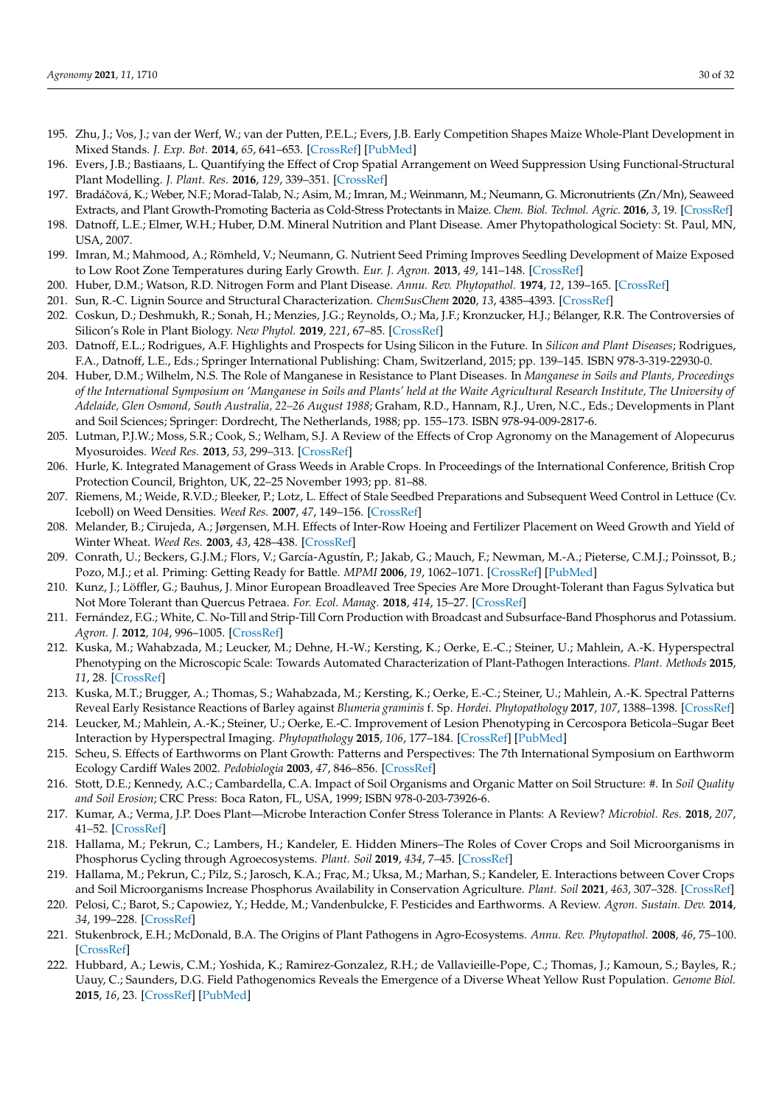- <span id="page-29-0"></span>195. Zhu, J.; Vos, J.; van der Werf, W.; van der Putten, P.E.L.; Evers, J.B. Early Competition Shapes Maize Whole-Plant Development in Mixed Stands. *J. Exp. Bot.* **2014**, *65*, 641–653. [\[CrossRef\]](http://doi.org/10.1093/jxb/ert408) [\[PubMed\]](http://www.ncbi.nlm.nih.gov/pubmed/24307719)
- <span id="page-29-1"></span>196. Evers, J.B.; Bastiaans, L. Quantifying the Effect of Crop Spatial Arrangement on Weed Suppression Using Functional-Structural Plant Modelling. *J. Plant. Res.* **2016**, *129*, 339–351. [\[CrossRef\]](http://doi.org/10.1007/s10265-016-0807-2)
- <span id="page-29-2"></span>197. Bradáˇcová, K.; Weber, N.F.; Morad-Talab, N.; Asim, M.; Imran, M.; Weinmann, M.; Neumann, G. Micronutrients (Zn/Mn), Seaweed Extracts, and Plant Growth-Promoting Bacteria as Cold-Stress Protectants in Maize. *Chem. Biol. Technol. Agric.* **2016**, *3*, 19. [\[CrossRef\]](http://doi.org/10.1186/s40538-016-0069-1)
- 198. Datnoff, L.E.; Elmer, W.H.; Huber, D.M. Mineral Nutrition and Plant Disease. Amer Phytopathological Society: St. Paul, MN, USA, 2007.
- <span id="page-29-3"></span>199. Imran, M.; Mahmood, A.; Römheld, V.; Neumann, G. Nutrient Seed Priming Improves Seedling Development of Maize Exposed to Low Root Zone Temperatures during Early Growth. *Eur. J. Agron.* **2013**, *49*, 141–148. [\[CrossRef\]](http://doi.org/10.1016/j.eja.2013.04.001)
- <span id="page-29-4"></span>200. Huber, D.M.; Watson, R.D. Nitrogen Form and Plant Disease. *Annu. Rev. Phytopathol.* **1974**, *12*, 139–165. [\[CrossRef\]](http://doi.org/10.1146/annurev.py.12.090174.001035)
- <span id="page-29-5"></span>201. Sun, R.-C. Lignin Source and Structural Characterization. *ChemSusChem* **2020**, *13*, 4385–4393. [\[CrossRef\]](http://doi.org/10.1002/cssc.202001324)
- <span id="page-29-6"></span>202. Coskun, D.; Deshmukh, R.; Sonah, H.; Menzies, J.G.; Reynolds, O.; Ma, J.F.; Kronzucker, H.J.; Bélanger, R.R. The Controversies of Silicon's Role in Plant Biology. *New Phytol.* **2019**, *221*, 67–85. [\[CrossRef\]](http://doi.org/10.1111/nph.15343)
- <span id="page-29-7"></span>203. Datnoff, E.L.; Rodrigues, A.F. Highlights and Prospects for Using Silicon in the Future. In *Silicon and Plant Diseases*; Rodrigues, F.A., Datnoff, L.E., Eds.; Springer International Publishing: Cham, Switzerland, 2015; pp. 139–145. ISBN 978-3-319-22930-0.
- <span id="page-29-8"></span>204. Huber, D.M.; Wilhelm, N.S. The Role of Manganese in Resistance to Plant Diseases. In *Manganese in Soils and Plants, Proceedings of the International Symposium on 'Manganese in Soils and Plants' held at the Waite Agricultural Research Institute, The University of Adelaide, Glen Osmond, South Australia, 22–26 August 1988*; Graham, R.D., Hannam, R.J., Uren, N.C., Eds.; Developments in Plant and Soil Sciences; Springer: Dordrecht, The Netherlands, 1988; pp. 155–173. ISBN 978-94-009-2817-6.
- <span id="page-29-9"></span>205. Lutman, P.J.W.; Moss, S.R.; Cook, S.; Welham, S.J. A Review of the Effects of Crop Agronomy on the Management of Alopecurus Myosuroides. *Weed Res.* **2013**, *53*, 299–313. [\[CrossRef\]](http://doi.org/10.1111/wre.12024)
- <span id="page-29-10"></span>206. Hurle, K. Integrated Management of Grass Weeds in Arable Crops. In Proceedings of the International Conference, British Crop Protection Council, Brighton, UK, 22–25 November 1993; pp. 81–88.
- <span id="page-29-11"></span>207. Riemens, M.; Weide, R.V.D.; Bleeker, P.; Lotz, L. Effect of Stale Seedbed Preparations and Subsequent Weed Control in Lettuce (Cv. Iceboll) on Weed Densities. *Weed Res.* **2007**, *47*, 149–156. [\[CrossRef\]](http://doi.org/10.1111/j.1365-3180.2007.00554.x)
- <span id="page-29-12"></span>208. Melander, B.; Cirujeda, A.; Jørgensen, M.H. Effects of Inter-Row Hoeing and Fertilizer Placement on Weed Growth and Yield of Winter Wheat. *Weed Res.* **2003**, *43*, 428–438. [\[CrossRef\]](http://doi.org/10.1046/j.0043-1737.2003.00359.x)
- <span id="page-29-13"></span>209. Conrath, U.; Beckers, G.J.M.; Flors, V.; García-Agustín, P.; Jakab, G.; Mauch, F.; Newman, M.-A.; Pieterse, C.M.J.; Poinssot, B.; Pozo, M.J.; et al. Priming: Getting Ready for Battle. *MPMI* **2006**, *19*, 1062–1071. [\[CrossRef\]](http://doi.org/10.1094/MPMI-19-1062) [\[PubMed\]](http://www.ncbi.nlm.nih.gov/pubmed/17022170)
- <span id="page-29-14"></span>210. Kunz, J.; Löffler, G.; Bauhus, J. Minor European Broadleaved Tree Species Are More Drought-Tolerant than Fagus Sylvatica but Not More Tolerant than Quercus Petraea. *For. Ecol. Manag.* **2018**, *414*, 15–27. [\[CrossRef\]](http://doi.org/10.1016/j.foreco.2018.02.016)
- <span id="page-29-15"></span>211. Fernández, F.G.; White, C. No-Till and Strip-Till Corn Production with Broadcast and Subsurface-Band Phosphorus and Potassium. *Agron. J.* **2012**, *104*, 996–1005. [\[CrossRef\]](http://doi.org/10.2134/agronj2012.0064)
- <span id="page-29-16"></span>212. Kuska, M.; Wahabzada, M.; Leucker, M.; Dehne, H.-W.; Kersting, K.; Oerke, E.-C.; Steiner, U.; Mahlein, A.-K. Hyperspectral Phenotyping on the Microscopic Scale: Towards Automated Characterization of Plant-Pathogen Interactions. *Plant. Methods* **2015**, *11*, 28. [\[CrossRef\]](http://doi.org/10.1186/s13007-015-0073-7)
- 213. Kuska, M.T.; Brugger, A.; Thomas, S.; Wahabzada, M.; Kersting, K.; Oerke, E.-C.; Steiner, U.; Mahlein, A.-K. Spectral Patterns Reveal Early Resistance Reactions of Barley against *Blumeria graminis* f. Sp. *Hordei*. *Phytopathology* **2017**, *107*, 1388–1398. [\[CrossRef\]](http://doi.org/10.1094/PHYTO-04-17-0128-R)
- <span id="page-29-17"></span>214. Leucker, M.; Mahlein, A.-K.; Steiner, U.; Oerke, E.-C. Improvement of Lesion Phenotyping in Cercospora Beticola–Sugar Beet Interaction by Hyperspectral Imaging. *Phytopathology* **2015**, *106*, 177–184. [\[CrossRef\]](http://doi.org/10.1094/PHYTO-04-15-0100-R) [\[PubMed\]](http://www.ncbi.nlm.nih.gov/pubmed/26506458)
- <span id="page-29-18"></span>215. Scheu, S. Effects of Earthworms on Plant Growth: Patterns and Perspectives: The 7th International Symposium on Earthworm Ecology Cardiff Wales 2002. *Pedobiologia* **2003**, *47*, 846–856. [\[CrossRef\]](http://doi.org/10.1016/S0031-4056(04)70279-6)
- <span id="page-29-19"></span>216. Stott, D.E.; Kennedy, A.C.; Cambardella, C.A. Impact of Soil Organisms and Organic Matter on Soil Structure: #. In *Soil Quality and Soil Erosion*; CRC Press: Boca Raton, FL, USA, 1999; ISBN 978-0-203-73926-6.
- <span id="page-29-20"></span>217. Kumar, A.; Verma, J.P. Does Plant—Microbe Interaction Confer Stress Tolerance in Plants: A Review? *Microbiol. Res.* **2018**, *207*, 41–52. [\[CrossRef\]](http://doi.org/10.1016/j.micres.2017.11.004)
- <span id="page-29-21"></span>218. Hallama, M.; Pekrun, C.; Lambers, H.; Kandeler, E. Hidden Miners–The Roles of Cover Crops and Soil Microorganisms in Phosphorus Cycling through Agroecosystems. *Plant. Soil* **2019**, *434*, 7–45. [\[CrossRef\]](http://doi.org/10.1007/s11104-018-3810-7)
- <span id="page-29-22"></span>219. Hallama, M.; Pekrun, C.; Pilz, S.; Jarosch, K.A.; Frac, M.; Uksa, M.; Marhan, S.; Kandeler, E. Interactions between Cover Crops and Soil Microorganisms Increase Phosphorus Availability in Conservation Agriculture. *Plant. Soil* **2021**, *463*, 307–328. [\[CrossRef\]](http://doi.org/10.1007/s11104-021-04897-x)
- <span id="page-29-23"></span>220. Pelosi, C.; Barot, S.; Capowiez, Y.; Hedde, M.; Vandenbulcke, F. Pesticides and Earthworms. A Review. *Agron. Sustain. Dev.* **2014**, *34*, 199–228. [\[CrossRef\]](http://doi.org/10.1007/s13593-013-0151-z)
- <span id="page-29-24"></span>221. Stukenbrock, E.H.; McDonald, B.A. The Origins of Plant Pathogens in Agro-Ecosystems. *Annu. Rev. Phytopathol.* **2008**, *46*, 75–100. [\[CrossRef\]](http://doi.org/10.1146/annurev.phyto.010708.154114)
- <span id="page-29-25"></span>222. Hubbard, A.; Lewis, C.M.; Yoshida, K.; Ramirez-Gonzalez, R.H.; de Vallavieille-Pope, C.; Thomas, J.; Kamoun, S.; Bayles, R.; Uauy, C.; Saunders, D.G. Field Pathogenomics Reveals the Emergence of a Diverse Wheat Yellow Rust Population. *Genome Biol.* **2015**, *16*, 23. [\[CrossRef\]](http://doi.org/10.1186/s13059-015-0590-8) [\[PubMed\]](http://www.ncbi.nlm.nih.gov/pubmed/25723868)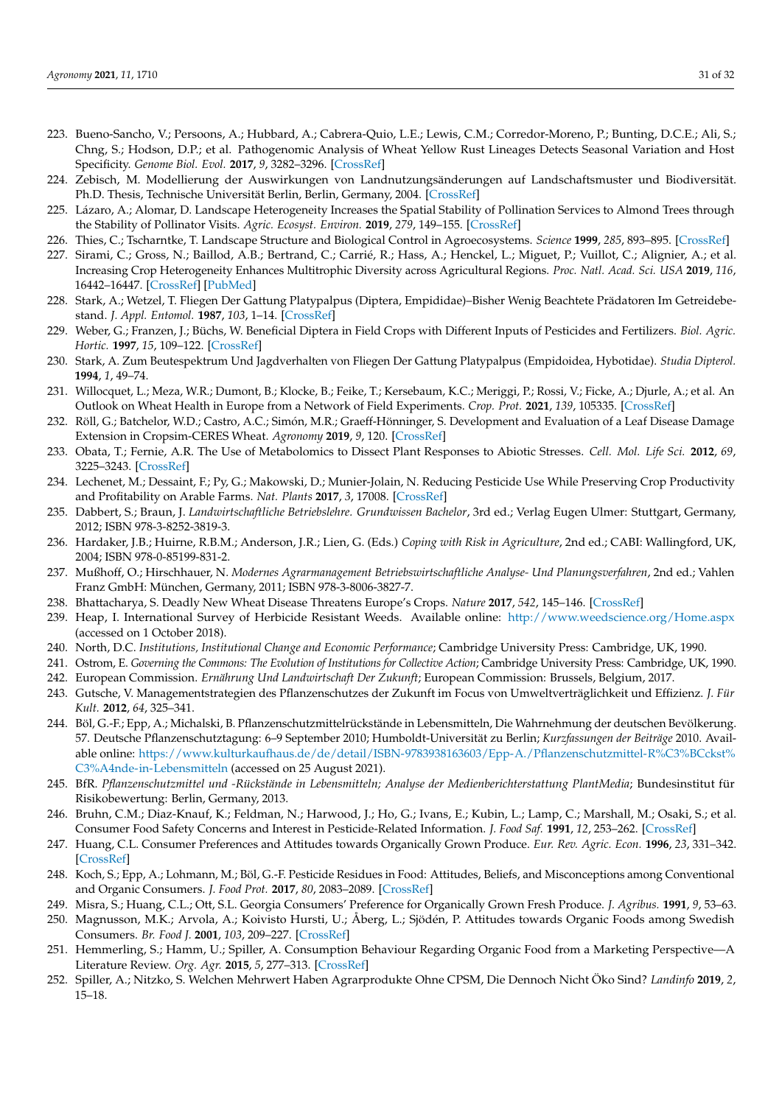- <span id="page-30-0"></span>223. Bueno-Sancho, V.; Persoons, A.; Hubbard, A.; Cabrera-Quio, L.E.; Lewis, C.M.; Corredor-Moreno, P.; Bunting, D.C.E.; Ali, S.; Chng, S.; Hodson, D.P.; et al. Pathogenomic Analysis of Wheat Yellow Rust Lineages Detects Seasonal Variation and Host Specificity. *Genome Biol. Evol.* **2017**, *9*, 3282–3296. [\[CrossRef\]](http://doi.org/10.1093/gbe/evx241)
- <span id="page-30-1"></span>224. Zebisch, M. Modellierung der Auswirkungen von Landnutzungsänderungen auf Landschaftsmuster und Biodiversität. Ph.D. Thesis, Technische Universität Berlin, Berlin, Germany, 2004. [\[CrossRef\]](http://doi.org/10.14279/depositonce-914)
- <span id="page-30-2"></span>225. Lázaro, A.; Alomar, D. Landscape Heterogeneity Increases the Spatial Stability of Pollination Services to Almond Trees through the Stability of Pollinator Visits. *Agric. Ecosyst. Environ.* **2019**, *279*, 149–155. [\[CrossRef\]](http://doi.org/10.1016/j.agee.2019.02.009)
- <span id="page-30-3"></span>226. Thies, C.; Tscharntke, T. Landscape Structure and Biological Control in Agroecosystems. *Science* **1999**, *285*, 893–895. [\[CrossRef\]](http://doi.org/10.1126/science.285.5429.893)
- <span id="page-30-4"></span>227. Sirami, C.; Gross, N.; Baillod, A.B.; Bertrand, C.; Carrié, R.; Hass, A.; Henckel, L.; Miguet, P.; Vuillot, C.; Alignier, A.; et al. Increasing Crop Heterogeneity Enhances Multitrophic Diversity across Agricultural Regions. *Proc. Natl. Acad. Sci. USA* **2019**, *116*, 16442–16447. [\[CrossRef\]](http://doi.org/10.1073/pnas.1906419116) [\[PubMed\]](http://www.ncbi.nlm.nih.gov/pubmed/31358630)
- <span id="page-30-5"></span>228. Stark, A.; Wetzel, T. Fliegen Der Gattung Platypalpus (Diptera, Empididae)–Bisher Wenig Beachtete Prädatoren Im Getreidebestand. *J. Appl. Entomol.* **1987**, *103*, 1–14. [\[CrossRef\]](http://doi.org/10.1111/j.1439-0418.1987.tb00955.x)
- <span id="page-30-7"></span>229. Weber, G.; Franzen, J.; Büchs, W. Beneficial Diptera in Field Crops with Different Inputs of Pesticides and Fertilizers. *Biol. Agric. Hortic.* **1997**, *15*, 109–122. [\[CrossRef\]](http://doi.org/10.1080/01448765.1997.9755185)
- <span id="page-30-6"></span>230. Stark, A. Zum Beutespektrum Und Jagdverhalten von Fliegen Der Gattung Platypalpus (Empidoidea, Hybotidae). *Studia Dipterol.* **1994**, *1*, 49–74.
- <span id="page-30-8"></span>231. Willocquet, L.; Meza, W.R.; Dumont, B.; Klocke, B.; Feike, T.; Kersebaum, K.C.; Meriggi, P.; Rossi, V.; Ficke, A.; Djurle, A.; et al. An Outlook on Wheat Health in Europe from a Network of Field Experiments. *Crop. Prot.* **2021**, *139*, 105335. [\[CrossRef\]](http://doi.org/10.1016/j.cropro.2020.105335)
- <span id="page-30-9"></span>232. Röll, G.; Batchelor, W.D.; Castro, A.C.; Simón, M.R.; Graeff-Hönninger, S. Development and Evaluation of a Leaf Disease Damage Extension in Cropsim-CERES Wheat. *Agronomy* **2019**, *9*, 120. [\[CrossRef\]](http://doi.org/10.3390/agronomy9030120)
- <span id="page-30-10"></span>233. Obata, T.; Fernie, A.R. The Use of Metabolomics to Dissect Plant Responses to Abiotic Stresses. *Cell. Mol. Life Sci.* **2012**, *69*, 3225–3243. [\[CrossRef\]](http://doi.org/10.1007/s00018-012-1091-5)
- <span id="page-30-11"></span>234. Lechenet, M.; Dessaint, F.; Py, G.; Makowski, D.; Munier-Jolain, N. Reducing Pesticide Use While Preserving Crop Productivity and Profitability on Arable Farms. *Nat. Plants* **2017**, *3*, 17008. [\[CrossRef\]](http://doi.org/10.1038/nplants.2017.8)
- <span id="page-30-12"></span>235. Dabbert, S.; Braun, J. *Landwirtschaftliche Betriebslehre. Grundwissen Bachelor*, 3rd ed.; Verlag Eugen Ulmer: Stuttgart, Germany, 2012; ISBN 978-3-8252-3819-3.
- <span id="page-30-13"></span>236. Hardaker, J.B.; Huirne, R.B.M.; Anderson, J.R.; Lien, G. (Eds.) *Coping with Risk in Agriculture*, 2nd ed.; CABI: Wallingford, UK, 2004; ISBN 978-0-85199-831-2.
- <span id="page-30-14"></span>237. Mußhoff, O.; Hirschhauer, N. *Modernes Agrarmanagement Betriebswirtschaftliche Analyse- Und Planungsverfahren*, 2nd ed.; Vahlen Franz GmbH: München, Germany, 2011; ISBN 978-3-8006-3827-7.
- <span id="page-30-15"></span>238. Bhattacharya, S. Deadly New Wheat Disease Threatens Europe's Crops. *Nature* **2017**, *542*, 145–146. [\[CrossRef\]](http://doi.org/10.1038/nature.2017.21424)
- <span id="page-30-16"></span>239. Heap, I. International Survey of Herbicide Resistant Weeds. Available online: <http://www.weedscience.org/Home.aspx> (accessed on 1 October 2018).
- <span id="page-30-17"></span>240. North, D.C. *Institutions, Institutional Change and Economic Performance*; Cambridge University Press: Cambridge, UK, 1990.
- <span id="page-30-18"></span>241. Ostrom, E. *Governing the Commons: The Evolution of Institutions for Collective Action*; Cambridge University Press: Cambridge, UK, 1990.
- <span id="page-30-19"></span>242. European Commission. *Ernährung Und Landwirtschaft Der Zukunft*; European Commission: Brussels, Belgium, 2017.
- <span id="page-30-20"></span>243. Gutsche, V. Managementstrategien des Pflanzenschutzes der Zukunft im Focus von Umweltverträglichkeit und Effizienz. *J. Für Kult.* **2012**, *64*, 325–341.
- <span id="page-30-21"></span>244. Böl, G.-F.; Epp, A.; Michalski, B. Pflanzenschutzmittelrückstände in Lebensmitteln, Die Wahrnehmung der deutschen Bevölkerung. 57. Deutsche Pflanzenschutztagung: 6–9 September 2010; Humboldt-Universität zu Berlin; *Kurzfassungen der Beiträge* 2010. Available online: [https://www.kulturkaufhaus.de/de/detail/ISBN-9783938163603/Epp-A./Pflanzenschutzmittel-R%C3%BCckst%](https://www.kulturkaufhaus.de/de/detail/ISBN-9783938163603/Epp-A./Pflanzenschutzmittel-R%C3%BCckst%C3%A4nde-in-Lebensmitteln) [C3%A4nde-in-Lebensmitteln](https://www.kulturkaufhaus.de/de/detail/ISBN-9783938163603/Epp-A./Pflanzenschutzmittel-R%C3%BCckst%C3%A4nde-in-Lebensmitteln) (accessed on 25 August 2021).
- <span id="page-30-22"></span>245. BfR. *Pflanzenschutzmittel und -Rückstände in Lebensmitteln; Analyse der Medienberichterstattung PlantMedia*; Bundesinstitut für Risikobewertung: Berlin, Germany, 2013.
- <span id="page-30-23"></span>246. Bruhn, C.M.; Diaz-Knauf, K.; Feldman, N.; Harwood, J.; Ho, G.; Ivans, E.; Kubin, L.; Lamp, C.; Marshall, M.; Osaki, S.; et al. Consumer Food Safety Concerns and Interest in Pesticide-Related Information. *J. Food Saf.* **1991**, *12*, 253–262. [\[CrossRef\]](http://doi.org/10.1111/j.1745-4565.1991.tb00082.x)
- 247. Huang, C.L. Consumer Preferences and Attitudes towards Organically Grown Produce. *Eur. Rev. Agric. Econ.* **1996**, *23*, 331–342. [\[CrossRef\]](http://doi.org/10.1093/erae/23.3.331)
- <span id="page-30-24"></span>248. Koch, S.; Epp, A.; Lohmann, M.; Böl, G.-F. Pesticide Residues in Food: Attitudes, Beliefs, and Misconceptions among Conventional and Organic Consumers. *J. Food Prot.* **2017**, *80*, 2083–2089. [\[CrossRef\]](http://doi.org/10.4315/0362-028X.JFP-17-104)
- <span id="page-30-25"></span>249. Misra, S.; Huang, C.L.; Ott, S.L. Georgia Consumers' Preference for Organically Grown Fresh Produce. *J. Agribus.* **1991**, *9*, 53–63.
- 250. Magnusson, M.K.; Arvola, A.; Koivisto Hursti, U.; Åberg, L.; Sjödén, P. Attitudes towards Organic Foods among Swedish Consumers. *Br. Food J.* **2001**, *103*, 209–227. [\[CrossRef\]](http://doi.org/10.1108/00070700110386755)
- <span id="page-30-26"></span>251. Hemmerling, S.; Hamm, U.; Spiller, A. Consumption Behaviour Regarding Organic Food from a Marketing Perspective—A Literature Review. *Org. Agr.* **2015**, *5*, 277–313. [\[CrossRef\]](http://doi.org/10.1007/s13165-015-0109-3)
- <span id="page-30-27"></span>252. Spiller, A.; Nitzko, S. Welchen Mehrwert Haben Agrarprodukte Ohne CPSM, Die Dennoch Nicht Öko Sind? *Landinfo* **2019**, *2*, 15–18.